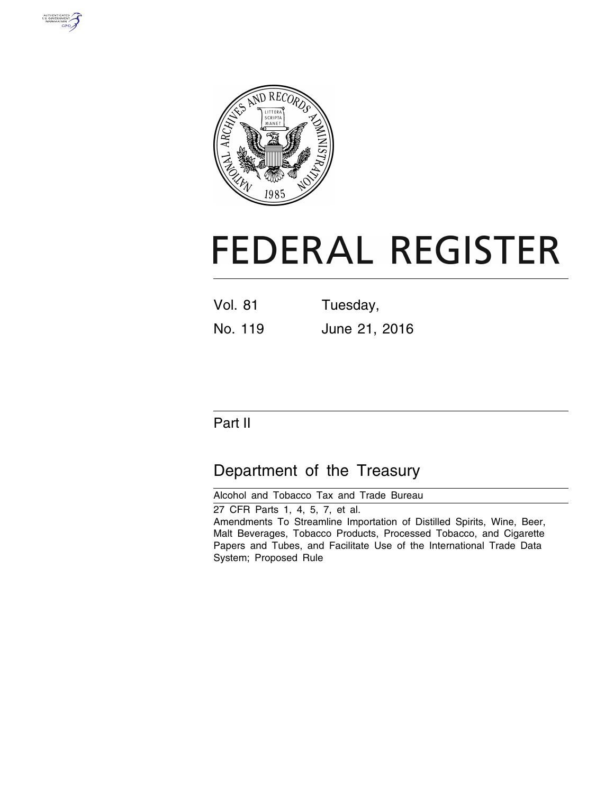



# **FEDERAL REGISTER**

| <b>Vol. 81</b> | Tuesday,      |
|----------------|---------------|
| No. 119        | June 21, 2016 |

# Part II

# Department of the Treasury

Alcohol and Tobacco Tax and Trade Bureau 27 CFR Parts 1, 4, 5, 7, et al. Amendments To Streamline Importation of Distilled Spirits, Wine, Beer, Malt Beverages, Tobacco Products, Processed Tobacco, and Cigarette Papers and Tubes, and Facilitate Use of the International Trade Data System; Proposed Rule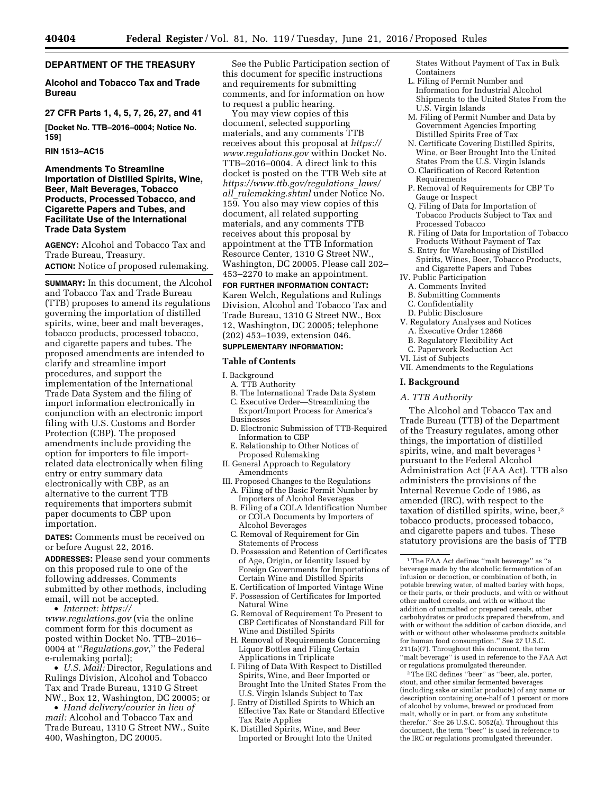# **DEPARTMENT OF THE TREASURY**

# **Alcohol and Tobacco Tax and Trade Bureau**

# **27 CFR Parts 1, 4, 5, 7, 26, 27, and 41**

**[Docket No. TTB–2016–0004; Notice No. 159]** 

#### **RIN 1513–AC15**

# **Amendments To Streamline Importation of Distilled Spirits, Wine, Beer, Malt Beverages, Tobacco Products, Processed Tobacco, and Cigarette Papers and Tubes, and Facilitate Use of the International Trade Data System**

**AGENCY:** Alcohol and Tobacco Tax and Trade Bureau, Treasury. **ACTION:** Notice of proposed rulemaking.

**SUMMARY:** In this document, the Alcohol and Tobacco Tax and Trade Bureau (TTB) proposes to amend its regulations governing the importation of distilled spirits, wine, beer and malt beverages, tobacco products, processed tobacco, and cigarette papers and tubes. The proposed amendments are intended to clarify and streamline import procedures, and support the implementation of the International Trade Data System and the filing of import information electronically in conjunction with an electronic import filing with U.S. Customs and Border Protection (CBP). The proposed amendments include providing the option for importers to file importrelated data electronically when filing entry or entry summary data electronically with CBP, as an alternative to the current TTB requirements that importers submit paper documents to CBP upon importation.

**DATES:** Comments must be received on or before August 22, 2016.

**ADDRESSES:** Please send your comments on this proposed rule to one of the following addresses. Comments submitted by other methods, including email, will not be accepted.

• *Internet: [https://](https://www.regulations.gov)*

*[www.regulations.gov](https://www.regulations.gov)* (via the online comment form for this document as posted within Docket No. TTB–2016– 0004 at ''*Regulations.gov*,'' the Federal e-rulemaking portal);

• *U.S. Mail:* Director, Regulations and Rulings Division, Alcohol and Tobacco Tax and Trade Bureau, 1310 G Street NW., Box 12, Washington, DC 20005; or

• *Hand delivery/courier in lieu of mail:* Alcohol and Tobacco Tax and Trade Bureau, 1310 G Street NW., Suite 400, Washington, DC 20005.

See the Public Participation section of this document for specific instructions and requirements for submitting comments, and for information on how to request a public hearing.

You may view copies of this document, selected supporting materials, and any comments TTB receives about this proposal at *[https://](https://www.regulations.gov) [www.regulations.gov](https://www.regulations.gov)* within Docket No. TTB–2016–0004. A direct link to this docket is posted on the TTB Web site at *[https://www.ttb.gov/regulations](https://www.ttb.gov/regulations_laws/all_rulemaking.shtml)*\_*laws/ all*\_*[rulemaking.shtml](https://www.ttb.gov/regulations_laws/all_rulemaking.shtml)* under Notice No. 159. You also may view copies of this document, all related supporting materials, and any comments TTB receives about this proposal by appointment at the TTB Information Resource Center, 1310 G Street NW., Washington, DC 20005. Please call 202– 453–2270 to make an appointment.

#### **FOR FURTHER INFORMATION CONTACT:**

Karen Welch, Regulations and Rulings Division, Alcohol and Tobacco Tax and Trade Bureau, 1310 G Street NW., Box 12, Washington, DC 20005; telephone (202) 453–1039, extension 046.

# **SUPPLEMENTARY INFORMATION:**

#### **Table of Contents**

I. Background

- A. TTB Authority
- B. The International Trade Data System
- C. Executive Order—Streamlining the Export/Import Process for America's Businesses
- 
- D. Electronic Submission of TTB-Required Information to CBP
- E. Relationship to Other Notices of Proposed Rulemaking
- II. General Approach to Regulatory Amendments
- III. Proposed Changes to the Regulations A. Filing of the Basic Permit Number by Importers of Alcohol Beverages
- B. Filing of a COLA Identification Number or COLA Documents by Importers of Alcohol Beverages
- C. Removal of Requirement for Gin Statements of Process
- D. Possession and Retention of Certificates of Age, Origin, or Identity Issued by Foreign Governments for Importations of Certain Wine and Distilled Spirits
- E. Certification of Imported Vintage Wine F. Possession of Certificates for Imported Natural Wine
- G. Removal of Requirement To Present to CBP Certificates of Nonstandard Fill for Wine and Distilled Spirits
- H. Removal of Requirements Concerning Liquor Bottles and Filing Certain Applications in Triplicate
- I. Filing of Data With Respect to Distilled Spirits, Wine, and Beer Imported or Brought Into the United States From the U.S. Virgin Islands Subject to Tax
- J. Entry of Distilled Spirits to Which an Effective Tax Rate or Standard Effective Tax Rate Applies
- K. Distilled Spirits, Wine, and Beer Imported or Brought Into the United

States Without Payment of Tax in Bulk **Containers** 

- L. Filing of Permit Number and Information for Industrial Alcohol Shipments to the United States From the U.S. Virgin Islands
- M. Filing of Permit Number and Data by Government Agencies Importing Distilled Spirits Free of Tax
- N. Certificate Covering Distilled Spirits, Wine, or Beer Brought Into the United States From the U.S. Virgin Islands
- O. Clarification of Record Retention Requirements
- P. Removal of Requirements for CBP To Gauge or Inspect
- Q. Filing of Data for Importation of Tobacco Products Subject to Tax and Processed Tobacco
- R. Filing of Data for Importation of Tobacco Products Without Payment of Tax
- S. Entry for Warehousing of Distilled Spirits, Wines, Beer, Tobacco Products, and Cigarette Papers and Tubes
- IV. Public Participation A. Comments Invited
- B. Submitting Comments
- C. Confidentiality
- D. Public Disclosure
- V. Regulatory Analyses and Notices
- A. Executive Order 12866
- B. Regulatory Flexibility Act
- C. Paperwork Reduction Act
- VI. List of Subjects
- VII. Amendments to the Regulations

#### **I. Background**

#### *A. TTB Authority*

The Alcohol and Tobacco Tax and Trade Bureau (TTB) of the Department of the Treasury regulates, among other things, the importation of distilled spirits, wine, and malt beverages<sup>1</sup> pursuant to the Federal Alcohol Administration Act (FAA Act). TTB also administers the provisions of the Internal Revenue Code of 1986, as amended (IRC), with respect to the taxation of distilled spirits, wine, beer,<sup>2</sup> tobacco products, processed tobacco, and cigarette papers and tubes. These statutory provisions are the basis of TTB

2The IRC defines ''beer'' as ''beer, ale, porter, stout, and other similar fermented beverages (including sake or similar products) of any name or description containing one-half of 1 percent or more of alcohol by volume, brewed or produced from malt, wholly or in part, or from any substitute therefor.'' See 26 U.S.C. 5052(a). Throughout this document, the term ''beer'' is used in reference to the IRC or regulations promulgated thereunder.

<sup>1</sup>The FAA Act defines ''malt beverage'' as ''a beverage made by the alcoholic fermentation of an infusion or decoction, or combination of both, in potable brewing water, of malted barley with hops, or their parts, or their products, and with or without other malted cereals, and with or without the addition of unmalted or prepared cereals, other carbohydrates or products prepared therefrom, and with or without the addition of carbon dioxide, and with or without other wholesome products suitable for human food consumption.'' See 27 U.S.C. 211(a)(7). Throughout this document, the term ''malt beverage'' is used in reference to the FAA Act or regulations promulgated thereunder.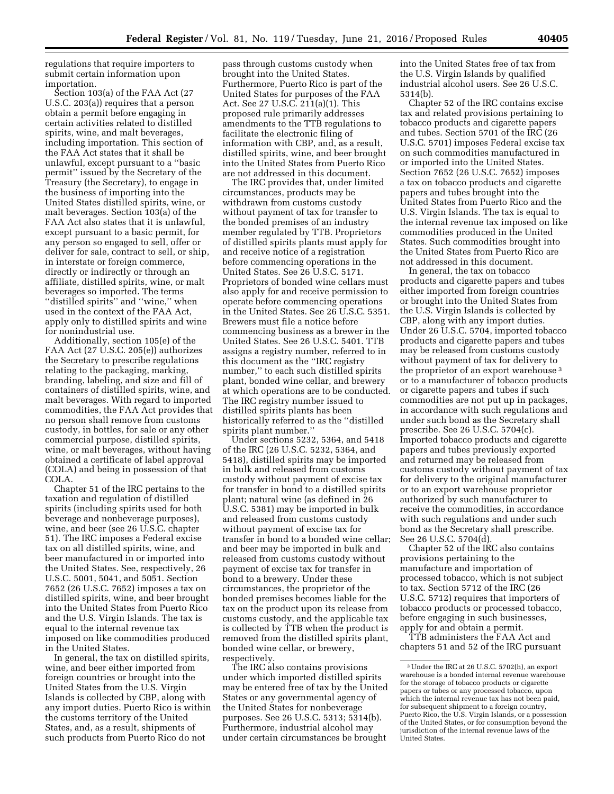regulations that require importers to submit certain information upon importation.

Section 103(a) of the FAA Act (27 U.S.C. 203(a)) requires that a person obtain a permit before engaging in certain activities related to distilled spirits, wine, and malt beverages, including importation. This section of the FAA Act states that it shall be unlawful, except pursuant to a ''basic permit'' issued by the Secretary of the Treasury (the Secretary), to engage in the business of importing into the United States distilled spirits, wine, or malt beverages. Section 103(a) of the FAA Act also states that it is unlawful, except pursuant to a basic permit, for any person so engaged to sell, offer or deliver for sale, contract to sell, or ship, in interstate or foreign commerce, directly or indirectly or through an affiliate, distilled spirits, wine, or malt beverages so imported. The terms ''distilled spirits'' and ''wine,'' when used in the context of the FAA Act, apply only to distilled spirits and wine for nonindustrial use.

Additionally, section 105(e) of the FAA Act (27 U.S.C. 205(e)) authorizes the Secretary to prescribe regulations relating to the packaging, marking, branding, labeling, and size and fill of containers of distilled spirits, wine, and malt beverages. With regard to imported commodities, the FAA Act provides that no person shall remove from customs custody, in bottles, for sale or any other commercial purpose, distilled spirits, wine, or malt beverages, without having obtained a certificate of label approval (COLA) and being in possession of that COLA.

Chapter 51 of the IRC pertains to the taxation and regulation of distilled spirits (including spirits used for both beverage and nonbeverage purposes), wine, and beer (see 26 U.S.C. chapter 51). The IRC imposes a Federal excise tax on all distilled spirits, wine, and beer manufactured in or imported into the United States. See, respectively, 26 U.S.C. 5001, 5041, and 5051. Section 7652 (26 U.S.C. 7652) imposes a tax on distilled spirits, wine, and beer brought into the United States from Puerto Rico and the U.S. Virgin Islands. The tax is equal to the internal revenue tax imposed on like commodities produced in the United States.

In general, the tax on distilled spirits, wine, and beer either imported from foreign countries or brought into the United States from the U.S. Virgin Islands is collected by CBP, along with any import duties. Puerto Rico is within the customs territory of the United States, and, as a result, shipments of such products from Puerto Rico do not

pass through customs custody when brought into the United States. Furthermore, Puerto Rico is part of the United States for purposes of the FAA Act. See 27 U.S.C. 211(a)(1). This proposed rule primarily addresses amendments to the TTB regulations to facilitate the electronic filing of information with CBP, and, as a result, distilled spirits, wine, and beer brought into the United States from Puerto Rico are not addressed in this document.

The IRC provides that, under limited circumstances, products may be withdrawn from customs custody without payment of tax for transfer to the bonded premises of an industry member regulated by TTB. Proprietors of distilled spirits plants must apply for and receive notice of a registration before commencing operations in the United States. See 26 U.S.C. 5171. Proprietors of bonded wine cellars must also apply for and receive permission to operate before commencing operations in the United States. See 26 U.S.C. 5351. Brewers must file a notice before commencing business as a brewer in the United States. See 26 U.S.C. 5401. TTB assigns a registry number, referred to in this document as the ''IRC registry number,'' to each such distilled spirits plant, bonded wine cellar, and brewery at which operations are to be conducted. The IRC registry number issued to distilled spirits plants has been historically referred to as the ''distilled spirits plant number.''

Under sections 5232, 5364, and 5418 of the IRC (26 U.S.C. 5232, 5364, and 5418), distilled spirits may be imported in bulk and released from customs custody without payment of excise tax for transfer in bond to a distilled spirits plant; natural wine (as defined in 26 U.S.C. 5381) may be imported in bulk and released from customs custody without payment of excise tax for transfer in bond to a bonded wine cellar; and beer may be imported in bulk and released from customs custody without payment of excise tax for transfer in bond to a brewery. Under these circumstances, the proprietor of the bonded premises becomes liable for the tax on the product upon its release from customs custody, and the applicable tax is collected by TTB when the product is removed from the distilled spirits plant, bonded wine cellar, or brewery, respectively.

The IRC also contains provisions under which imported distilled spirits may be entered free of tax by the United States or any governmental agency of the United States for nonbeverage purposes. See 26 U.S.C. 5313; 5314(b). Furthermore, industrial alcohol may under certain circumstances be brought

into the United States free of tax from the U.S. Virgin Islands by qualified industrial alcohol users. See 26 U.S.C. 5314(b).

Chapter 52 of the IRC contains excise tax and related provisions pertaining to tobacco products and cigarette papers and tubes. Section 5701 of the IRC (26 U.S.C. 5701) imposes Federal excise tax on such commodities manufactured in or imported into the United States. Section 7652 (26 U.S.C. 7652) imposes a tax on tobacco products and cigarette papers and tubes brought into the United States from Puerto Rico and the U.S. Virgin Islands. The tax is equal to the internal revenue tax imposed on like commodities produced in the United States. Such commodities brought into the United States from Puerto Rico are not addressed in this document.

In general, the tax on tobacco products and cigarette papers and tubes either imported from foreign countries or brought into the United States from the U.S. Virgin Islands is collected by CBP, along with any import duties. Under 26 U.S.C. 5704, imported tobacco products and cigarette papers and tubes may be released from customs custody without payment of tax for delivery to the proprietor of an export warehouse 3 or to a manufacturer of tobacco products or cigarette papers and tubes if such commodities are not put up in packages, in accordance with such regulations and under such bond as the Secretary shall prescribe. See 26 U.S.C. 5704(c). Imported tobacco products and cigarette papers and tubes previously exported and returned may be released from customs custody without payment of tax for delivery to the original manufacturer or to an export warehouse proprietor authorized by such manufacturer to receive the commodities, in accordance with such regulations and under such bond as the Secretary shall prescribe. See 26 U.S.C. 5704(d).

Chapter 52 of the IRC also contains provisions pertaining to the manufacture and importation of processed tobacco, which is not subject to tax. Section 5712 of the IRC (26 U.S.C. 5712) requires that importers of tobacco products or processed tobacco, before engaging in such businesses, apply for and obtain a permit.

TTB administers the FAA Act and chapters 51 and 52 of the IRC pursuant

<sup>3</sup>Under the IRC at 26 U.S.C. 5702(h), an export warehouse is a bonded internal revenue warehouse for the storage of tobacco products or cigarette papers or tubes or any processed tobacco, upon which the internal revenue tax has not been paid, for subsequent shipment to a foreign country, Puerto Rico, the U.S. Virgin Islands, or a possession of the United States, or for consumption beyond the jurisdiction of the internal revenue laws of the United States.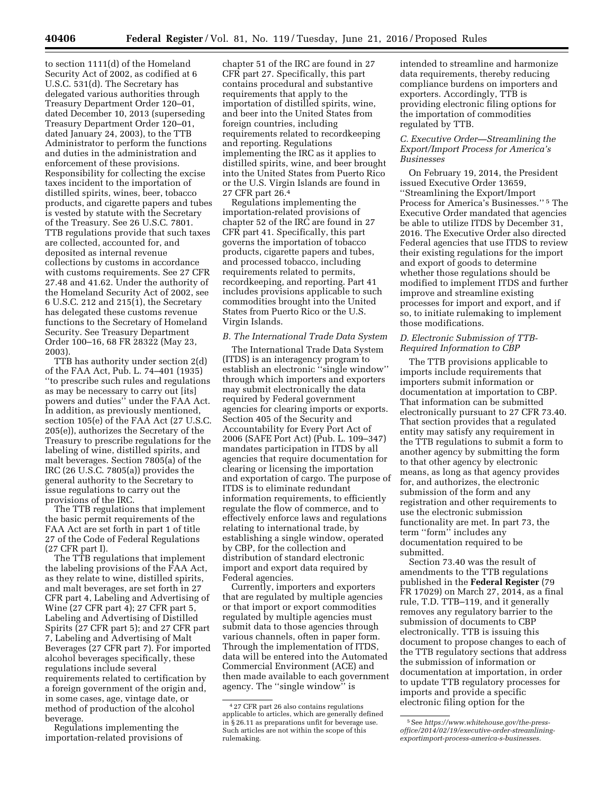to section 1111(d) of the Homeland Security Act of 2002, as codified at 6 U.S.C. 531(d). The Secretary has delegated various authorities through Treasury Department Order 120–01, dated December 10, 2013 (superseding Treasury Department Order 120–01, dated January 24, 2003), to the TTB Administrator to perform the functions and duties in the administration and enforcement of these provisions. Responsibility for collecting the excise taxes incident to the importation of distilled spirits, wines, beer, tobacco products, and cigarette papers and tubes is vested by statute with the Secretary of the Treasury. See 26 U.S.C. 7801. TTB regulations provide that such taxes are collected, accounted for, and deposited as internal revenue collections by customs in accordance with customs requirements. See 27 CFR 27.48 and 41.62. Under the authority of the Homeland Security Act of 2002, see 6 U.S.C. 212 and 215(1), the Secretary has delegated these customs revenue functions to the Secretary of Homeland Security. See Treasury Department Order 100–16, 68 FR 28322 (May 23, 2003).

TTB has authority under section 2(d) of the FAA Act, Pub. L. 74–401 (1935) ''to prescribe such rules and regulations as may be necessary to carry out [its] powers and duties'' under the FAA Act. In addition, as previously mentioned, section 105(e) of the FAA Act (27 U.S.C. 205(e)), authorizes the Secretary of the Treasury to prescribe regulations for the labeling of wine, distilled spirits, and malt beverages. Section 7805(a) of the IRC (26 U.S.C. 7805(a)) provides the general authority to the Secretary to issue regulations to carry out the provisions of the IRC.

The TTB regulations that implement the basic permit requirements of the FAA Act are set forth in part 1 of title 27 of the Code of Federal Regulations (27 CFR part I).

The TTB regulations that implement the labeling provisions of the FAA Act, as they relate to wine, distilled spirits, and malt beverages, are set forth in 27 CFR part 4, Labeling and Advertising of Wine (27 CFR part 4); 27 CFR part 5, Labeling and Advertising of Distilled Spirits (27 CFR part 5); and 27 CFR part 7, Labeling and Advertising of Malt Beverages (27 CFR part 7). For imported alcohol beverages specifically, these regulations include several requirements related to certification by a foreign government of the origin and, in some cases, age, vintage date, or method of production of the alcohol beverage.

Regulations implementing the importation-related provisions of

chapter 51 of the IRC are found in 27 CFR part 27. Specifically, this part contains procedural and substantive requirements that apply to the importation of distilled spirits, wine, and beer into the United States from foreign countries, including requirements related to recordkeeping and reporting. Regulations implementing the IRC as it applies to distilled spirits, wine, and beer brought into the United States from Puerto Rico or the U.S. Virgin Islands are found in 27 CFR part 26.4

Regulations implementing the importation-related provisions of chapter 52 of the IRC are found in 27 CFR part 41. Specifically, this part governs the importation of tobacco products, cigarette papers and tubes, and processed tobacco, including requirements related to permits, recordkeeping, and reporting. Part 41 includes provisions applicable to such commodities brought into the United States from Puerto Rico or the U.S. Virgin Islands.

# *B. The International Trade Data System*

The International Trade Data System (ITDS) is an interagency program to establish an electronic ''single window'' through which importers and exporters may submit electronically the data required by Federal government agencies for clearing imports or exports. Section 405 of the Security and Accountability for Every Port Act of 2006 (SAFE Port Act) (Pub. L. 109–347) mandates participation in ITDS by all agencies that require documentation for clearing or licensing the importation and exportation of cargo. The purpose of ITDS is to eliminate redundant information requirements, to efficiently regulate the flow of commerce, and to effectively enforce laws and regulations relating to international trade, by establishing a single window, operated by CBP, for the collection and distribution of standard electronic import and export data required by Federal agencies.

Currently, importers and exporters that are regulated by multiple agencies or that import or export commodities regulated by multiple agencies must submit data to those agencies through various channels, often in paper form. Through the implementation of ITDS, data will be entered into the Automated Commercial Environment (ACE) and then made available to each government agency. The ''single window'' is

intended to streamline and harmonize data requirements, thereby reducing compliance burdens on importers and exporters. Accordingly, TTB is providing electronic filing options for the importation of commodities regulated by TTB.

## *C. Executive Order—Streamlining the Export/Import Process for America's Businesses*

On February 19, 2014, the President issued Executive Order 13659, ''Streamlining the Export/Import Process for America's Businesses.'' 5 The Executive Order mandated that agencies be able to utilize ITDS by December 31, 2016. The Executive Order also directed Federal agencies that use ITDS to review their existing regulations for the import and export of goods to determine whether those regulations should be modified to implement ITDS and further improve and streamline existing processes for import and export, and if so, to initiate rulemaking to implement those modifications.

# *D. Electronic Submission of TTB-Required Information to CBP*

The TTB provisions applicable to imports include requirements that importers submit information or documentation at importation to CBP. That information can be submitted electronically pursuant to 27 CFR 73.40. That section provides that a regulated entity may satisfy any requirement in the TTB regulations to submit a form to another agency by submitting the form to that other agency by electronic means, as long as that agency provides for, and authorizes, the electronic submission of the form and any registration and other requirements to use the electronic submission functionality are met. In part 73, the term ''form'' includes any documentation required to be submitted.

Section 73.40 was the result of amendments to the TTB regulations published in the **Federal Register** (79 FR 17029) on March 27, 2014, as a final rule, T.D. TTB–119, and it generally removes any regulatory barrier to the submission of documents to CBP electronically. TTB is issuing this document to propose changes to each of the TTB regulatory sections that address the submission of information or documentation at importation, in order to update TTB regulatory processes for imports and provide a specific electronic filing option for the

<sup>4</sup> 27 CFR part 26 also contains regulations applicable to articles, which are generally defined in § 26.11 as preparations unfit for beverage use. Such articles are not within the scope of this rulemaking.

<sup>5</sup>See *https://www.whitehouse.gov/the-pressoffice/2014/02/19/executive-order-streamliningexportimport-process-america-s-businesses.*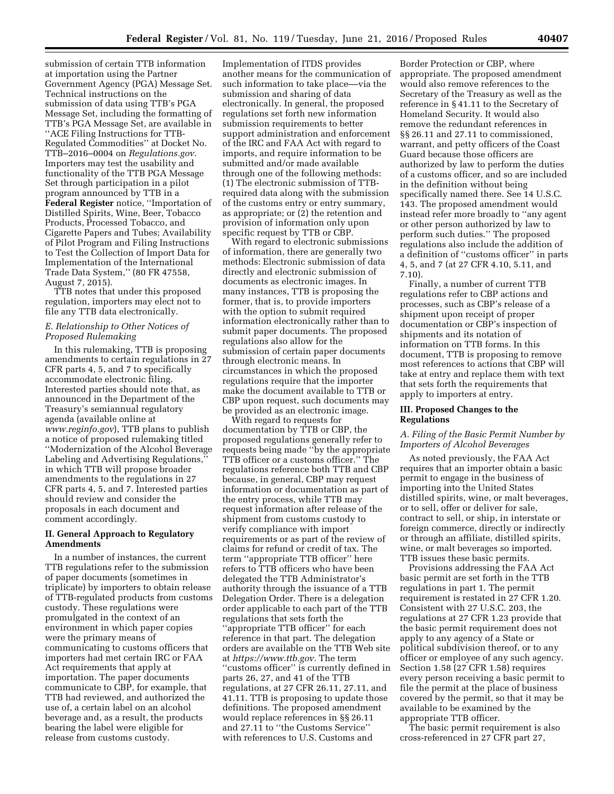submission of certain TTB information at importation using the Partner Government Agency (PGA) Message Set. Technical instructions on the submission of data using TTB's PGA Message Set, including the formatting of TTB's PGA Message Set, are available in ''ACE Filing Instructions for TTB-Regulated Commodities'' at Docket No. TTB–2016–0004 on *Regulations.gov*. Importers may test the usability and functionality of the TTB PGA Message Set through participation in a pilot program announced by TTB in a **Federal Register** notice, ''Importation of Distilled Spirits, Wine, Beer, Tobacco Products, Processed Tobacco, and Cigarette Papers and Tubes; Availability of Pilot Program and Filing Instructions to Test the Collection of Import Data for Implementation of the International Trade Data System,'' (80 FR 47558, August 7, 2015).

TTB notes that under this proposed regulation, importers may elect not to file any TTB data electronically.

# *E. Relationship to Other Notices of Proposed Rulemaking*

In this rulemaking, TTB is proposing amendments to certain regulations in 27 CFR parts 4, 5, and 7 to specifically accommodate electronic filing. Interested parties should note that, as announced in the Department of the Treasury's semiannual regulatory agenda (available online at *[www.reginfo.gov](http://www.reginfo.gov)*), TTB plans to publish a notice of proposed rulemaking titled ''Modernization of the Alcohol Beverage Labeling and Advertising Regulations,'' in which TTB will propose broader amendments to the regulations in 27 CFR parts 4, 5, and 7. Interested parties should review and consider the proposals in each document and comment accordingly.

# **II. General Approach to Regulatory Amendments**

In a number of instances, the current TTB regulations refer to the submission of paper documents (sometimes in triplicate) by importers to obtain release of TTB-regulated products from customs custody. These regulations were promulgated in the context of an environment in which paper copies were the primary means of communicating to customs officers that importers had met certain IRC or FAA Act requirements that apply at importation. The paper documents communicate to CBP, for example, that TTB had reviewed, and authorized the use of, a certain label on an alcohol beverage and, as a result, the products bearing the label were eligible for release from customs custody.

Implementation of ITDS provides another means for the communication of such information to take place––via the submission and sharing of data electronically. In general, the proposed regulations set forth new information submission requirements to better support administration and enforcement of the IRC and FAA Act with regard to imports, and require information to be submitted and/or made available through one of the following methods: (1) The electronic submission of TTBrequired data along with the submission of the customs entry or entry summary, as appropriate; or (2) the retention and provision of information only upon specific request by TTB or CBP.

With regard to electronic submissions of information, there are generally two methods: Electronic submission of data directly and electronic submission of documents as electronic images. In many instances, TTB is proposing the former, that is, to provide importers with the option to submit required information electronically rather than to submit paper documents. The proposed regulations also allow for the submission of certain paper documents through electronic means. In circumstances in which the proposed regulations require that the importer make the document available to TTB or CBP upon request, such documents may be provided as an electronic image.

With regard to requests for documentation by TTB or CBP, the proposed regulations generally refer to requests being made ''by the appropriate TTB officer or a customs officer.'' The regulations reference both TTB and CBP because, in general, CBP may request information or documentation as part of the entry process, while TTB may request information after release of the shipment from customs custody to verify compliance with import requirements or as part of the review of claims for refund or credit of tax. The term ''appropriate TTB officer'' here refers to TTB officers who have been delegated the TTB Administrator's authority through the issuance of a TTB Delegation Order. There is a delegation order applicable to each part of the TTB regulations that sets forth the ''appropriate TTB officer'' for each reference in that part. The delegation orders are available on the TTB Web site at *[https://www.ttb.gov.](https://www.ttb.gov)* The term ''customs officer'' is currently defined in parts 26, 27, and 41 of the TTB regulations, at 27 CFR 26.11, 27.11, and 41.11. TTB is proposing to update those definitions. The proposed amendment would replace references in §§ 26.11 and 27.11 to ''the Customs Service'' with references to U.S. Customs and

Border Protection or CBP, where appropriate. The proposed amendment would also remove references to the Secretary of the Treasury as well as the reference in § 41.11 to the Secretary of Homeland Security. It would also remove the redundant references in §§ 26.11 and 27.11 to commissioned, warrant, and petty officers of the Coast Guard because those officers are authorized by law to perform the duties of a customs officer, and so are included in the definition without being specifically named there. See 14 U.S.C. 143. The proposed amendment would instead refer more broadly to ''any agent or other person authorized by law to perform such duties.'' The proposed regulations also include the addition of a definition of ''customs officer'' in parts 4, 5, and 7 (at 27 CFR 4.10, 5.11, and 7.10).

Finally, a number of current TTB regulations refer to CBP actions and processes, such as CBP's release of a shipment upon receipt of proper documentation or CBP's inspection of shipments and its notation of information on TTB forms. In this document, TTB is proposing to remove most references to actions that CBP will take at entry and replace them with text that sets forth the requirements that apply to importers at entry.

#### **III. Proposed Changes to the Regulations**

# *A. Filing of the Basic Permit Number by Importers of Alcohol Beverages*

As noted previously, the FAA Act requires that an importer obtain a basic permit to engage in the business of importing into the United States distilled spirits, wine, or malt beverages, or to sell, offer or deliver for sale, contract to sell, or ship, in interstate or foreign commerce, directly or indirectly or through an affiliate, distilled spirits, wine, or malt beverages so imported. TTB issues these basic permits.

Provisions addressing the FAA Act basic permit are set forth in the TTB regulations in part 1. The permit requirement is restated in 27 CFR 1.20. Consistent with 27 U.S.C. 203, the regulations at 27 CFR 1.23 provide that the basic permit requirement does not apply to any agency of a State or political subdivision thereof, or to any officer or employee of any such agency. Section 1.58 (27 CFR 1.58) requires every person receiving a basic permit to file the permit at the place of business covered by the permit, so that it may be available to be examined by the appropriate TTB officer.

The basic permit requirement is also cross-referenced in 27 CFR part 27,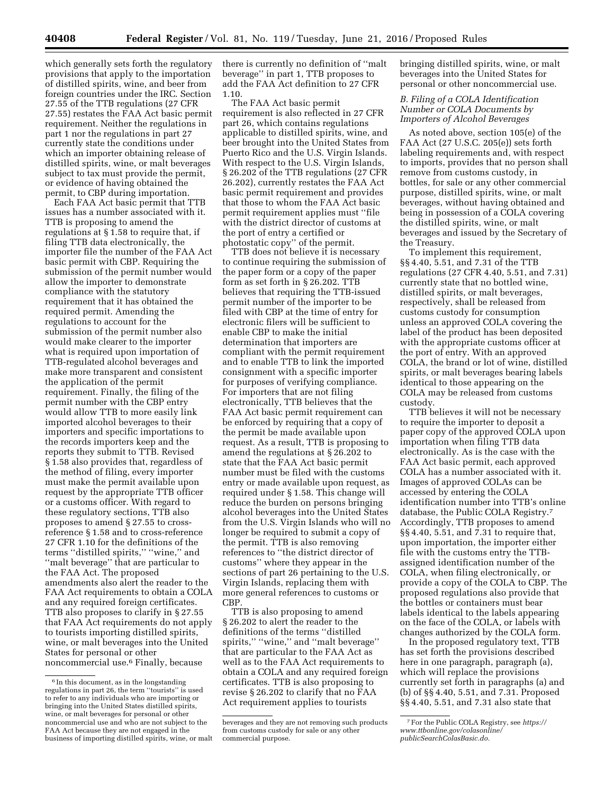which generally sets forth the regulatory provisions that apply to the importation of distilled spirits, wine, and beer from foreign countries under the IRC. Section 27.55 of the TTB regulations (27 CFR 27.55) restates the FAA Act basic permit requirement. Neither the regulations in part 1 nor the regulations in part 27 currently state the conditions under which an importer obtaining release of distilled spirits, wine, or malt beverages subject to tax must provide the permit, or evidence of having obtained the permit, to CBP during importation.

Each FAA Act basic permit that TTB issues has a number associated with it. TTB is proposing to amend the regulations at § 1.58 to require that, if filing TTB data electronically, the importer file the number of the FAA Act basic permit with CBP. Requiring the submission of the permit number would allow the importer to demonstrate compliance with the statutory requirement that it has obtained the required permit. Amending the regulations to account for the submission of the permit number also would make clearer to the importer what is required upon importation of TTB-regulated alcohol beverages and make more transparent and consistent the application of the permit requirement. Finally, the filing of the permit number with the CBP entry would allow TTB to more easily link imported alcohol beverages to their importers and specific importations to the records importers keep and the reports they submit to TTB. Revised § 1.58 also provides that, regardless of the method of filing, every importer must make the permit available upon request by the appropriate TTB officer or a customs officer. With regard to these regulatory sections, TTB also proposes to amend § 27.55 to crossreference § 1.58 and to cross-reference 27 CFR 1.10 for the definitions of the terms ''distilled spirits,'' ''wine,'' and ''malt beverage'' that are particular to the FAA Act. The proposed amendments also alert the reader to the FAA Act requirements to obtain a COLA and any required foreign certificates. TTB also proposes to clarify in § 27.55 that FAA Act requirements do not apply to tourists importing distilled spirits, wine, or malt beverages into the United States for personal or other noncommercial use.6 Finally, because

there is currently no definition of ''malt beverage'' in part 1, TTB proposes to add the FAA Act definition to 27 CFR 1.10.

The FAA Act basic permit requirement is also reflected in 27 CFR part 26, which contains regulations applicable to distilled spirits, wine, and beer brought into the United States from Puerto Rico and the U.S. Virgin Islands. With respect to the U.S. Virgin Islands, § 26.202 of the TTB regulations (27 CFR 26.202), currently restates the FAA Act basic permit requirement and provides that those to whom the FAA Act basic permit requirement applies must ''file with the district director of customs at the port of entry a certified or photostatic copy'' of the permit.

TTB does not believe it is necessary to continue requiring the submission of the paper form or a copy of the paper form as set forth in § 26.202. TTB believes that requiring the TTB-issued permit number of the importer to be filed with CBP at the time of entry for electronic filers will be sufficient to enable CBP to make the initial determination that importers are compliant with the permit requirement and to enable TTB to link the imported consignment with a specific importer for purposes of verifying compliance. For importers that are not filing electronically, TTB believes that the FAA Act basic permit requirement can be enforced by requiring that a copy of the permit be made available upon request. As a result, TTB is proposing to amend the regulations at § 26.202 to state that the FAA Act basic permit number must be filed with the customs entry or made available upon request, as required under § 1.58. This change will reduce the burden on persons bringing alcohol beverages into the United States from the U.S. Virgin Islands who will no longer be required to submit a copy of the permit. TTB is also removing references to ''the district director of customs'' where they appear in the sections of part 26 pertaining to the U.S. Virgin Islands, replacing them with more general references to customs or CBP.

TTB is also proposing to amend § 26.202 to alert the reader to the definitions of the terms ''distilled spirits," "wine," and "malt beverage" that are particular to the FAA Act as well as to the FAA Act requirements to obtain a COLA and any required foreign certificates. TTB is also proposing to revise § 26.202 to clarify that no FAA Act requirement applies to tourists

bringing distilled spirits, wine, or malt beverages into the United States for personal or other noncommercial use.

# *B. Filing of a COLA Identification Number or COLA Documents by Importers of Alcohol Beverages*

As noted above, section 105(e) of the FAA Act (27 U.S.C. 205(e)) sets forth labeling requirements and, with respect to imports, provides that no person shall remove from customs custody, in bottles, for sale or any other commercial purpose, distilled spirits, wine, or malt beverages, without having obtained and being in possession of a COLA covering the distilled spirits, wine, or malt beverages and issued by the Secretary of the Treasury.

To implement this requirement, §§ 4.40, 5.51, and 7.31 of the TTB regulations (27 CFR 4.40, 5.51, and 7.31) currently state that no bottled wine, distilled spirits, or malt beverages, respectively, shall be released from customs custody for consumption unless an approved COLA covering the label of the product has been deposited with the appropriate customs officer at the port of entry. With an approved COLA, the brand or lot of wine, distilled spirits, or malt beverages bearing labels identical to those appearing on the COLA may be released from customs custody.

TTB believes it will not be necessary to require the importer to deposit a paper copy of the approved COLA upon importation when filing TTB data electronically. As is the case with the FAA Act basic permit, each approved COLA has a number associated with it. Images of approved COLAs can be accessed by entering the COLA identification number into TTB's online database, the Public COLA Registry.7 Accordingly, TTB proposes to amend §§ 4.40, 5.51, and 7.31 to require that, upon importation, the importer either file with the customs entry the TTBassigned identification number of the COLA, when filing electronically, or provide a copy of the COLA to CBP. The proposed regulations also provide that the bottles or containers must bear labels identical to the labels appearing on the face of the COLA, or labels with changes authorized by the COLA form.

In the proposed regulatory text, TTB has set forth the provisions described here in one paragraph, paragraph (a), which will replace the provisions currently set forth in paragraphs (a) and (b) of §§ 4.40, 5.51, and 7.31. Proposed §§ 4.40, 5.51, and 7.31 also state that

<sup>&</sup>lt;sup>6</sup> In this document, as in the longstanding regulations in part 26, the term ''tourists'' is used to refer to any individuals who are importing or bringing into the United States distilled spirits, wine, or malt beverages for personal or other noncommercial use and who are not subject to the FAA Act because they are not engaged in the business of importing distilled spirits, wine, or malt

beverages and they are not removing such products from customs custody for sale or any other commercial purpose.

<sup>7</sup>For the Public COLA Registry, see *[https://](https://www.ttbonline.gov/colasonline/publicSearchColasBasic.do) [www.ttbonline.gov/colasonline/](https://www.ttbonline.gov/colasonline/publicSearchColasBasic.do) [publicSearchColasBasic.do.](https://www.ttbonline.gov/colasonline/publicSearchColasBasic.do)*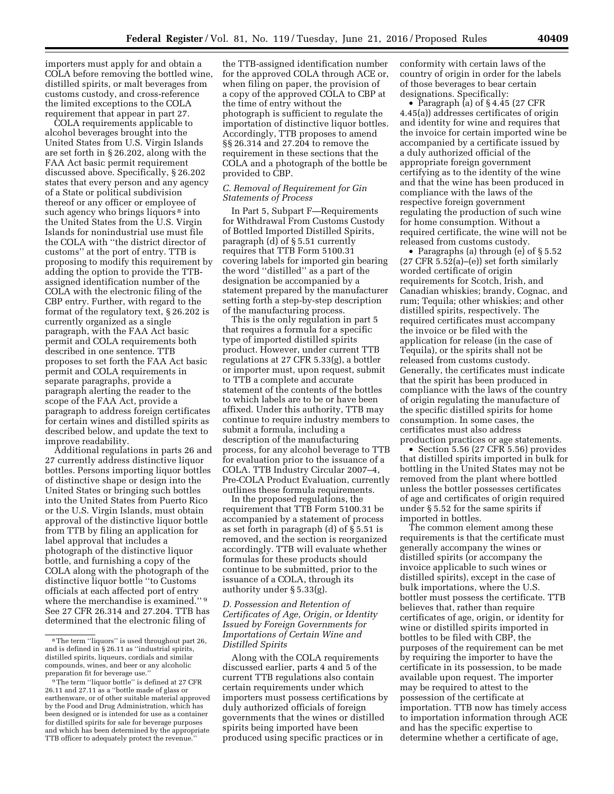importers must apply for and obtain a COLA before removing the bottled wine, distilled spirits, or malt beverages from customs custody, and cross-reference the limited exceptions to the COLA requirement that appear in part 27.

COLA requirements applicable to alcohol beverages brought into the United States from U.S. Virgin Islands are set forth in § 26.202, along with the FAA Act basic permit requirement discussed above. Specifically, § 26.202 states that every person and any agency of a State or political subdivision thereof or any officer or employee of such agency who brings liquors<sup>8</sup> into the United States from the U.S. Virgin Islands for nonindustrial use must file the COLA with ''the district director of customs'' at the port of entry. TTB is proposing to modify this requirement by adding the option to provide the TTBassigned identification number of the COLA with the electronic filing of the CBP entry. Further, with regard to the format of the regulatory text, § 26.202 is currently organized as a single paragraph, with the FAA Act basic permit and COLA requirements both described in one sentence. TTB proposes to set forth the FAA Act basic permit and COLA requirements in separate paragraphs, provide a paragraph alerting the reader to the scope of the FAA Act, provide a paragraph to address foreign certificates for certain wines and distilled spirits as described below, and update the text to improve readability.

Additional regulations in parts 26 and 27 currently address distinctive liquor bottles. Persons importing liquor bottles of distinctive shape or design into the United States or bringing such bottles into the United States from Puerto Rico or the U.S. Virgin Islands, must obtain approval of the distinctive liquor bottle from TTB by filing an application for label approval that includes a photograph of the distinctive liquor bottle, and furnishing a copy of the COLA along with the photograph of the distinctive liquor bottle ''to Customs officials at each affected port of entry where the merchandise is examined."<sup>9</sup> See 27 CFR 26.314 and 27.204. TTB has determined that the electronic filing of

the TTB-assigned identification number for the approved COLA through ACE or, when filing on paper, the provision of a copy of the approved COLA to CBP at the time of entry without the photograph is sufficient to regulate the importation of distinctive liquor bottles. Accordingly, TTB proposes to amend §§ 26.314 and 27.204 to remove the requirement in these sections that the COLA and a photograph of the bottle be provided to CBP.

# *C. Removal of Requirement for Gin Statements of Process*

In Part 5, Subpart F—Requirements for Withdrawal From Customs Custody of Bottled Imported Distilled Spirits, paragraph (d) of § 5.51 currently requires that TTB Form 5100.31 covering labels for imported gin bearing the word ''distilled'' as a part of the designation be accompanied by a statement prepared by the manufacturer setting forth a step-by-step description of the manufacturing process.

This is the only regulation in part 5 that requires a formula for a specific type of imported distilled spirits product. However, under current TTB regulations at 27 CFR 5.33(g), a bottler or importer must, upon request, submit to TTB a complete and accurate statement of the contents of the bottles to which labels are to be or have been affixed. Under this authority, TTB may continue to require industry members to submit a formula, including a description of the manufacturing process, for any alcohol beverage to TTB for evaluation prior to the issuance of a COLA. TTB Industry Circular 2007–4, Pre-COLA Product Evaluation, currently outlines these formula requirements.

In the proposed regulations, the requirement that TTB Form 5100.31 be accompanied by a statement of process as set forth in paragraph (d) of § 5.51 is removed, and the section is reorganized accordingly. TTB will evaluate whether formulas for these products should continue to be submitted, prior to the issuance of a COLA, through its authority under § 5.33(g).

# *D. Possession and Retention of Certificates of Age, Origin, or Identity Issued by Foreign Governments for Importations of Certain Wine and Distilled Spirits*

Along with the COLA requirements discussed earlier, parts 4 and 5 of the current TTB regulations also contain certain requirements under which importers must possess certifications by duly authorized officials of foreign governments that the wines or distilled spirits being imported have been produced using specific practices or in

conformity with certain laws of the country of origin in order for the labels of those beverages to bear certain designations. Specifically:

• Paragraph (a) of §4.45 (27 CFR 4.45(a)) addresses certificates of origin and identity for wine and requires that the invoice for certain imported wine be accompanied by a certificate issued by a duly authorized official of the appropriate foreign government certifying as to the identity of the wine and that the wine has been produced in compliance with the laws of the respective foreign government regulating the production of such wine for home consumption. Without a required certificate, the wine will not be released from customs custody.

• Paragraphs (a) through (e) of § 5.52  $(27 \text{ CFR } 5.52(a)$ – $(e)$ ) set forth similarly worded certificate of origin requirements for Scotch, Irish, and Canadian whiskies; brandy, Cognac, and rum; Tequila; other whiskies; and other distilled spirits, respectively. The required certificates must accompany the invoice or be filed with the application for release (in the case of Tequila), or the spirits shall not be released from customs custody. Generally, the certificates must indicate that the spirit has been produced in compliance with the laws of the country of origin regulating the manufacture of the specific distilled spirits for home consumption. In some cases, the certificates must also address production practices or age statements.

• Section 5.56 (27 CFR 5.56) provides that distilled spirits imported in bulk for bottling in the United States may not be removed from the plant where bottled unless the bottler possesses certificates of age and certificates of origin required under § 5.52 for the same spirits if imported in bottles.

The common element among these requirements is that the certificate must generally accompany the wines or distilled spirits (or accompany the invoice applicable to such wines or distilled spirits), except in the case of bulk importations, where the U.S. bottler must possess the certificate. TTB believes that, rather than require certificates of age, origin, or identity for wine or distilled spirits imported in bottles to be filed with CBP, the purposes of the requirement can be met by requiring the importer to have the certificate in its possession, to be made available upon request. The importer may be required to attest to the possession of the certificate at importation. TTB now has timely access to importation information through ACE and has the specific expertise to determine whether a certificate of age,

<sup>8</sup>The term ''liquors'' is used throughout part 26, and is defined in § 26.11 as ''industrial spirits, distilled spirits, liqueurs, cordials and similar compounds, wines, and beer or any alcoholic preparation fit for beverage use.''

<sup>&</sup>lt;sup>9</sup>The term "liquor bottle" is defined at 27 CFR 26.11 and 27.11 as a ''bottle made of glass or earthenware, or of other suitable material approved by the Food and Drug Administration, which has been designed or is intended for use as a container for distilled spirits for sale for beverage purposes and which has been determined by the appropriate TTB officer to adequately protect the revenue.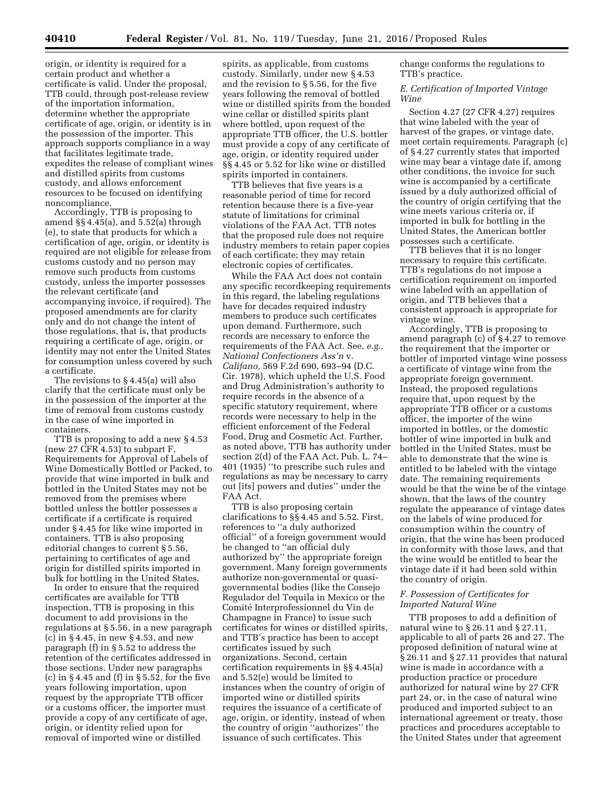origin, or identity is required for a certain product and whether a certificate is valid. Under the proposal, TTB could, through post-release review of the importation information, determine whether the appropriate certificate of age, origin, or identity is in the possession of the importer. This approach supports compliance in a way that facilitates legitimate trade, expedites the release of compliant wines and distilled spirits from customs custody, and allows enforcement resources to be focused on identifying noncompliance.

Accordingly, TTB is proposing to amend §§ 4.45(a), and 5.52(a) through (e), to state that products for which a certification of age, origin, or identity is required are not eligible for release from customs custody and no person may remove such products from customs custody, unless the importer possesses the relevant certificate (and accompanying invoice, if required). The proposed amendments are for clarity only and do not change the intent of those regulations, that is, that products requiring a certificate of age, origin, or identity may not enter the United States for consumption unless covered by such a certificate.

The revisions to § 4.45(a) will also clarify that the certificate must only be in the possession of the importer at the time of removal from customs custody in the case of wine imported in containers.

TTB is proposing to add a new § 4.53 (new 27 CFR 4.53) to subpart F, Requirements for Approval of Labels of Wine Domestically Bottled or Packed, to provide that wine imported in bulk and bottled in the United States may not be removed from the premises where bottled unless the bottler possesses a certificate if a certificate is required under § 4.45 for like wine imported in containers. TTB is also proposing editorial changes to current § 5.56, pertaining to certificates of age and origin for distilled spirits imported in bulk for bottling in the United States.

In order to ensure that the required certificates are available for TTB inspection, TTB is proposing in this document to add provisions in the regulations at § 5.56, in a new paragraph (c) in § 4.45, in new § 4.53, and new paragraph (f) in § 5.52 to address the retention of the certificates addressed in those sections. Under new paragraphs (c) in  $\S 4.45$  and (f) in  $\S 5.52$ , for the five years following importation, upon request by the appropriate TTB officer or a customs officer, the importer must provide a copy of any certificate of age, origin, or identity relied upon for removal of imported wine or distilled

spirits, as applicable, from customs custody. Similarly, under new § 4.53 and the revision to § 5.56, for the five years following the removal of bottled wine or distilled spirits from the bonded wine cellar or distilled spirits plant where bottled, upon request of the appropriate TTB officer, the U.S. bottler must provide a copy of any certificate of age, origin, or identity required under §§ 4.45 or 5.52 for like wine or distilled spirits imported in containers.

TTB believes that five years is a reasonable period of time for record retention because there is a five-year statute of limitations for criminal violations of the FAA Act. TTB notes that the proposed rule does not require industry members to retain paper copies of each certificate; they may retain electronic copies of certificates.

While the FAA Act does not contain any specific recordkeeping requirements in this regard, the labeling regulations have for decades required industry members to produce such certificates upon demand. Furthermore, such records are necessary to enforce the requirements of the FAA Act. See, *e.g., National Confectioners Ass'n* v. *Califano,* 569 F.2d 690, 693–94 (D.C. Cir. 1978), which upheld the U.S. Food and Drug Administration's authority to require records in the absence of a specific statutory requirement, where records were necessary to help in the efficient enforcement of the Federal Food, Drug and Cosmetic Act. Further, as noted above, TTB has authority under section 2(d) of the FAA Act, Pub. L. 74– 401 (1935) ''to prescribe such rules and regulations as may be necessary to carry out [its] powers and duties'' under the FAA Act.

TTB is also proposing certain clarifications to §§ 4.45 and 5.52. First, references to ''a duly authorized official'' of a foreign government would be changed to ''an official duly authorized by'' the appropriate foreign government. Many foreign governments authorize non-governmental or quasigovernmental bodies (like the Consejo Regulador del Tequila in Mexico or the Comité Interprofessionnel du Vin de Champagne in France) to issue such certificates for wines or distilled spirits, and TTB's practice has been to accept certificates issued by such organizations. Second, certain certification requirements in §§ 4.45(a) and 5.52(e) would be limited to instances when the country of origin of imported wine or distilled spirits requires the issuance of a certificate of age, origin, or identity, instead of when the country of origin ''authorizes'' the issuance of such certificates. This

change conforms the regulations to TTB's practice.

# *E. Certification of Imported Vintage Wine*

Section 4.27 (27 CFR 4.27) requires that wine labeled with the year of harvest of the grapes, or vintage date, meet certain requirements. Paragraph (c) of § 4.27 currently states that imported wine may bear a vintage date if, among other conditions, the invoice for such wine is accompanied by a certificate issued by a duly authorized official of the country of origin certifying that the wine meets various criteria or, if imported in bulk for bottling in the United States, the American bottler possesses such a certificate.

TTB believes that it is no longer necessary to require this certificate. TTB's regulations do not impose a certification requirement on imported wine labeled with an appellation of origin, and TTB believes that a consistent approach is appropriate for vintage wine.

Accordingly, TTB is proposing to amend paragraph (c) of § 4.27 to remove the requirement that the importer or bottler of imported vintage wine possess a certificate of vintage wine from the appropriate foreign government. Instead, the proposed regulations require that, upon request by the appropriate TTB officer or a customs officer, the importer of the wine imported in bottles, or the domestic bottler of wine imported in bulk and bottled in the United States, must be able to demonstrate that the wine is entitled to be labeled with the vintage date. The remaining requirements would be that the wine be of the vintage shown, that the laws of the country regulate the appearance of vintage dates on the labels of wine produced for consumption within the country of origin, that the wine has been produced in conformity with those laws, and that the wine would be entitled to bear the vintage date if it had been sold within the country of origin.

# *F. Possession of Certificates for Imported Natural Wine*

TTB proposes to add a definition of natural wine to § 26.11 and § 27.11, applicable to all of parts 26 and 27. The proposed definition of natural wine at § 26.11 and § 27.11 provides that natural wine is made in accordance with a production practice or procedure authorized for natural wine by 27 CFR part 24, or, in the case of natural wine produced and imported subject to an international agreement or treaty, those practices and procedures acceptable to the United States under that agreement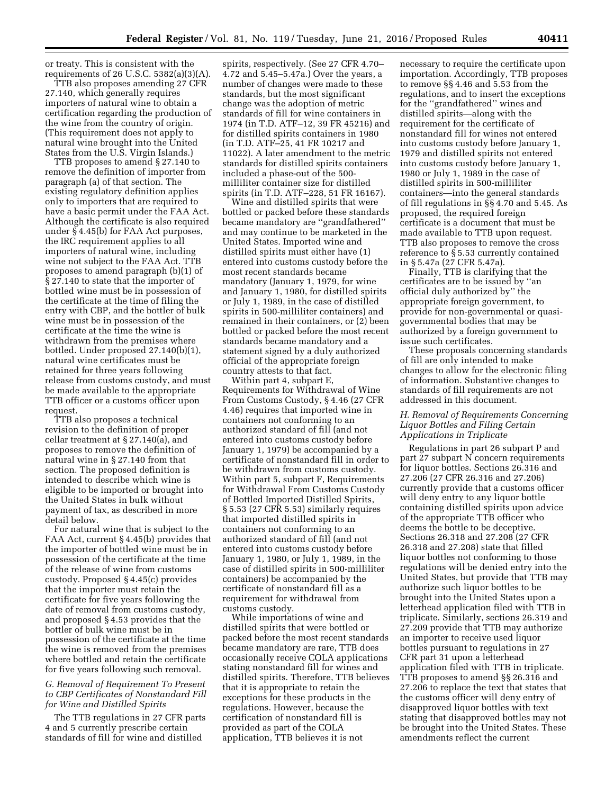or treaty. This is consistent with the requirements of 26 U.S.C. 5382(a)(3)(A).

TTB also proposes amending 27 CFR 27.140, which generally requires importers of natural wine to obtain a certification regarding the production of the wine from the country of origin. (This requirement does not apply to natural wine brought into the United States from the U.S. Virgin Islands.)

TTB proposes to amend § 27.140 to remove the definition of importer from paragraph (a) of that section. The existing regulatory definition applies only to importers that are required to have a basic permit under the FAA Act. Although the certificate is also required under § 4.45(b) for FAA Act purposes, the IRC requirement applies to all importers of natural wine, including wine not subject to the FAA Act. TTB proposes to amend paragraph (b)(1) of § 27.140 to state that the importer of bottled wine must be in possession of the certificate at the time of filing the entry with CBP, and the bottler of bulk wine must be in possession of the certificate at the time the wine is withdrawn from the premises where bottled. Under proposed 27.140(b)(1), natural wine certificates must be retained for three years following release from customs custody, and must be made available to the appropriate TTB officer or a customs officer upon request.

TTB also proposes a technical revision to the definition of proper cellar treatment at § 27.140(a), and proposes to remove the definition of natural wine in § 27.140 from that section. The proposed definition is intended to describe which wine is eligible to be imported or brought into the United States in bulk without payment of tax, as described in more detail below.

For natural wine that is subject to the FAA Act, current § 4.45(b) provides that the importer of bottled wine must be in possession of the certificate at the time of the release of wine from customs custody. Proposed § 4.45(c) provides that the importer must retain the certificate for five years following the date of removal from customs custody, and proposed § 4.53 provides that the bottler of bulk wine must be in possession of the certificate at the time the wine is removed from the premises where bottled and retain the certificate for five years following such removal.

# *G. Removal of Requirement To Present to CBP Certificates of Nonstandard Fill for Wine and Distilled Spirits*

The TTB regulations in 27 CFR parts 4 and 5 currently prescribe certain standards of fill for wine and distilled

spirits, respectively. (See 27 CFR 4.70– 4.72 and 5.45–5.47a.) Over the years, a number of changes were made to these standards, but the most significant change was the adoption of metric standards of fill for wine containers in 1974 (in T.D. ATF–12, 39 FR 45216) and for distilled spirits containers in 1980 (in T.D. ATF–25, 41 FR 10217 and 11022). A later amendment to the metric standards for distilled spirits containers included a phase-out of the 500 milliliter container size for distilled spirits (in T.D. ATF–228, 51 FR 16167).

Wine and distilled spirits that were bottled or packed before these standards became mandatory are ''grandfathered'' and may continue to be marketed in the United States. Imported wine and distilled spirits must either have (1) entered into customs custody before the most recent standards became mandatory (January 1, 1979, for wine and January 1, 1980, for distilled spirits or July 1, 1989, in the case of distilled spirits in 500-milliliter containers) and remained in their containers, or (2) been bottled or packed before the most recent standards became mandatory and a statement signed by a duly authorized official of the appropriate foreign country attests to that fact.

Within part 4, subpart E, Requirements for Withdrawal of Wine From Customs Custody, § 4.46 (27 CFR 4.46) requires that imported wine in containers not conforming to an authorized standard of fill (and not entered into customs custody before January 1, 1979) be accompanied by a certificate of nonstandard fill in order to be withdrawn from customs custody. Within part 5, subpart F, Requirements for Withdrawal From Customs Custody of Bottled Imported Distilled Spirits, § 5.53 (27 CFR 5.53) similarly requires that imported distilled spirits in containers not conforming to an authorized standard of fill (and not entered into customs custody before January 1, 1980, or July 1, 1989, in the case of distilled spirits in 500-milliliter containers) be accompanied by the certificate of nonstandard fill as a requirement for withdrawal from customs custody.

While importations of wine and distilled spirits that were bottled or packed before the most recent standards became mandatory are rare, TTB does occasionally receive COLA applications stating nonstandard fill for wines and distilled spirits. Therefore, TTB believes that it is appropriate to retain the exceptions for these products in the regulations. However, because the certification of nonstandard fill is provided as part of the COLA application, TTB believes it is not

necessary to require the certificate upon importation. Accordingly, TTB proposes to remove §§ 4.46 and 5.53 from the regulations, and to insert the exceptions for the ''grandfathered'' wines and distilled spirits—along with the requirement for the certificate of nonstandard fill for wines not entered into customs custody before January 1, 1979 and distilled spirits not entered into customs custody before January 1, 1980 or July 1, 1989 in the case of distilled spirits in 500-milliliter containers—into the general standards of fill regulations in §§ 4.70 and 5.45. As proposed, the required foreign certificate is a document that must be made available to TTB upon request. TTB also proposes to remove the cross reference to § 5.53 currently contained in § 5.47a (27 CFR 5.47a).

Finally, TTB is clarifying that the certificates are to be issued by ''an official duly authorized by'' the appropriate foreign government, to provide for non-governmental or quasigovernmental bodies that may be authorized by a foreign government to issue such certificates.

These proposals concerning standards of fill are only intended to make changes to allow for the electronic filing of information. Substantive changes to standards of fill requirements are not addressed in this document.

# *H. Removal of Requirements Concerning Liquor Bottles and Filing Certain Applications in Triplicate*

Regulations in part 26 subpart P and part 27 subpart N concern requirements for liquor bottles. Sections 26.316 and 27.206 (27 CFR 26.316 and 27.206) currently provide that a customs officer will deny entry to any liquor bottle containing distilled spirits upon advice of the appropriate TTB officer who deems the bottle to be deceptive. Sections 26.318 and 27.208 (27 CFR 26.318 and 27.208) state that filled liquor bottles not conforming to those regulations will be denied entry into the United States, but provide that TTB may authorize such liquor bottles to be brought into the United States upon a letterhead application filed with TTB in triplicate. Similarly, sections 26.319 and 27.209 provide that TTB may authorize an importer to receive used liquor bottles pursuant to regulations in 27 CFR part 31 upon a letterhead application filed with TTB in triplicate. TTB proposes to amend §§ 26.316 and 27.206 to replace the text that states that the customs officer will deny entry of disapproved liquor bottles with text stating that disapproved bottles may not be brought into the United States. These amendments reflect the current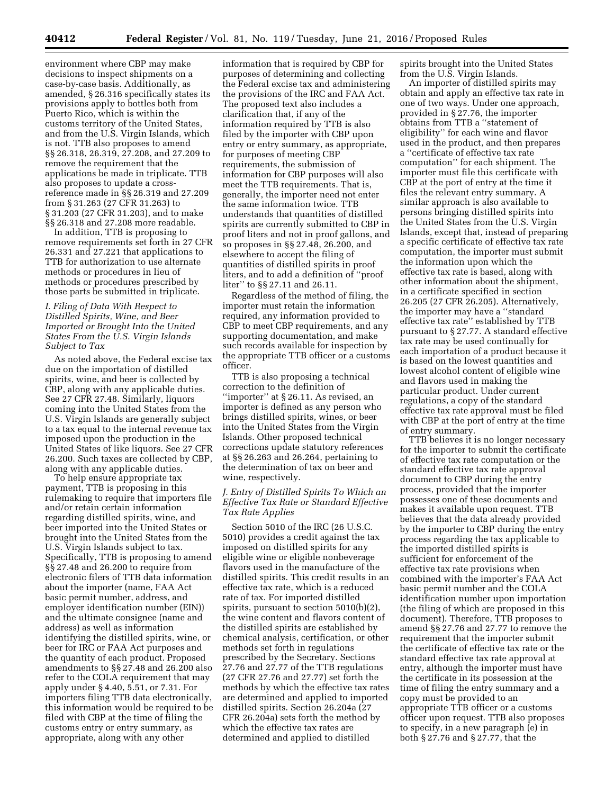environment where CBP may make decisions to inspect shipments on a case-by-case basis. Additionally, as amended, § 26.316 specifically states its provisions apply to bottles both from Puerto Rico, which is within the customs territory of the United States, and from the U.S. Virgin Islands, which is not. TTB also proposes to amend §§ 26.318, 26.319, 27.208, and 27.209 to remove the requirement that the applications be made in triplicate. TTB also proposes to update a crossreference made in §§ 26.319 and 27.209 from § 31.263 (27 CFR 31.263) to § 31.203 (27 CFR 31.203), and to make §§ 26.318 and 27.208 more readable.

In addition, TTB is proposing to remove requirements set forth in 27 CFR 26.331 and 27.221 that applications to TTB for authorization to use alternate methods or procedures in lieu of methods or procedures prescribed by those parts be submitted in triplicate.

# *I. Filing of Data With Respect to Distilled Spirits, Wine, and Beer Imported or Brought Into the United States From the U.S. Virgin Islands Subject to Tax*

As noted above, the Federal excise tax due on the importation of distilled spirits, wine, and beer is collected by CBP, along with any applicable duties. See 27 CFR 27.48. Similarly, liquors coming into the United States from the U.S. Virgin Islands are generally subject to a tax equal to the internal revenue tax imposed upon the production in the United States of like liquors. See 27 CFR 26.200. Such taxes are collected by CBP, along with any applicable duties.

To help ensure appropriate tax payment, TTB is proposing in this rulemaking to require that importers file and/or retain certain information regarding distilled spirits, wine, and beer imported into the United States or brought into the United States from the U.S. Virgin Islands subject to tax. Specifically, TTB is proposing to amend §§ 27.48 and 26.200 to require from electronic filers of TTB data information about the importer (name, FAA Act basic permit number, address, and employer identification number (EIN)) and the ultimate consignee (name and address) as well as information identifying the distilled spirits, wine, or beer for IRC or FAA Act purposes and the quantity of each product. Proposed amendments to §§ 27.48 and 26.200 also refer to the COLA requirement that may apply under § 4.40, 5.51, or 7.31. For importers filing TTB data electronically, this information would be required to be filed with CBP at the time of filing the customs entry or entry summary, as appropriate, along with any other

information that is required by CBP for purposes of determining and collecting the Federal excise tax and administering the provisions of the IRC and FAA Act. The proposed text also includes a clarification that, if any of the information required by TTB is also filed by the importer with CBP upon entry or entry summary, as appropriate, for purposes of meeting CBP requirements, the submission of information for CBP purposes will also meet the TTB requirements. That is, generally, the importer need not enter the same information twice. TTB understands that quantities of distilled spirits are currently submitted to CBP in proof liters and not in proof gallons, and so proposes in §§ 27.48, 26.200, and elsewhere to accept the filing of quantities of distilled spirits in proof liters, and to add a definition of ''proof liter'' to §§ 27.11 and 26.11.

Regardless of the method of filing, the importer must retain the information required, any information provided to CBP to meet CBP requirements, and any supporting documentation, and make such records available for inspection by the appropriate TTB officer or a customs officer.

TTB is also proposing a technical correction to the definition of ''importer'' at § 26.11. As revised, an importer is defined as any person who brings distilled spirits, wines, or beer into the United States from the Virgin Islands. Other proposed technical corrections update statutory references at §§ 26.263 and 26.264, pertaining to the determination of tax on beer and wine, respectively.

# *J. Entry of Distilled Spirits To Which an Effective Tax Rate or Standard Effective Tax Rate Applies*

Section 5010 of the IRC (26 U.S.C. 5010) provides a credit against the tax imposed on distilled spirits for any eligible wine or eligible nonbeverage flavors used in the manufacture of the distilled spirits. This credit results in an effective tax rate, which is a reduced rate of tax. For imported distilled spirits, pursuant to section 5010(b)(2), the wine content and flavors content of the distilled spirits are established by chemical analysis, certification, or other methods set forth in regulations prescribed by the Secretary. Sections 27.76 and 27.77 of the TTB regulations (27 CFR 27.76 and 27.77) set forth the methods by which the effective tax rates are determined and applied to imported distilled spirits. Section 26.204a (27 CFR 26.204a) sets forth the method by which the effective tax rates are determined and applied to distilled

spirits brought into the United States from the U.S. Virgin Islands.

An importer of distilled spirits may obtain and apply an effective tax rate in one of two ways. Under one approach, provided in § 27.76, the importer obtains from TTB a ''statement of eligibility'' for each wine and flavor used in the product, and then prepares a ''certificate of effective tax rate computation'' for each shipment. The importer must file this certificate with CBP at the port of entry at the time it files the relevant entry summary. A similar approach is also available to persons bringing distilled spirits into the United States from the U.S. Virgin Islands, except that, instead of preparing a specific certificate of effective tax rate computation, the importer must submit the information upon which the effective tax rate is based, along with other information about the shipment, in a certificate specified in section 26.205 (27 CFR 26.205). Alternatively, the importer may have a ''standard effective tax rate'' established by TTB pursuant to § 27.77. A standard effective tax rate may be used continually for each importation of a product because it is based on the lowest quantities and lowest alcohol content of eligible wine and flavors used in making the particular product. Under current regulations, a copy of the standard effective tax rate approval must be filed with CBP at the port of entry at the time of entry summary.

TTB believes it is no longer necessary for the importer to submit the certificate of effective tax rate computation or the standard effective tax rate approval document to CBP during the entry process, provided that the importer possesses one of these documents and makes it available upon request. TTB believes that the data already provided by the importer to CBP during the entry process regarding the tax applicable to the imported distilled spirits is sufficient for enforcement of the effective tax rate provisions when combined with the importer's FAA Act basic permit number and the COLA identification number upon importation (the filing of which are proposed in this document). Therefore, TTB proposes to amend §§ 27.76 and 27.77 to remove the requirement that the importer submit the certificate of effective tax rate or the standard effective tax rate approval at entry, although the importer must have the certificate in its possession at the time of filing the entry summary and a copy must be provided to an appropriate TTB officer or a customs officer upon request. TTB also proposes to specify, in a new paragraph (e) in both § 27.76 and § 27.77, that the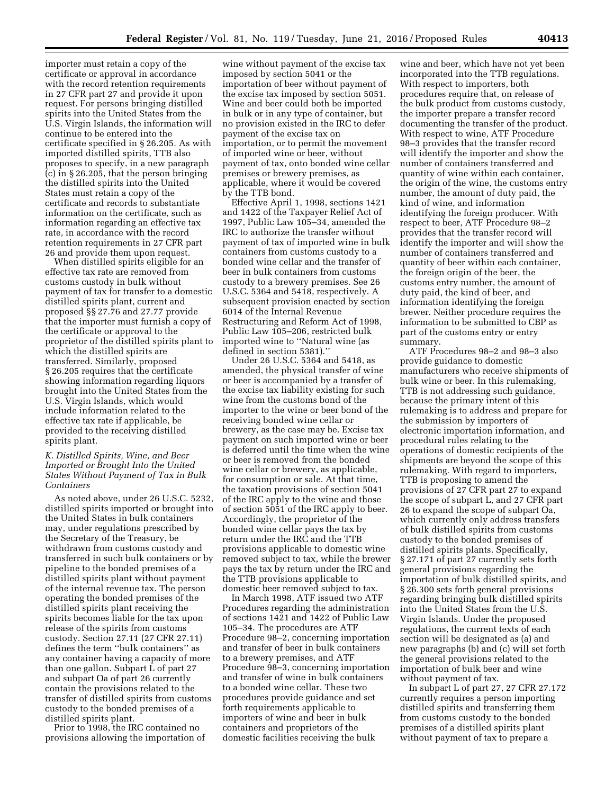importer must retain a copy of the certificate or approval in accordance with the record retention requirements in 27 CFR part 27 and provide it upon request. For persons bringing distilled spirits into the United States from the U.S. Virgin Islands, the information will continue to be entered into the certificate specified in § 26.205. As with imported distilled spirits, TTB also proposes to specify, in a new paragraph (c) in § 26.205, that the person bringing the distilled spirits into the United States must retain a copy of the certificate and records to substantiate information on the certificate, such as information regarding an effective tax rate, in accordance with the record retention requirements in 27 CFR part 26 and provide them upon request.

When distilled spirits eligible for an effective tax rate are removed from customs custody in bulk without payment of tax for transfer to a domestic distilled spirits plant, current and proposed §§ 27.76 and 27.77 provide that the importer must furnish a copy of the certificate or approval to the proprietor of the distilled spirits plant to which the distilled spirits are transferred. Similarly, proposed § 26.205 requires that the certificate showing information regarding liquors brought into the United States from the U.S. Virgin Islands, which would include information related to the effective tax rate if applicable, be provided to the receiving distilled spirits plant.

# *K. Distilled Spirits, Wine, and Beer Imported or Brought Into the United States Without Payment of Tax in Bulk Containers*

As noted above, under 26 U.S.C. 5232, distilled spirits imported or brought into the United States in bulk containers may, under regulations prescribed by the Secretary of the Treasury, be withdrawn from customs custody and transferred in such bulk containers or by pipeline to the bonded premises of a distilled spirits plant without payment of the internal revenue tax. The person operating the bonded premises of the distilled spirits plant receiving the spirits becomes liable for the tax upon release of the spirits from customs custody. Section 27.11 (27 CFR 27.11) defines the term ''bulk containers'' as any container having a capacity of more than one gallon. Subpart L of part 27 and subpart Oa of part 26 currently contain the provisions related to the transfer of distilled spirits from customs custody to the bonded premises of a distilled spirits plant.

Prior to 1998, the IRC contained no provisions allowing the importation of

wine without payment of the excise tax imposed by section 5041 or the importation of beer without payment of the excise tax imposed by section 5051. Wine and beer could both be imported in bulk or in any type of container, but no provision existed in the IRC to defer payment of the excise tax on importation, or to permit the movement of imported wine or beer, without payment of tax, onto bonded wine cellar premises or brewery premises, as applicable, where it would be covered by the TTB bond.

Effective April 1, 1998, sections 1421 and 1422 of the Taxpayer Relief Act of 1997, Public Law 105–34, amended the IRC to authorize the transfer without payment of tax of imported wine in bulk containers from customs custody to a bonded wine cellar and the transfer of beer in bulk containers from customs custody to a brewery premises. See 26 U.S.C. 5364 and 5418, respectively. A subsequent provision enacted by section 6014 of the Internal Revenue Restructuring and Reform Act of 1998, Public Law 105–206, restricted bulk imported wine to ''Natural wine (as defined in section 5381).''

Under 26 U.S.C. 5364 and 5418, as amended, the physical transfer of wine or beer is accompanied by a transfer of the excise tax liability existing for such wine from the customs bond of the importer to the wine or beer bond of the receiving bonded wine cellar or brewery, as the case may be. Excise tax payment on such imported wine or beer is deferred until the time when the wine or beer is removed from the bonded wine cellar or brewery, as applicable, for consumption or sale. At that time, the taxation provisions of section 5041 of the IRC apply to the wine and those of section 5051 of the IRC apply to beer. Accordingly, the proprietor of the bonded wine cellar pays the tax by return under the IRC and the TTB provisions applicable to domestic wine removed subject to tax, while the brewer pays the tax by return under the IRC and the TTB provisions applicable to domestic beer removed subject to tax.

In March 1998, ATF issued two ATF Procedures regarding the administration of sections 1421 and 1422 of Public Law 105–34. The procedures are ATF Procedure 98–2, concerning importation and transfer of beer in bulk containers to a brewery premises, and ATF Procedure 98–3, concerning importation and transfer of wine in bulk containers to a bonded wine cellar. These two procedures provide guidance and set forth requirements applicable to importers of wine and beer in bulk containers and proprietors of the domestic facilities receiving the bulk

wine and beer, which have not yet been incorporated into the TTB regulations. With respect to importers, both procedures require that, on release of the bulk product from customs custody, the importer prepare a transfer record documenting the transfer of the product. With respect to wine, ATF Procedure 98–3 provides that the transfer record will identify the importer and show the number of containers transferred and quantity of wine within each container, the origin of the wine, the customs entry number, the amount of duty paid, the kind of wine, and information identifying the foreign producer. With respect to beer, ATF Procedure 98–2 provides that the transfer record will identify the importer and will show the number of containers transferred and quantity of beer within each container, the foreign origin of the beer, the customs entry number, the amount of duty paid, the kind of beer, and information identifying the foreign brewer. Neither procedure requires the information to be submitted to CBP as part of the customs entry or entry summary.

ATF Procedures 98–2 and 98–3 also provide guidance to domestic manufacturers who receive shipments of bulk wine or beer. In this rulemaking, TTB is not addressing such guidance, because the primary intent of this rulemaking is to address and prepare for the submission by importers of electronic importation information, and procedural rules relating to the operations of domestic recipients of the shipments are beyond the scope of this rulemaking. With regard to importers, TTB is proposing to amend the provisions of 27 CFR part 27 to expand the scope of subpart L, and 27 CFR part 26 to expand the scope of subpart Oa, which currently only address transfers of bulk distilled spirits from customs custody to the bonded premises of distilled spirits plants. Specifically, § 27.171 of part 27 currently sets forth general provisions regarding the importation of bulk distilled spirits, and § 26.300 sets forth general provisions regarding bringing bulk distilled spirits into the United States from the U.S. Virgin Islands. Under the proposed regulations, the current texts of each section will be designated as (a) and new paragraphs (b) and (c) will set forth the general provisions related to the importation of bulk beer and wine without payment of tax.

In subpart L of part 27, 27 CFR 27.172 currently requires a person importing distilled spirits and transferring them from customs custody to the bonded premises of a distilled spirits plant without payment of tax to prepare a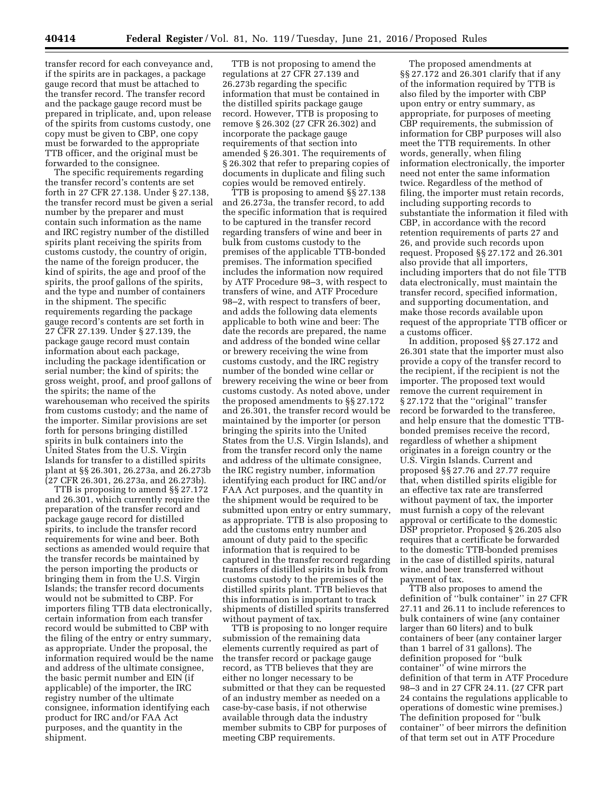transfer record for each conveyance and, if the spirits are in packages, a package gauge record that must be attached to the transfer record. The transfer record and the package gauge record must be prepared in triplicate, and, upon release of the spirits from customs custody, one copy must be given to CBP, one copy must be forwarded to the appropriate TTB officer, and the original must be forwarded to the consignee.

The specific requirements regarding the transfer record's contents are set forth in 27 CFR 27.138. Under § 27.138, the transfer record must be given a serial number by the preparer and must contain such information as the name and IRC registry number of the distilled spirits plant receiving the spirits from customs custody, the country of origin, the name of the foreign producer, the kind of spirits, the age and proof of the spirits, the proof gallons of the spirits, and the type and number of containers in the shipment. The specific requirements regarding the package gauge record's contents are set forth in 27 CFR 27.139. Under § 27.139, the package gauge record must contain information about each package, including the package identification or serial number; the kind of spirits; the gross weight, proof, and proof gallons of the spirits; the name of the warehouseman who received the spirits from customs custody; and the name of the importer. Similar provisions are set forth for persons bringing distilled spirits in bulk containers into the United States from the U.S. Virgin Islands for transfer to a distilled spirits plant at §§ 26.301, 26.273a, and 26.273b (27 CFR 26.301, 26.273a, and 26.273b).

TTB is proposing to amend §§ 27.172 and 26.301, which currently require the preparation of the transfer record and package gauge record for distilled spirits, to include the transfer record requirements for wine and beer. Both sections as amended would require that the transfer records be maintained by the person importing the products or bringing them in from the U.S. Virgin Islands; the transfer record documents would not be submitted to CBP. For importers filing TTB data electronically, certain information from each transfer record would be submitted to CBP with the filing of the entry or entry summary, as appropriate. Under the proposal, the information required would be the name and address of the ultimate consignee, the basic permit number and EIN (if applicable) of the importer, the IRC registry number of the ultimate consignee, information identifying each product for IRC and/or FAA Act purposes, and the quantity in the shipment.

TTB is not proposing to amend the regulations at 27 CFR 27.139 and 26.273b regarding the specific information that must be contained in the distilled spirits package gauge record. However, TTB is proposing to remove § 26.302 (27 CFR 26.302) and incorporate the package gauge requirements of that section into amended § 26.301. The requirements of § 26.302 that refer to preparing copies of documents in duplicate and filing such copies would be removed entirely.

TTB is proposing to amend §§ 27.138 and 26.273a, the transfer record, to add the specific information that is required to be captured in the transfer record regarding transfers of wine and beer in bulk from customs custody to the premises of the applicable TTB-bonded premises. The information specified includes the information now required by ATF Procedure 98–3, with respect to transfers of wine, and ATF Procedure 98–2, with respect to transfers of beer, and adds the following data elements applicable to both wine and beer: The date the records are prepared, the name and address of the bonded wine cellar or brewery receiving the wine from customs custody, and the IRC registry number of the bonded wine cellar or brewery receiving the wine or beer from customs custody. As noted above, under the proposed amendments to §§ 27.172 and 26.301, the transfer record would be maintained by the importer (or person bringing the spirits into the United States from the U.S. Virgin Islands), and from the transfer record only the name and address of the ultimate consignee, the IRC registry number, information identifying each product for IRC and/or FAA Act purposes, and the quantity in the shipment would be required to be submitted upon entry or entry summary, as appropriate. TTB is also proposing to add the customs entry number and amount of duty paid to the specific information that is required to be captured in the transfer record regarding transfers of distilled spirits in bulk from customs custody to the premises of the distilled spirits plant. TTB believes that this information is important to track shipments of distilled spirits transferred without payment of tax.

TTB is proposing to no longer require submission of the remaining data elements currently required as part of the transfer record or package gauge record, as TTB believes that they are either no longer necessary to be submitted or that they can be requested of an industry member as needed on a case-by-case basis, if not otherwise available through data the industry member submits to CBP for purposes of meeting CBP requirements.

The proposed amendments at §§ 27.172 and 26.301 clarify that if any of the information required by TTB is also filed by the importer with CBP upon entry or entry summary, as appropriate, for purposes of meeting CBP requirements, the submission of information for CBP purposes will also meet the TTB requirements. In other words, generally, when filing information electronically, the importer need not enter the same information twice. Regardless of the method of filing, the importer must retain records, including supporting records to substantiate the information it filed with CBP, in accordance with the record retention requirements of parts 27 and 26, and provide such records upon request. Proposed §§ 27.172 and 26.301 also provide that all importers, including importers that do not file TTB data electronically, must maintain the transfer record, specified information, and supporting documentation, and make those records available upon request of the appropriate TTB officer or a customs officer.

In addition, proposed §§ 27.172 and 26.301 state that the importer must also provide a copy of the transfer record to the recipient, if the recipient is not the importer. The proposed text would remove the current requirement in § 27.172 that the "original" transfer record be forwarded to the transferee, and help ensure that the domestic TTBbonded premises receive the record, regardless of whether a shipment originates in a foreign country or the U.S. Virgin Islands. Current and proposed §§ 27.76 and 27.77 require that, when distilled spirits eligible for an effective tax rate are transferred without payment of tax, the importer must furnish a copy of the relevant approval or certificate to the domestic DSP proprietor. Proposed § 26.205 also requires that a certificate be forwarded to the domestic TTB-bonded premises in the case of distilled spirits, natural wine, and beer transferred without payment of tax.

TTB also proposes to amend the definition of ''bulk container'' in 27 CFR 27.11 and 26.11 to include references to bulk containers of wine (any container larger than 60 liters) and to bulk containers of beer (any container larger than 1 barrel of 31 gallons). The definition proposed for ''bulk container'' of wine mirrors the definition of that term in ATF Procedure 98–3 and in 27 CFR 24.11. (27 CFR part 24 contains the regulations applicable to operations of domestic wine premises.) The definition proposed for ''bulk container'' of beer mirrors the definition of that term set out in ATF Procedure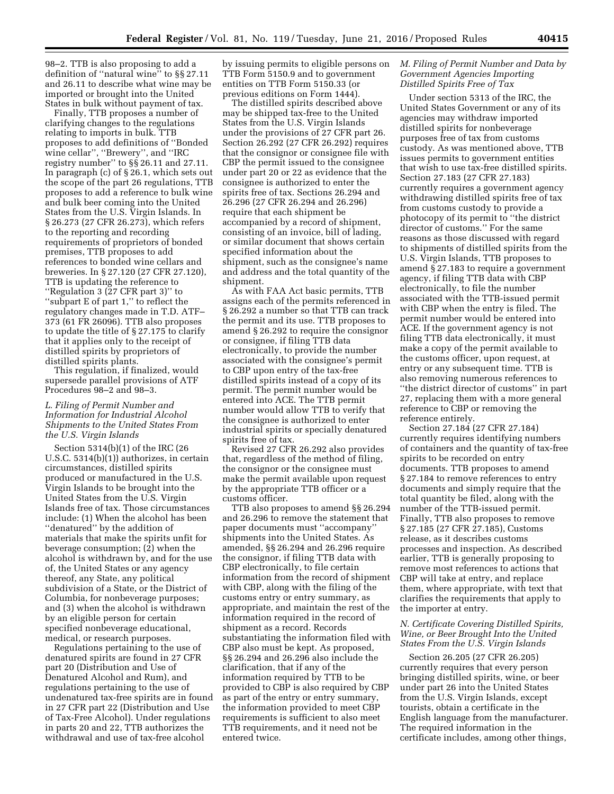98–2. TTB is also proposing to add a definition of ''natural wine'' to §§ 27.11 and 26.11 to describe what wine may be imported or brought into the United States in bulk without payment of tax.

Finally, TTB proposes a number of clarifying changes to the regulations relating to imports in bulk. TTB proposes to add definitions of ''Bonded wine cellar'', ''Brewery'', and ''IRC registry number'' to §§ 26.11 and 27.11. In paragraph (c) of § 26.1, which sets out the scope of the part 26 regulations, TTB proposes to add a reference to bulk wine and bulk beer coming into the United States from the U.S. Virgin Islands. In § 26.273 (27 CFR 26.273), which refers to the reporting and recording requirements of proprietors of bonded premises, TTB proposes to add references to bonded wine cellars and breweries. In § 27.120 (27 CFR 27.120), TTB is updating the reference to ''Regulation 3 (27 CFR part 3)'' to ''subpart E of part 1,'' to reflect the regulatory changes made in T.D. ATF– 373 (61 FR 26096). TTB also proposes to update the title of § 27.175 to clarify that it applies only to the receipt of distilled spirits by proprietors of distilled spirits plants.

This regulation, if finalized, would supersede parallel provisions of ATF Procedures 98–2 and 98–3.

# *L. Filing of Permit Number and Information for Industrial Alcohol Shipments to the United States From the U.S. Virgin Islands*

Section 5314(b)(1) of the IRC (26 U.S.C. 5314(b)(1)) authorizes, in certain circumstances, distilled spirits produced or manufactured in the U.S. Virgin Islands to be brought into the United States from the U.S. Virgin Islands free of tax. Those circumstances include: (1) When the alcohol has been ''denatured'' by the addition of materials that make the spirits unfit for beverage consumption; (2) when the alcohol is withdrawn by, and for the use of, the United States or any agency thereof, any State, any political subdivision of a State, or the District of Columbia, for nonbeverage purposes; and (3) when the alcohol is withdrawn by an eligible person for certain specified nonbeverage educational, medical, or research purposes.

Regulations pertaining to the use of denatured spirits are found in 27 CFR part 20 (Distribution and Use of Denatured Alcohol and Rum), and regulations pertaining to the use of undenatured tax-free spirits are in found in 27 CFR part 22 (Distribution and Use of Tax-Free Alcohol). Under regulations in parts 20 and 22, TTB authorizes the withdrawal and use of tax-free alcohol

by issuing permits to eligible persons on TTB Form 5150.9 and to government entities on TTB Form 5150.33 (or previous editions on Form 1444).

The distilled spirits described above may be shipped tax-free to the United States from the U.S. Virgin Islands under the provisions of 27 CFR part 26. Section 26.292 (27 CFR 26.292) requires that the consignor or consignee file with CBP the permit issued to the consignee under part 20 or 22 as evidence that the consignee is authorized to enter the spirits free of tax. Sections 26.294 and 26.296 (27 CFR 26.294 and 26.296) require that each shipment be accompanied by a record of shipment, consisting of an invoice, bill of lading, or similar document that shows certain specified information about the shipment, such as the consignee's name and address and the total quantity of the shipment.

As with FAA Act basic permits, TTB assigns each of the permits referenced in § 26.292 a number so that TTB can track the permit and its use. TTB proposes to amend § 26.292 to require the consignor or consignee, if filing TTB data electronically, to provide the number associated with the consignee's permit to CBP upon entry of the tax-free distilled spirits instead of a copy of its permit. The permit number would be entered into ACE. The TTB permit number would allow TTB to verify that the consignee is authorized to enter industrial spirits or specially denatured spirits free of tax.

Revised 27 CFR 26.292 also provides that, regardless of the method of filing, the consignor or the consignee must make the permit available upon request by the appropriate TTB officer or a customs officer.

TTB also proposes to amend §§ 26.294 and 26.296 to remove the statement that paper documents must ''accompany'' shipments into the United States. As amended, §§ 26.294 and 26.296 require the consignor, if filing TTB data with CBP electronically, to file certain information from the record of shipment with CBP, along with the filing of the customs entry or entry summary, as appropriate, and maintain the rest of the information required in the record of shipment as a record. Records substantiating the information filed with CBP also must be kept. As proposed, §§ 26.294 and 26.296 also include the clarification, that if any of the information required by TTB to be provided to CBP is also required by CBP as part of the entry or entry summary, the information provided to meet CBP requirements is sufficient to also meet TTB requirements, and it need not be entered twice.

# *M. Filing of Permit Number and Data by Government Agencies Importing Distilled Spirits Free of Tax*

Under section 5313 of the IRC, the United States Government or any of its agencies may withdraw imported distilled spirits for nonbeverage purposes free of tax from customs custody. As was mentioned above, TTB issues permits to government entities that wish to use tax-free distilled spirits. Section 27.183 (27 CFR 27.183) currently requires a government agency withdrawing distilled spirits free of tax from customs custody to provide a photocopy of its permit to ''the district director of customs.'' For the same reasons as those discussed with regard to shipments of distilled spirits from the U.S. Virgin Islands, TTB proposes to amend § 27.183 to require a government agency, if filing TTB data with CBP electronically, to file the number associated with the TTB-issued permit with CBP when the entry is filed. The permit number would be entered into ACE. If the government agency is not filing TTB data electronically, it must make a copy of the permit available to the customs officer, upon request, at entry or any subsequent time. TTB is also removing numerous references to ''the district director of customs'' in part 27, replacing them with a more general reference to CBP or removing the reference entirely.

Section 27.184 (27 CFR 27.184) currently requires identifying numbers of containers and the quantity of tax-free spirits to be recorded on entry documents. TTB proposes to amend § 27.184 to remove references to entry documents and simply require that the total quantity be filed, along with the number of the TTB-issued permit. Finally, TTB also proposes to remove § 27.185 (27 CFR 27.185), Customs release, as it describes customs processes and inspection. As described earlier, TTB is generally proposing to remove most references to actions that CBP will take at entry, and replace them, where appropriate, with text that clarifies the requirements that apply to the importer at entry.

# *N. Certificate Covering Distilled Spirits, Wine, or Beer Brought Into the United States From the U.S. Virgin Islands*

Section 26.205 (27 CFR 26.205) currently requires that every person bringing distilled spirits, wine, or beer under part 26 into the United States from the U.S. Virgin Islands, except tourists, obtain a certificate in the English language from the manufacturer. The required information in the certificate includes, among other things,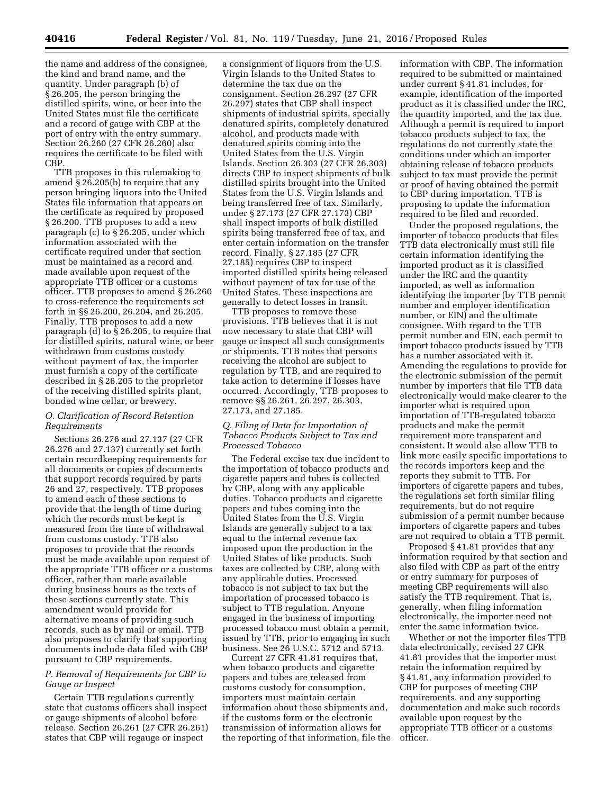the name and address of the consignee, the kind and brand name, and the quantity. Under paragraph (b) of § 26.205, the person bringing the distilled spirits, wine, or beer into the United States must file the certificate and a record of gauge with CBP at the port of entry with the entry summary. Section 26.260 (27 CFR 26.260) also requires the certificate to be filed with CBP.

TTB proposes in this rulemaking to amend § 26.205(b) to require that any person bringing liquors into the United States file information that appears on the certificate as required by proposed § 26.200. TTB proposes to add a new paragraph (c) to § 26.205, under which information associated with the certificate required under that section must be maintained as a record and made available upon request of the appropriate TTB officer or a customs officer. TTB proposes to amend § 26.260 to cross-reference the requirements set forth in §§ 26.200, 26.204, and 26.205. Finally, TTB proposes to add a new paragraph (d) to § 26.205, to require that for distilled spirits, natural wine, or beer withdrawn from customs custody without payment of tax, the importer must furnish a copy of the certificate described in § 26.205 to the proprietor of the receiving distilled spirits plant, bonded wine cellar, or brewery.

# *O. Clarification of Record Retention Requirements*

Sections 26.276 and 27.137 (27 CFR 26.276 and 27.137) currently set forth certain recordkeeping requirements for all documents or copies of documents that support records required by parts 26 and 27, respectively. TTB proposes to amend each of these sections to provide that the length of time during which the records must be kept is measured from the time of withdrawal from customs custody. TTB also proposes to provide that the records must be made available upon request of the appropriate TTB officer or a customs officer, rather than made available during business hours as the texts of these sections currently state. This amendment would provide for alternative means of providing such records, such as by mail or email. TTB also proposes to clarify that supporting documents include data filed with CBP pursuant to CBP requirements.

# *P. Removal of Requirements for CBP to Gauge or Inspect*

Certain TTB regulations currently state that customs officers shall inspect or gauge shipments of alcohol before release. Section 26.261 (27 CFR 26.261) states that CBP will regauge or inspect

a consignment of liquors from the U.S. Virgin Islands to the United States to determine the tax due on the consignment. Section 26.297 (27 CFR 26.297) states that CBP shall inspect shipments of industrial spirits, specially denatured spirits, completely denatured alcohol, and products made with denatured spirits coming into the United States from the U.S. Virgin Islands. Section 26.303 (27 CFR 26.303) directs CBP to inspect shipments of bulk distilled spirits brought into the United States from the U.S. Virgin Islands and being transferred free of tax. Similarly, under § 27.173 (27 CFR 27.173) CBP shall inspect imports of bulk distilled spirits being transferred free of tax, and enter certain information on the transfer record. Finally, § 27.185 (27 CFR 27.185) requires CBP to inspect imported distilled spirits being released without payment of tax for use of the United States. These inspections are generally to detect losses in transit.

TTB proposes to remove these provisions. TTB believes that it is not now necessary to state that CBP will gauge or inspect all such consignments or shipments. TTB notes that persons receiving the alcohol are subject to regulation by TTB, and are required to take action to determine if losses have occurred. Accordingly, TTB proposes to remove §§ 26.261, 26.297, 26.303, 27.173, and 27.185.

# *Q. Filing of Data for Importation of Tobacco Products Subject to Tax and Processed Tobacco*

The Federal excise tax due incident to the importation of tobacco products and cigarette papers and tubes is collected by CBP, along with any applicable duties. Tobacco products and cigarette papers and tubes coming into the United States from the U.S. Virgin Islands are generally subject to a tax equal to the internal revenue tax imposed upon the production in the United States of like products. Such taxes are collected by CBP, along with any applicable duties. Processed tobacco is not subject to tax but the importation of processed tobacco is subject to TTB regulation. Anyone engaged in the business of importing processed tobacco must obtain a permit, issued by TTB, prior to engaging in such business. See 26 U.S.C. 5712 and 5713.

Current 27 CFR 41.81 requires that, when tobacco products and cigarette papers and tubes are released from customs custody for consumption, importers must maintain certain information about those shipments and, if the customs form or the electronic transmission of information allows for the reporting of that information, file the information with CBP. The information required to be submitted or maintained under current § 41.81 includes, for example, identification of the imported product as it is classified under the IRC, the quantity imported, and the tax due. Although a permit is required to import tobacco products subject to tax, the regulations do not currently state the conditions under which an importer obtaining release of tobacco products subject to tax must provide the permit or proof of having obtained the permit to CBP during importation. TTB is proposing to update the information required to be filed and recorded.

Under the proposed regulations, the importer of tobacco products that files TTB data electronically must still file certain information identifying the imported product as it is classified under the IRC and the quantity imported, as well as information identifying the importer (by TTB permit number and employer identification number, or EIN) and the ultimate consignee. With regard to the TTB permit number and EIN, each permit to import tobacco products issued by TTB has a number associated with it. Amending the regulations to provide for the electronic submission of the permit number by importers that file TTB data electronically would make clearer to the importer what is required upon importation of TTB-regulated tobacco products and make the permit requirement more transparent and consistent. It would also allow TTB to link more easily specific importations to the records importers keep and the reports they submit to TTB. For importers of cigarette papers and tubes, the regulations set forth similar filing requirements, but do not require submission of a permit number because importers of cigarette papers and tubes are not required to obtain a TTB permit.

Proposed § 41.81 provides that any information required by that section and also filed with CBP as part of the entry or entry summary for purposes of meeting CBP requirements will also satisfy the TTB requirement. That is, generally, when filing information electronically, the importer need not enter the same information twice.

Whether or not the importer files TTB data electronically, revised 27 CFR 41.81 provides that the importer must retain the information required by § 41.81, any information provided to CBP for purposes of meeting CBP requirements, and any supporting documentation and make such records available upon request by the appropriate TTB officer or a customs officer.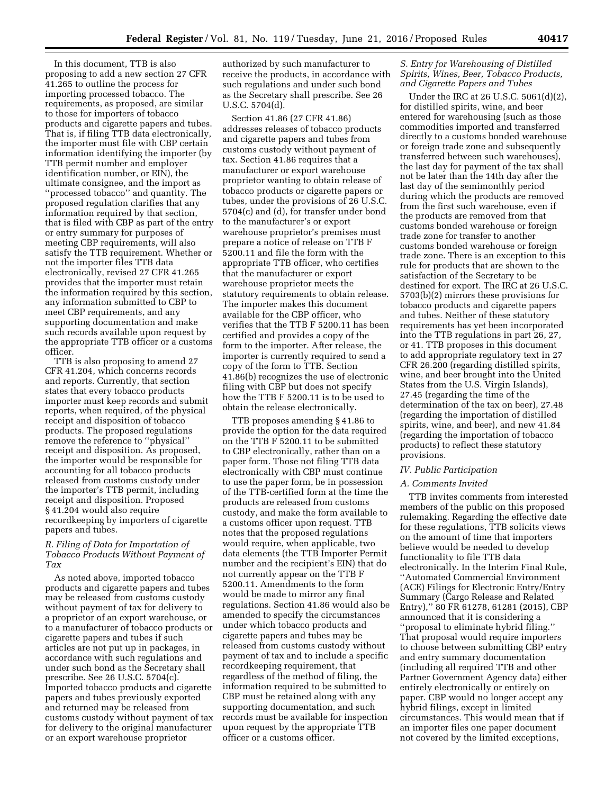In this document, TTB is also proposing to add a new section 27 CFR 41.265 to outline the process for importing processed tobacco. The requirements, as proposed, are similar to those for importers of tobacco products and cigarette papers and tubes. That is, if filing TTB data electronically, the importer must file with CBP certain information identifying the importer (by TTB permit number and employer identification number, or EIN), the ultimate consignee, and the import as ''processed tobacco'' and quantity. The proposed regulation clarifies that any information required by that section, that is filed with CBP as part of the entry or entry summary for purposes of meeting CBP requirements, will also satisfy the TTB requirement. Whether or not the importer files TTB data electronically, revised 27 CFR 41.265 provides that the importer must retain the information required by this section, any information submitted to CBP to meet CBP requirements, and any supporting documentation and make such records available upon request by the appropriate TTB officer or a customs officer.

TTB is also proposing to amend 27 CFR 41.204, which concerns records and reports. Currently, that section states that every tobacco products importer must keep records and submit reports, when required, of the physical receipt and disposition of tobacco products. The proposed regulations remove the reference to ''physical'' receipt and disposition. As proposed, the importer would be responsible for accounting for all tobacco products released from customs custody under the importer's TTB permit, including receipt and disposition. Proposed § 41.204 would also require recordkeeping by importers of cigarette papers and tubes.

# *R. Filing of Data for Importation of Tobacco Products Without Payment of Tax*

As noted above, imported tobacco products and cigarette papers and tubes may be released from customs custody without payment of tax for delivery to a proprietor of an export warehouse, or to a manufacturer of tobacco products or cigarette papers and tubes if such articles are not put up in packages, in accordance with such regulations and under such bond as the Secretary shall prescribe. See 26 U.S.C. 5704(c). Imported tobacco products and cigarette papers and tubes previously exported and returned may be released from customs custody without payment of tax for delivery to the original manufacturer or an export warehouse proprietor

authorized by such manufacturer to receive the products, in accordance with such regulations and under such bond as the Secretary shall prescribe. See 26 U.S.C. 5704(d).

Section 41.86 (27 CFR 41.86) addresses releases of tobacco products and cigarette papers and tubes from customs custody without payment of tax. Section 41.86 requires that a manufacturer or export warehouse proprietor wanting to obtain release of tobacco products or cigarette papers or tubes, under the provisions of 26 U.S.C. 5704(c) and (d), for transfer under bond to the manufacturer's or export warehouse proprietor's premises must prepare a notice of release on TTB F 5200.11 and file the form with the appropriate TTB officer, who certifies that the manufacturer or export warehouse proprietor meets the statutory requirements to obtain release. The importer makes this document available for the CBP officer, who verifies that the TTB F 5200.11 has been certified and provides a copy of the form to the importer. After release, the importer is currently required to send a copy of the form to TTB. Section 41.86(b) recognizes the use of electronic filing with CBP but does not specify how the TTB F 5200.11 is to be used to obtain the release electronically.

TTB proposes amending § 41.86 to provide the option for the data required on the TTB F 5200.11 to be submitted to CBP electronically, rather than on a paper form. Those not filing TTB data electronically with CBP must continue to use the paper form, be in possession of the TTB-certified form at the time the products are released from customs custody, and make the form available to a customs officer upon request. TTB notes that the proposed regulations would require, when applicable, two data elements (the TTB Importer Permit number and the recipient's EIN) that do not currently appear on the TTB F 5200.11. Amendments to the form would be made to mirror any final regulations. Section 41.86 would also be amended to specify the circumstances under which tobacco products and cigarette papers and tubes may be released from customs custody without payment of tax and to include a specific recordkeeping requirement, that regardless of the method of filing, the information required to be submitted to CBP must be retained along with any supporting documentation, and such records must be available for inspection upon request by the appropriate TTB officer or a customs officer.

# *S. Entry for Warehousing of Distilled Spirits, Wines, Beer, Tobacco Products, and Cigarette Papers and Tubes*

Under the IRC at 26 U.S.C. 5061(d)(2), for distilled spirits, wine, and beer entered for warehousing (such as those commodities imported and transferred directly to a customs bonded warehouse or foreign trade zone and subsequently transferred between such warehouses), the last day for payment of the tax shall not be later than the 14th day after the last day of the semimonthly period during which the products are removed from the first such warehouse, even if the products are removed from that customs bonded warehouse or foreign trade zone for transfer to another customs bonded warehouse or foreign trade zone. There is an exception to this rule for products that are shown to the satisfaction of the Secretary to be destined for export. The IRC at 26 U.S.C. 5703(b)(2) mirrors these provisions for tobacco products and cigarette papers and tubes. Neither of these statutory requirements has yet been incorporated into the TTB regulations in part 26, 27, or 41. TTB proposes in this document to add appropriate regulatory text in 27 CFR 26.200 (regarding distilled spirits, wine, and beer brought into the United States from the U.S. Virgin Islands), 27.45 (regarding the time of the determination of the tax on beer), 27.48 (regarding the importation of distilled spirits, wine, and beer), and new 41.84 (regarding the importation of tobacco products) to reflect these statutory provisions.

#### *IV. Public Participation*

#### *A. Comments Invited*

TTB invites comments from interested members of the public on this proposed rulemaking. Regarding the effective date for these regulations, TTB solicits views on the amount of time that importers believe would be needed to develop functionality to file TTB data electronically. In the Interim Final Rule, ''Automated Commercial Environment (ACE) Filings for Electronic Entry/Entry Summary (Cargo Release and Related Entry),'' 80 FR 61278, 61281 (2015), CBP announced that it is considering a ''proposal to eliminate hybrid filing.'' That proposal would require importers to choose between submitting CBP entry and entry summary documentation (including all required TTB and other Partner Government Agency data) either entirely electronically or entirely on paper. CBP would no longer accept any hybrid filings, except in limited circumstances. This would mean that if an importer files one paper document not covered by the limited exceptions,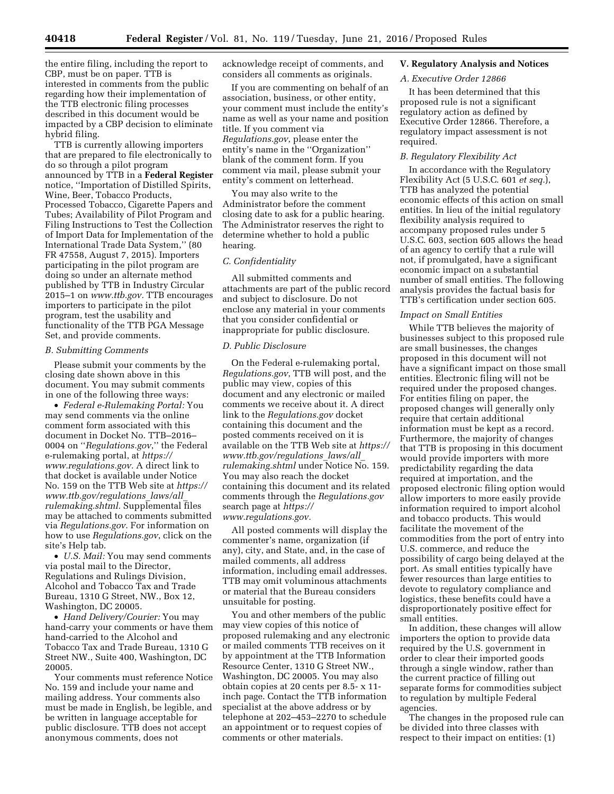the entire filing, including the report to CBP, must be on paper. TTB is interested in comments from the public regarding how their implementation of the TTB electronic filing processes described in this document would be impacted by a CBP decision to eliminate hybrid filing.

TTB is currently allowing importers that are prepared to file electronically to do so through a pilot program announced by TTB in a **Federal Register**  notice, ''Importation of Distilled Spirits, Wine, Beer, Tobacco Products, Processed Tobacco, Cigarette Papers and Tubes; Availability of Pilot Program and Filing Instructions to Test the Collection of Import Data for Implementation of the International Trade Data System,'' (80 FR 47558, August 7, 2015). Importers participating in the pilot program are doing so under an alternate method published by TTB in Industry Circular 2015–1 on *[www.ttb.gov.](http://www.ttb.gov)* TTB encourages importers to participate in the pilot program, test the usability and functionality of the TTB PGA Message Set, and provide comments.

# *B. Submitting Comments*

Please submit your comments by the closing date shown above in this document. You may submit comments in one of the following three ways:

• *Federal e-Rulemaking Portal:* You may send comments via the online comment form associated with this document in Docket No. TTB–2016– 0004 on ''*Regulations.gov*,'' the Federal e-rulemaking portal, at *[https://](https://www.regulations.gov) [www.regulations.gov.](https://www.regulations.gov)* A direct link to that docket is available under Notice No. 159 on the TTB Web site at *[https://](https://www.ttb.gov/regulations_laws/all_rulemaking.shtml)  [www.ttb.gov/regulations](https://www.ttb.gov/regulations_laws/all_rulemaking.shtml)*\_*laws/all*\_ *[rulemaking.shtml.](https://www.ttb.gov/regulations_laws/all_rulemaking.shtml)* Supplemental files may be attached to comments submitted via *Regulations.gov*. For information on how to use *Regulations.gov*, click on the site's Help tab.

• *U.S. Mail:* You may send comments via postal mail to the Director, Regulations and Rulings Division, Alcohol and Tobacco Tax and Trade Bureau, 1310 G Street, NW., Box 12, Washington, DC 20005.

• *Hand Delivery/Courier:* You may hand-carry your comments or have them hand-carried to the Alcohol and Tobacco Tax and Trade Bureau, 1310 G Street NW., Suite 400, Washington, DC 20005.

Your comments must reference Notice No. 159 and include your name and mailing address. Your comments also must be made in English, be legible, and be written in language acceptable for public disclosure. TTB does not accept anonymous comments, does not

acknowledge receipt of comments, and considers all comments as originals.

If you are commenting on behalf of an association, business, or other entity, your comment must include the entity's name as well as your name and position title. If you comment via *Regulations.gov*, please enter the entity's name in the ''Organization'' blank of the comment form. If you comment via mail, please submit your entity's comment on letterhead.

You may also write to the Administrator before the comment closing date to ask for a public hearing. The Administrator reserves the right to determine whether to hold a public hearing.

#### *C. Confidentiality*

All submitted comments and attachments are part of the public record and subject to disclosure. Do not enclose any material in your comments that you consider confidential or inappropriate for public disclosure.

#### *D. Public Disclosure*

On the Federal e-rulemaking portal, *Regulations.gov*, TTB will post, and the public may view, copies of this document and any electronic or mailed comments we receive about it. A direct link to the *Regulations.gov* docket containing this document and the posted comments received on it is available on the TTB Web site at *[https://](https://www.ttb.gov/regulations_laws/all_rulemaking.shtml)  [www.ttb.gov/regulations](https://www.ttb.gov/regulations_laws/all_rulemaking.shtml)*\_*laws/all*\_ *[rulemaking.shtml](https://www.ttb.gov/regulations_laws/all_rulemaking.shtml)* under Notice No. 159. You may also reach the docket containing this document and its related comments through the *Regulations.gov*  search page at *[https://](https://www.regulations.gov) [www.regulations.gov.](https://www.regulations.gov)* 

All posted comments will display the commenter's name, organization (if any), city, and State, and, in the case of mailed comments, all address information, including email addresses. TTB may omit voluminous attachments or material that the Bureau considers unsuitable for posting.

You and other members of the public may view copies of this notice of proposed rulemaking and any electronic or mailed comments TTB receives on it by appointment at the TTB Information Resource Center, 1310 G Street NW., Washington, DC 20005. You may also obtain copies at 20 cents per 8.5- x 11 inch page. Contact the TTB information specialist at the above address or by telephone at 202–453–2270 to schedule an appointment or to request copies of comments or other materials.

# **V. Regulatory Analysis and Notices**

# *A. Executive Order 12866*

It has been determined that this proposed rule is not a significant regulatory action as defined by Executive Order 12866. Therefore, a regulatory impact assessment is not required.

# *B. Regulatory Flexibility Act*

In accordance with the Regulatory Flexibility Act (5 U.S.C. 601 *et seq.*), TTB has analyzed the potential economic effects of this action on small entities. In lieu of the initial regulatory flexibility analysis required to accompany proposed rules under 5 U.S.C. 603, section 605 allows the head of an agency to certify that a rule will not, if promulgated, have a significant economic impact on a substantial number of small entities. The following analysis provides the factual basis for TTB's certification under section 605.

#### *Impact on Small Entities*

While TTB believes the majority of businesses subject to this proposed rule are small businesses, the changes proposed in this document will not have a significant impact on those small entities. Electronic filing will not be required under the proposed changes. For entities filing on paper, the proposed changes will generally only require that certain additional information must be kept as a record. Furthermore, the majority of changes that TTB is proposing in this document would provide importers with more predictability regarding the data required at importation, and the proposed electronic filing option would allow importers to more easily provide information required to import alcohol and tobacco products. This would facilitate the movement of the commodities from the port of entry into U.S. commerce, and reduce the possibility of cargo being delayed at the port. As small entities typically have fewer resources than large entities to devote to regulatory compliance and logistics, these benefits could have a disproportionately positive effect for small entities.

In addition, these changes will allow importers the option to provide data required by the U.S. government in order to clear their imported goods through a single window, rather than the current practice of filling out separate forms for commodities subject to regulation by multiple Federal agencies.

The changes in the proposed rule can be divided into three classes with respect to their impact on entities: (1)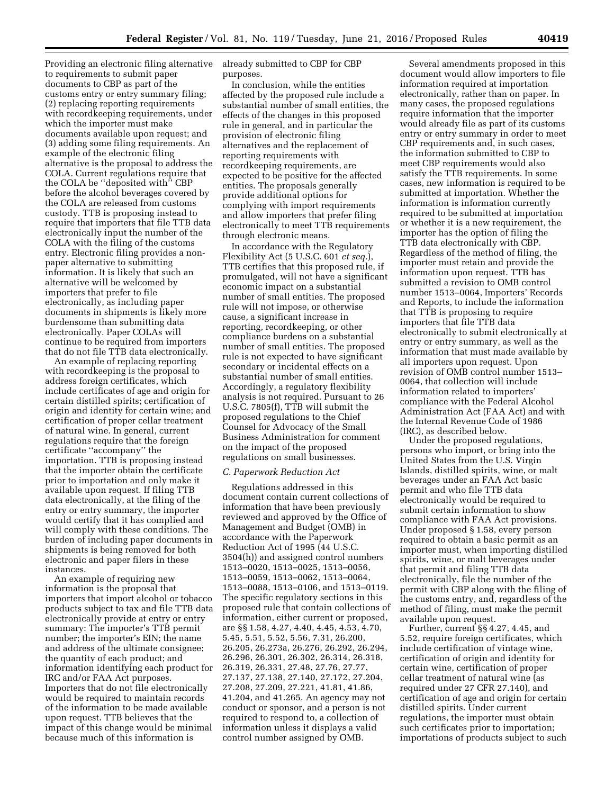Providing an electronic filing alternative to requirements to submit paper documents to CBP as part of the customs entry or entry summary filing; (2) replacing reporting requirements with recordkeeping requirements, under which the importer must make documents available upon request; and (3) adding some filing requirements. An example of the electronic filing alternative is the proposal to address the COLA. Current regulations require that the COLA be ''deposited with'' CBP before the alcohol beverages covered by the COLA are released from customs custody. TTB is proposing instead to require that importers that file TTB data electronically input the number of the COLA with the filing of the customs entry. Electronic filing provides a nonpaper alternative to submitting information. It is likely that such an alternative will be welcomed by importers that prefer to file electronically, as including paper documents in shipments is likely more burdensome than submitting data electronically. Paper COLAs will continue to be required from importers that do not file TTB data electronically.

An example of replacing reporting with recordkeeping is the proposal to address foreign certificates, which include certificates of age and origin for certain distilled spirits; certification of origin and identity for certain wine; and certification of proper cellar treatment of natural wine. In general, current regulations require that the foreign certificate ''accompany'' the importation. TTB is proposing instead that the importer obtain the certificate prior to importation and only make it available upon request. If filing TTB data electronically, at the filing of the entry or entry summary, the importer would certify that it has complied and will comply with these conditions. The burden of including paper documents in shipments is being removed for both electronic and paper filers in these instances.

An example of requiring new information is the proposal that importers that import alcohol or tobacco products subject to tax and file TTB data electronically provide at entry or entry summary: The importer's TTB permit number; the importer's EIN; the name and address of the ultimate consignee; the quantity of each product; and information identifying each product for IRC and/or FAA Act purposes. Importers that do not file electronically would be required to maintain records of the information to be made available upon request. TTB believes that the impact of this change would be minimal because much of this information is

already submitted to CBP for CBP purposes.

In conclusion, while the entities affected by the proposed rule include a substantial number of small entities, the effects of the changes in this proposed rule in general, and in particular the provision of electronic filing alternatives and the replacement of reporting requirements with recordkeeping requirements, are expected to be positive for the affected entities. The proposals generally provide additional options for complying with import requirements and allow importers that prefer filing electronically to meet TTB requirements through electronic means.

In accordance with the Regulatory Flexibility Act (5 U.S.C. 601 *et seq.*), TTB certifies that this proposed rule, if promulgated, will not have a significant economic impact on a substantial number of small entities. The proposed rule will not impose, or otherwise cause, a significant increase in reporting, recordkeeping, or other compliance burdens on a substantial number of small entities. The proposed rule is not expected to have significant secondary or incidental effects on a substantial number of small entities. Accordingly, a regulatory flexibility analysis is not required. Pursuant to 26 U.S.C. 7805(f), TTB will submit the proposed regulations to the Chief Counsel for Advocacy of the Small Business Administration for comment on the impact of the proposed regulations on small businesses.

#### *C. Paperwork Reduction Act*

Regulations addressed in this document contain current collections of information that have been previously reviewed and approved by the Office of Management and Budget (OMB) in accordance with the Paperwork Reduction Act of 1995 (44 U.S.C. 3504(h)) and assigned control numbers 1513–0020, 1513–0025, 1513–0056, 1513–0059, 1513–0062, 1513–0064, 1513–0088, 1513–0106, and 1513–0119. The specific regulatory sections in this proposed rule that contain collections of information, either current or proposed, are §§ 1.58, 4.27, 4.40, 4.45, 4.53, 4.70, 5.45, 5.51, 5.52, 5.56, 7.31, 26.200, 26.205, 26.273a, 26.276, 26.292, 26.294, 26.296, 26.301, 26.302, 26.314, 26.318, 26.319, 26.331, 27.48, 27.76, 27.77, 27.137, 27.138, 27.140, 27.172, 27.204, 27.208, 27.209, 27.221, 41.81, 41.86, 41.204, and 41.265. An agency may not conduct or sponsor, and a person is not required to respond to, a collection of information unless it displays a valid control number assigned by OMB.

Several amendments proposed in this document would allow importers to file information required at importation electronically, rather than on paper. In many cases, the proposed regulations require information that the importer would already file as part of its customs entry or entry summary in order to meet CBP requirements and, in such cases, the information submitted to CBP to meet CBP requirements would also satisfy the TTB requirements. In some cases, new information is required to be submitted at importation. Whether the information is information currently required to be submitted at importation or whether it is a new requirement, the importer has the option of filing the TTB data electronically with CBP. Regardless of the method of filing, the importer must retain and provide the information upon request. TTB has submitted a revision to OMB control number 1513–0064, Importers' Records and Reports, to include the information that TTB is proposing to require importers that file TTB data electronically to submit electronically at entry or entry summary, as well as the information that must made available by all importers upon request. Upon revision of OMB control number 1513– 0064, that collection will include information related to importers' compliance with the Federal Alcohol Administration Act (FAA Act) and with the Internal Revenue Code of 1986 (IRC), as described below.

Under the proposed regulations, persons who import, or bring into the United States from the U.S. Virgin Islands, distilled spirits, wine, or malt beverages under an FAA Act basic permit and who file TTB data electronically would be required to submit certain information to show compliance with FAA Act provisions. Under proposed § 1.58, every person required to obtain a basic permit as an importer must, when importing distilled spirits, wine, or malt beverages under that permit and filing TTB data electronically, file the number of the permit with CBP along with the filing of the customs entry, and, regardless of the method of filing, must make the permit available upon request.

Further, current §§ 4.27, 4.45, and 5.52, require foreign certificates, which include certification of vintage wine, certification of origin and identity for certain wine, certification of proper cellar treatment of natural wine (as required under 27 CFR 27.140), and certification of age and origin for certain distilled spirits. Under current regulations, the importer must obtain such certificates prior to importation; importations of products subject to such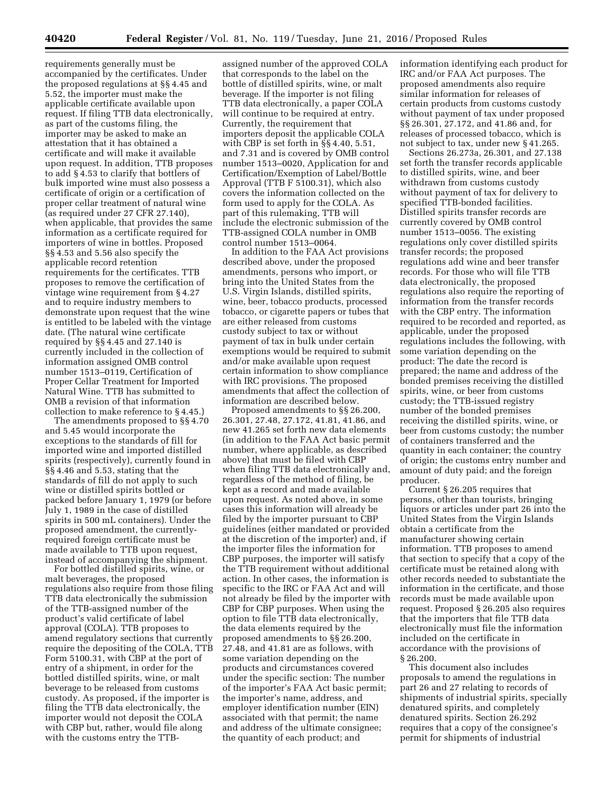requirements generally must be accompanied by the certificates. Under the proposed regulations at §§ 4.45 and 5.52, the importer must make the applicable certificate available upon request. If filing TTB data electronically, as part of the customs filing, the importer may be asked to make an attestation that it has obtained a certificate and will make it available upon request. In addition, TTB proposes to add § 4.53 to clarify that bottlers of bulk imported wine must also possess a certificate of origin or a certification of proper cellar treatment of natural wine (as required under 27 CFR 27.140), when applicable, that provides the same information as a certificate required for importers of wine in bottles. Proposed §§ 4.53 and 5.56 also specify the applicable record retention requirements for the certificates. TTB proposes to remove the certification of vintage wine requirement from § 4.27 and to require industry members to demonstrate upon request that the wine is entitled to be labeled with the vintage date. (The natural wine certificate required by §§ 4.45 and 27.140 is currently included in the collection of information assigned OMB control number 1513–0119, Certification of Proper Cellar Treatment for Imported Natural Wine. TTB has submitted to OMB a revision of that information collection to make reference to § 4.45.)

The amendments proposed to §§ 4.70 and 5.45 would incorporate the exceptions to the standards of fill for imported wine and imported distilled spirits (respectively), currently found in §§ 4.46 and 5.53, stating that the standards of fill do not apply to such wine or distilled spirits bottled or packed before January 1, 1979 (or before July 1, 1989 in the case of distilled spirits in 500 mL containers). Under the proposed amendment, the currentlyrequired foreign certificate must be made available to TTB upon request, instead of accompanying the shipment.

For bottled distilled spirits, wine, or malt beverages, the proposed regulations also require from those filing TTB data electronically the submission of the TTB-assigned number of the product's valid certificate of label approval (COLA). TTB proposes to amend regulatory sections that currently require the depositing of the COLA, TTB Form 5100.31, with CBP at the port of entry of a shipment, in order for the bottled distilled spirits, wine, or malt beverage to be released from customs custody. As proposed, if the importer is filing the TTB data electronically, the importer would not deposit the COLA with CBP but, rather, would file along with the customs entry the TTB-

assigned number of the approved COLA that corresponds to the label on the bottle of distilled spirits, wine, or malt beverage. If the importer is not filing TTB data electronically, a paper COLA will continue to be required at entry. Currently, the requirement that importers deposit the applicable COLA with CBP is set forth in §§ 4.40, 5.51, and 7.31 and is covered by OMB control number 1513–0020, Application for and Certification/Exemption of Label/Bottle Approval (TTB F 5100.31), which also covers the information collected on the form used to apply for the COLA. As part of this rulemaking, TTB will include the electronic submission of the TTB-assigned COLA number in OMB control number 1513–0064.

In addition to the FAA Act provisions described above, under the proposed amendments, persons who import, or bring into the United States from the U.S. Virgin Islands, distilled spirits, wine, beer, tobacco products, processed tobacco, or cigarette papers or tubes that are either released from customs custody subject to tax or without payment of tax in bulk under certain exemptions would be required to submit and/or make available upon request certain information to show compliance with IRC provisions. The proposed amendments that affect the collection of information are described below.

Proposed amendments to §§ 26.200, 26.301, 27.48, 27.172, 41.81, 41.86, and new 41.265 set forth new data elements (in addition to the FAA Act basic permit number, where applicable, as described above) that must be filed with CBP when filing TTB data electronically and, regardless of the method of filing, be kept as a record and made available upon request. As noted above, in some cases this information will already be filed by the importer pursuant to CBP guidelines (either mandated or provided at the discretion of the importer) and, if the importer files the information for CBP purposes, the importer will satisfy the TTB requirement without additional action. In other cases, the information is specific to the IRC or FAA Act and will not already be filed by the importer with CBP for CBP purposes. When using the option to file TTB data electronically, the data elements required by the proposed amendments to §§ 26.200, 27.48, and 41.81 are as follows, with some variation depending on the products and circumstances covered under the specific section: The number of the importer's FAA Act basic permit; the importer's name, address, and employer identification number (EIN) associated with that permit; the name and address of the ultimate consignee; the quantity of each product; and

information identifying each product for IRC and/or FAA Act purposes. The proposed amendments also require similar information for releases of certain products from customs custody without payment of tax under proposed §§ 26.301, 27.172, and 41.86 and, for releases of processed tobacco, which is not subject to tax, under new § 41.265.

Sections 26.273a, 26.301, and 27.138 set forth the transfer records applicable to distilled spirits, wine, and beer withdrawn from customs custody without payment of tax for delivery to specified TTB-bonded facilities. Distilled spirits transfer records are currently covered by OMB control number 1513–0056. The existing regulations only cover distilled spirits transfer records; the proposed regulations add wine and beer transfer records. For those who will file TTB data electronically, the proposed regulations also require the reporting of information from the transfer records with the CBP entry. The information required to be recorded and reported, as applicable, under the proposed regulations includes the following, with some variation depending on the product: The date the record is prepared; the name and address of the bonded premises receiving the distilled spirits, wine, or beer from customs custody; the TTB-issued registry number of the bonded premises receiving the distilled spirits, wine, or beer from customs custody; the number of containers transferred and the quantity in each container; the country of origin; the customs entry number and amount of duty paid; and the foreign producer.

Current § 26.205 requires that persons, other than tourists, bringing liquors or articles under part 26 into the United States from the Virgin Islands obtain a certificate from the manufacturer showing certain information. TTB proposes to amend that section to specify that a copy of the certificate must be retained along with other records needed to substantiate the information in the certificate, and those records must be made available upon request. Proposed § 26.205 also requires that the importers that file TTB data electronically must file the information included on the certificate in accordance with the provisions of § 26.200.

This document also includes proposals to amend the regulations in part 26 and 27 relating to records of shipments of industrial spirits, specially denatured spirits, and completely denatured spirits. Section 26.292 requires that a copy of the consignee's permit for shipments of industrial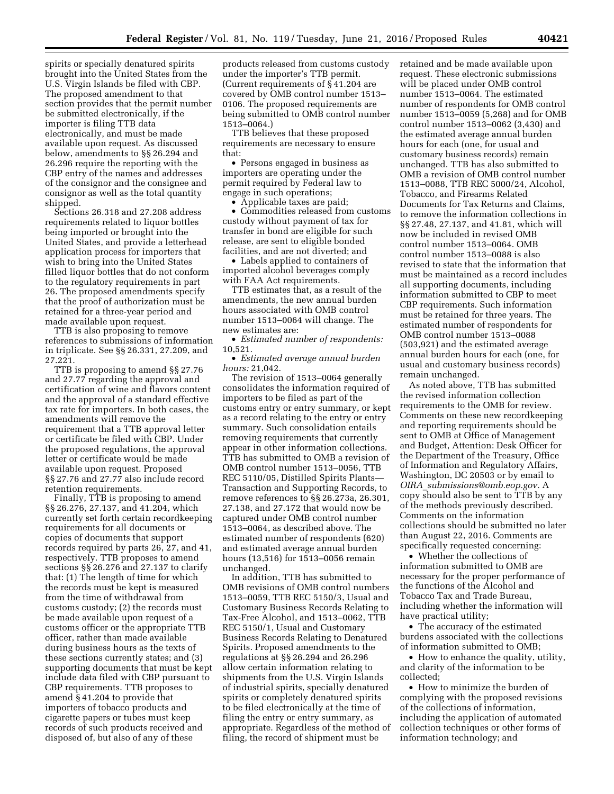spirits or specially denatured spirits brought into the United States from the U.S. Virgin Islands be filed with CBP. The proposed amendment to that section provides that the permit number be submitted electronically, if the importer is filing TTB data electronically, and must be made available upon request. As discussed below, amendments to §§ 26.294 and 26.296 require the reporting with the CBP entry of the names and addresses of the consignor and the consignee and consignor as well as the total quantity shipped.

Sections 26.318 and 27.208 address requirements related to liquor bottles being imported or brought into the United States, and provide a letterhead application process for importers that wish to bring into the United States filled liquor bottles that do not conform to the regulatory requirements in part 26. The proposed amendments specify that the proof of authorization must be retained for a three-year period and made available upon request.

TTB is also proposing to remove references to submissions of information in triplicate. See §§ 26.331, 27.209, and 27.221.

TTB is proposing to amend §§ 27.76 and 27.77 regarding the approval and certification of wine and flavors content and the approval of a standard effective tax rate for importers. In both cases, the amendments will remove the requirement that a TTB approval letter or certificate be filed with CBP. Under the proposed regulations, the approval letter or certificate would be made available upon request. Proposed §§ 27.76 and 27.77 also include record retention requirements.

Finally, TTB is proposing to amend §§ 26.276, 27.137, and 41.204, which currently set forth certain recordkeeping requirements for all documents or copies of documents that support records required by parts 26, 27, and 41, respectively. TTB proposes to amend sections §§ 26.276 and 27.137 to clarify that: (1) The length of time for which the records must be kept is measured from the time of withdrawal from customs custody; (2) the records must be made available upon request of a customs officer or the appropriate TTB officer, rather than made available during business hours as the texts of these sections currently states; and (3) supporting documents that must be kept include data filed with CBP pursuant to CBP requirements. TTB proposes to amend § 41.204 to provide that importers of tobacco products and cigarette papers or tubes must keep records of such products received and disposed of, but also of any of these

products released from customs custody under the importer's TTB permit. (Current requirements of § 41.204 are covered by OMB control number 1513– 0106. The proposed requirements are being submitted to OMB control number 1513–0064.)

TTB believes that these proposed requirements are necessary to ensure that:

• Persons engaged in business as importers are operating under the permit required by Federal law to engage in such operations;

• Applicable taxes are paid;

• Commodities released from customs custody without payment of tax for transfer in bond are eligible for such release, are sent to eligible bonded facilities, and are not diverted; and

• Labels applied to containers of imported alcohol beverages comply with FAA Act requirements.

TTB estimates that, as a result of the amendments, the new annual burden hours associated with OMB control number 1513–0064 will change. The new estimates are:

• *Estimated number of respondents:*  10,521.

• *Estimated average annual burden hours:* 21,042.

The revision of 1513–0064 generally consolidates the information required of importers to be filed as part of the customs entry or entry summary, or kept as a record relating to the entry or entry summary. Such consolidation entails removing requirements that currently appear in other information collections. TTB has submitted to OMB a revision of OMB control number 1513–0056, TTB REC 5110/05, Distilled Spirits Plants— Transaction and Supporting Records, to remove references to §§ 26.273a, 26.301, 27.138, and 27.172 that would now be captured under OMB control number 1513–0064, as described above. The estimated number of respondents (620) and estimated average annual burden hours (13,516) for 1513–0056 remain unchanged.

In addition, TTB has submitted to OMB revisions of OMB control numbers 1513–0059, TTB REC 5150/3, Usual and Customary Business Records Relating to Tax-Free Alcohol, and 1513–0062, TTB REC 5150/1, Usual and Customary Business Records Relating to Denatured Spirits. Proposed amendments to the regulations at §§ 26.294 and 26.296 allow certain information relating to shipments from the U.S. Virgin Islands of industrial spirits, specially denatured spirits or completely denatured spirits to be filed electronically at the time of filing the entry or entry summary, as appropriate. Regardless of the method of filing, the record of shipment must be

retained and be made available upon request. These electronic submissions will be placed under OMB control number 1513–0064. The estimated number of respondents for OMB control number 1513–0059 (5,268) and for OMB control number 1513–0062 (3,430) and the estimated average annual burden hours for each (one, for usual and customary business records) remain unchanged. TTB has also submitted to OMB a revision of OMB control number 1513–0088, TTB REC 5000/24, Alcohol, Tobacco, and Firearms Related Documents for Tax Returns and Claims, to remove the information collections in §§ 27.48, 27.137, and 41.81, which will now be included in revised OMB control number 1513–0064. OMB control number 1513–0088 is also revised to state that the information that must be maintained as a record includes all supporting documents, including information submitted to CBP to meet CBP requirements. Such information must be retained for three years. The estimated number of respondents for OMB control number 1513–0088 (503,921) and the estimated average annual burden hours for each (one, for usual and customary business records) remain unchanged.

As noted above, TTB has submitted the revised information collection requirements to the OMB for review. Comments on these new recordkeeping and reporting requirements should be sent to OMB at Office of Management and Budget, Attention: Desk Officer for the Department of the Treasury, Office of Information and Regulatory Affairs, Washington, DC 20503 or by email to *OIRA*\_*[submissions@omb.eop.gov.](mailto:OIRA_submissions@omb.eop.gov)* A copy should also be sent to TTB by any of the methods previously described. Comments on the information collections should be submitted no later than August 22, 2016. Comments are specifically requested concerning:

• Whether the collections of information submitted to OMB are necessary for the proper performance of the functions of the Alcohol and Tobacco Tax and Trade Bureau, including whether the information will have practical utility;

• The accuracy of the estimated burdens associated with the collections of information submitted to OMB;

• How to enhance the quality, utility, and clarity of the information to be collected;

• How to minimize the burden of complying with the proposed revisions of the collections of information, including the application of automated collection techniques or other forms of information technology; and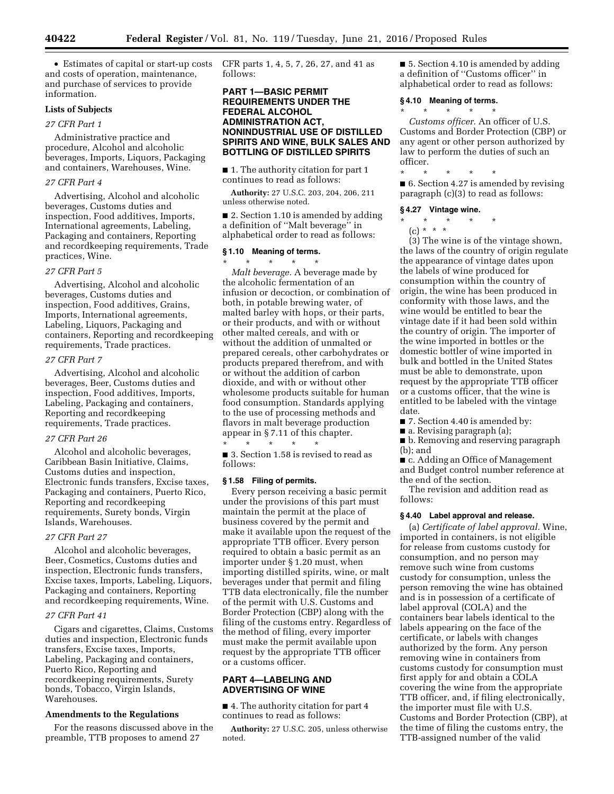• Estimates of capital or start-up costs and costs of operation, maintenance, and purchase of services to provide information.

# **Lists of Subjects**

# *27 CFR Part 1*

Administrative practice and procedure, Alcohol and alcoholic beverages, Imports, Liquors, Packaging and containers, Warehouses, Wine.

# *27 CFR Part 4*

Advertising, Alcohol and alcoholic beverages, Customs duties and inspection, Food additives, Imports, International agreements, Labeling, Packaging and containers, Reporting and recordkeeping requirements, Trade practices, Wine.

#### *27 CFR Part 5*

Advertising, Alcohol and alcoholic beverages, Customs duties and inspection, Food additives, Grains, Imports, International agreements, Labeling, Liquors, Packaging and containers, Reporting and recordkeeping requirements, Trade practices.

#### *27 CFR Part 7*

Advertising, Alcohol and alcoholic beverages, Beer, Customs duties and inspection, Food additives, Imports, Labeling, Packaging and containers, Reporting and recordkeeping requirements, Trade practices.

#### *27 CFR Part 26*

Alcohol and alcoholic beverages, Caribbean Basin Initiative, Claims, Customs duties and inspection, Electronic funds transfers, Excise taxes, Packaging and containers, Puerto Rico, Reporting and recordkeeping requirements, Surety bonds, Virgin Islands, Warehouses.

#### *27 CFR Part 27*

Alcohol and alcoholic beverages, Beer, Cosmetics, Customs duties and inspection, Electronic funds transfers, Excise taxes, Imports, Labeling, Liquors, Packaging and containers, Reporting and recordkeeping requirements, Wine.

# *27 CFR Part 41*

Cigars and cigarettes, Claims, Customs duties and inspection, Electronic funds transfers, Excise taxes, Imports, Labeling, Packaging and containers, Puerto Rico, Reporting and recordkeeping requirements, Surety bonds, Tobacco, Virgin Islands, Warehouses.

#### **Amendments to the Regulations**

For the reasons discussed above in the preamble, TTB proposes to amend 27

CFR parts 1, 4, 5, 7, 26, 27, and 41 as follows:

# **PART 1—BASIC PERMIT REQUIREMENTS UNDER THE FEDERAL ALCOHOL ADMINISTRATION ACT, NONINDUSTRIAL USE OF DISTILLED SPIRITS AND WINE, BULK SALES AND BOTTLING OF DISTILLED SPIRITS**

■ 1. The authority citation for part 1 continues to read as follows:

**Authority:** 27 U.S.C. 203, 204, 206, 211 unless otherwise noted.

■ 2. Section 1.10 is amended by adding a definition of ''Malt beverage'' in alphabetical order to read as follows:

#### **§ 1.10 Meaning of terms.**  \* \* \* \* \*

*Malt beverage.* A beverage made by the alcoholic fermentation of an infusion or decoction, or combination of both, in potable brewing water, of malted barley with hops, or their parts, or their products, and with or without other malted cereals, and with or without the addition of unmalted or prepared cereals, other carbohydrates or products prepared therefrom, and with or without the addition of carbon dioxide, and with or without other wholesome products suitable for human food consumption. Standards applying to the use of processing methods and flavors in malt beverage production appear in § 7.11 of this chapter.

\* \* \* \* \* ■ 3. Section 1.58 is revised to read as follows:

#### **§ 1.58 Filing of permits.**

Every person receiving a basic permit under the provisions of this part must maintain the permit at the place of business covered by the permit and make it available upon the request of the appropriate TTB officer. Every person required to obtain a basic permit as an importer under § 1.20 must, when importing distilled spirits, wine, or malt beverages under that permit and filing TTB data electronically, file the number of the permit with U.S. Customs and Border Protection (CBP) along with the filing of the customs entry. Regardless of the method of filing, every importer must make the permit available upon request by the appropriate TTB officer or a customs officer.

# **PART 4—LABELING AND ADVERTISING OF WINE**

■ 4. The authority citation for part 4 continues to read as follows:

**Authority:** 27 U.S.C. 205, unless otherwise noted.

■ 5. Section 4.10 is amended by adding a definition of ''Customs officer'' in alphabetical order to read as follows:

#### **§ 4.10 Meaning of terms.**

\* \* \* \* \*

*Customs officer.* An officer of U.S. Customs and Border Protection (CBP) or any agent or other person authorized by law to perform the duties of such an officer.

\* \* \* \* \*

■ 6. Section 4.27 is amended by revising paragraph (c)(3) to read as follows:

# **§ 4.27 Vintage wine.**

\* \* \* \* \*

 $(c) * * * *$ 

(3) The wine is of the vintage shown, the laws of the country of origin regulate the appearance of vintage dates upon the labels of wine produced for consumption within the country of origin, the wine has been produced in conformity with those laws, and the wine would be entitled to bear the vintage date if it had been sold within the country of origin. The importer of the wine imported in bottles or the domestic bottler of wine imported in bulk and bottled in the United States must be able to demonstrate, upon request by the appropriate TTB officer or a customs officer, that the wine is entitled to be labeled with the vintage date.

■ 7. Section 4.40 is amended by:

■ a. Revising paragraph (a);

■ b. Removing and reserving paragraph (b); and

■ c. Adding an Office of Management and Budget control number reference at the end of the section.

The revision and addition read as follows:

#### **§ 4.40 Label approval and release.**

(a) *Certificate of label approval.* Wine, imported in containers, is not eligible for release from customs custody for consumption, and no person may remove such wine from customs custody for consumption, unless the person removing the wine has obtained and is in possession of a certificate of label approval (COLA) and the containers bear labels identical to the labels appearing on the face of the certificate, or labels with changes authorized by the form. Any person removing wine in containers from customs custody for consumption must first apply for and obtain a COLA covering the wine from the appropriate TTB officer, and, if filing electronically, the importer must file with U.S. Customs and Border Protection (CBP), at the time of filing the customs entry, the TTB-assigned number of the valid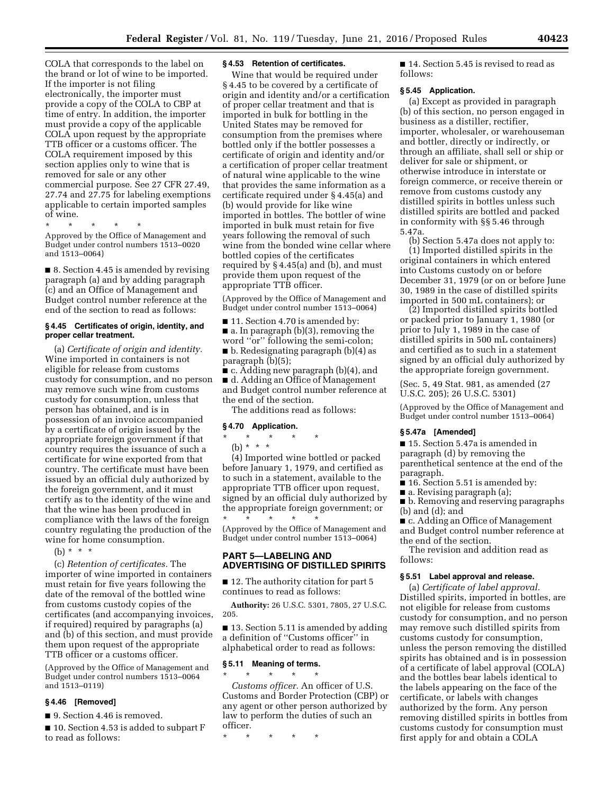COLA that corresponds to the label on the brand or lot of wine to be imported. If the importer is not filing electronically, the importer must provide a copy of the COLA to CBP at time of entry. In addition, the importer must provide a copy of the applicable COLA upon request by the appropriate TTB officer or a customs officer. The COLA requirement imposed by this section applies only to wine that is removed for sale or any other commercial purpose. See 27 CFR 27.49, 27.74 and 27.75 for labeling exemptions applicable to certain imported samples of wine.

\* \* \* \* \*

Approved by the Office of Management and Budget under control numbers 1513–0020 and 1513–0064)

■ 8. Section 4.45 is amended by revising paragraph (a) and by adding paragraph (c) and an Office of Management and Budget control number reference at the end of the section to read as follows:

# **§ 4.45 Certificates of origin, identity, and proper cellar treatment.**

(a) *Certificate of origin and identity.*  Wine imported in containers is not eligible for release from customs custody for consumption, and no person may remove such wine from customs custody for consumption, unless that person has obtained, and is in possession of an invoice accompanied by a certificate of origin issued by the appropriate foreign government if that country requires the issuance of such a certificate for wine exported from that country. The certificate must have been issued by an official duly authorized by the foreign government, and it must certify as to the identity of the wine and that the wine has been produced in compliance with the laws of the foreign country regulating the production of the wine for home consumption.

(b)  $* * * *$ 

(c) *Retention of certificates.* The importer of wine imported in containers must retain for five years following the date of the removal of the bottled wine from customs custody copies of the certificates (and accompanying invoices, if required) required by paragraphs (a) and (b) of this section, and must provide them upon request of the appropriate TTB officer or a customs officer.

(Approved by the Office of Management and Budget under control numbers 1513–0064 and 1513–0119)

# **§ 4.46 [Removed]**

■ 9. Section 4.46 is removed.

■ 10. Section 4.53 is added to subpart F to read as follows:

#### **§ 4.53 Retention of certificates.**

Wine that would be required under § 4.45 to be covered by a certificate of origin and identity and/or a certification of proper cellar treatment and that is imported in bulk for bottling in the United States may be removed for consumption from the premises where bottled only if the bottler possesses a certificate of origin and identity and/or a certification of proper cellar treatment of natural wine applicable to the wine that provides the same information as a certificate required under § 4.45(a) and (b) would provide for like wine imported in bottles. The bottler of wine imported in bulk must retain for five years following the removal of such wine from the bonded wine cellar where bottled copies of the certificates required by § 4.45(a) and (b), and must provide them upon request of the appropriate TTB officer.

(Approved by the Office of Management and Budget under control number 1513–0064)

■ 11. Section 4.70 is amended by: ■ a. In paragraph (b)(3), removing the word ''or'' following the semi-colon; ■ b. Redesignating paragraph (b)(4) as paragraph (b)(5);

■ c. Adding new paragraph (b)(4), and ■ d. Adding an Office of Management and Budget control number reference at the end of the section.

The additions read as follows:

#### **§ 4.70 Application.**

# $\star$   $\star$ (b) \* \* \*

(4) Imported wine bottled or packed before January 1, 1979, and certified as to such in a statement, available to the appropriate TTB officer upon request, signed by an official duly authorized by the appropriate foreign government; or

\* \* \* \* \* (Approved by the Office of Management and Budget under control number 1513–0064)

# **PART 5—LABELING AND ADVERTISING OF DISTILLED SPIRITS**

■ 12. The authority citation for part 5 continues to read as follows:

**Authority:** 26 U.S.C. 5301, 7805, 27 U.S.C. 205.

■ 13. Section 5.11 is amended by adding a definition of ''Customs officer'' in alphabetical order to read as follows:

#### **§ 5.11 Meaning of terms.**

\* \* \* \* \* *Customs officer.* An officer of U.S. Customs and Border Protection (CBP) or any agent or other person authorized by law to perform the duties of such an officer.

\* \* \* \* \*

■ 14. Section 5.45 is revised to read as follows:

#### **§ 5.45 Application.**

(a) Except as provided in paragraph (b) of this section, no person engaged in business as a distiller, rectifier, importer, wholesaler, or warehouseman and bottler, directly or indirectly, or through an affiliate, shall sell or ship or deliver for sale or shipment, or otherwise introduce in interstate or foreign commerce, or receive therein or remove from customs custody any distilled spirits in bottles unless such distilled spirits are bottled and packed in conformity with §§ 5.46 through 5.47a.

(b) Section 5.47a does not apply to: (1) Imported distilled spirits in the original containers in which entered into Customs custody on or before December 31, 1979 (or on or before June 30, 1989 in the case of distilled spirits imported in 500 mL containers); or

(2) Imported distilled spirits bottled or packed prior to January 1, 1980 (or prior to July 1, 1989 in the case of distilled spirits in 500 mL containers) and certified as to such in a statement signed by an official duly authorized by the appropriate foreign government.

(Sec. 5, 49 Stat. 981, as amended (27 U.S.C. 205); 26 U.S.C. 5301)

(Approved by the Office of Management and Budget under control number 1513–0064)

#### **§ 5.47a [Amended]**

■ 15. Section 5.47a is amended in paragraph (d) by removing the parenthetical sentence at the end of the paragraph.

■ 16. Section 5.51 is amended by:

■ a. Revising paragraph (a);

■ b. Removing and reserving paragraphs (b) and (d); and

■ c. Adding an Office of Management and Budget control number reference at the end of the section.

The revision and addition read as follows:

#### **§ 5.51 Label approval and release.**

(a) *Certificate of label approval.*  Distilled spirits, imported in bottles, are not eligible for release from customs custody for consumption, and no person may remove such distilled spirits from customs custody for consumption, unless the person removing the distilled spirits has obtained and is in possession of a certificate of label approval (COLA) and the bottles bear labels identical to the labels appearing on the face of the certificate, or labels with changes authorized by the form. Any person removing distilled spirits in bottles from customs custody for consumption must first apply for and obtain a COLA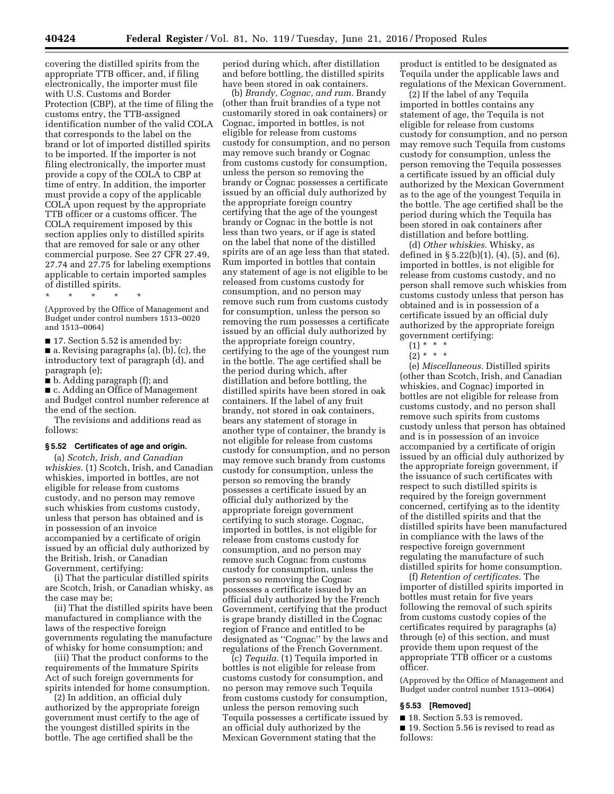covering the distilled spirits from the appropriate TTB officer, and, if filing electronically, the importer must file with U.S. Customs and Border Protection (CBP), at the time of filing the customs entry, the TTB-assigned identification number of the valid COLA that corresponds to the label on the brand or lot of imported distilled spirits to be imported. If the importer is not filing electronically, the importer must provide a copy of the COLA to CBP at time of entry. In addition, the importer must provide a copy of the applicable COLA upon request by the appropriate TTB officer or a customs officer. The COLA requirement imposed by this section applies only to distilled spirits that are removed for sale or any other commercial purpose. See 27 CFR 27.49, 27.74 and 27.75 for labeling exemptions applicable to certain imported samples of distilled spirits.

(Approved by the Office of Management and Budget under control numbers 1513–0020 and 1513–0064)

■ 17. Section 5.52 is amended by:

■ a. Revising paragraphs (a), (b), (c), the introductory text of paragraph (d), and paragraph (e);

■ b. Adding paragraph (f); and

\* \* \* \* \*

■ c. Adding an Office of Management and Budget control number reference at the end of the section.

The revisions and additions read as follows:

#### **§ 5.52 Certificates of age and origin.**

(a) *Scotch, Irish, and Canadian whiskies.* (1) Scotch, Irish, and Canadian whiskies, imported in bottles, are not eligible for release from customs custody, and no person may remove such whiskies from customs custody, unless that person has obtained and is in possession of an invoice accompanied by a certificate of origin issued by an official duly authorized by the British, Irish, or Canadian Government, certifying:

(i) That the particular distilled spirits are Scotch, Irish, or Canadian whisky, as the case may be;

(ii) That the distilled spirits have been manufactured in compliance with the laws of the respective foreign governments regulating the manufacture of whisky for home consumption; and

(iii) That the product conforms to the requirements of the Immature Spirits Act of such foreign governments for spirits intended for home consumption.

(2) In addition, an official duly authorized by the appropriate foreign government must certify to the age of the youngest distilled spirits in the bottle. The age certified shall be the

period during which, after distillation and before bottling, the distilled spirits have been stored in oak containers.

(b) *Brandy, Cognac, and rum.* Brandy (other than fruit brandies of a type not customarily stored in oak containers) or Cognac, imported in bottles, is not eligible for release from customs custody for consumption, and no person may remove such brandy or Cognac from customs custody for consumption, unless the person so removing the brandy or Cognac possesses a certificate issued by an official duly authorized by the appropriate foreign country certifying that the age of the youngest brandy or Cognac in the bottle is not less than two years, or if age is stated on the label that none of the distilled spirits are of an age less than that stated. Rum imported in bottles that contain any statement of age is not eligible to be released from customs custody for consumption, and no person may remove such rum from customs custody for consumption, unless the person so removing the rum possesses a certificate issued by an official duly authorized by the appropriate foreign country, certifying to the age of the youngest rum in the bottle. The age certified shall be the period during which, after distillation and before bottling, the distilled spirits have been stored in oak containers. If the label of any fruit brandy, not stored in oak containers, bears any statement of storage in another type of container, the brandy is not eligible for release from customs custody for consumption, and no person may remove such brandy from customs custody for consumption, unless the person so removing the brandy possesses a certificate issued by an official duly authorized by the appropriate foreign government certifying to such storage. Cognac, imported in bottles, is not eligible for release from customs custody for consumption, and no person may remove such Cognac from customs custody for consumption, unless the person so removing the Cognac possesses a certificate issued by an official duly authorized by the French Government, certifying that the product is grape brandy distilled in the Cognac region of France and entitled to be designated as ''Cognac'' by the laws and regulations of the French Government.

(c) *Tequila.* (1) Tequila imported in bottles is not eligible for release from customs custody for consumption, and no person may remove such Tequila from customs custody for consumption, unless the person removing such Tequila possesses a certificate issued by an official duly authorized by the Mexican Government stating that the

product is entitled to be designated as Tequila under the applicable laws and regulations of the Mexican Government.

(2) If the label of any Tequila imported in bottles contains any statement of age, the Tequila is not eligible for release from customs custody for consumption, and no person may remove such Tequila from customs custody for consumption, unless the person removing the Tequila possesses a certificate issued by an official duly authorized by the Mexican Government as to the age of the youngest Tequila in the bottle. The age certified shall be the period during which the Tequila has been stored in oak containers after distillation and before bottling.

(d) *Other whiskies.* Whisky, as defined in  $\S 5.22(b)(1)$ ,  $(4)$ ,  $(5)$ , and  $(6)$ , imported in bottles, is not eligible for release from customs custody, and no person shall remove such whiskies from customs custody unless that person has obtained and is in possession of a certificate issued by an official duly authorized by the appropriate foreign government certifying:

 $(2) * * * *$ 

(e) *Miscellaneous.* Distilled spirits (other than Scotch, Irish, and Canadian whiskies, and Cognac) imported in bottles are not eligible for release from customs custody, and no person shall remove such spirits from customs custody unless that person has obtained and is in possession of an invoice accompanied by a certificate of origin issued by an official duly authorized by the appropriate foreign government, if the issuance of such certificates with respect to such distilled spirits is required by the foreign government concerned, certifying as to the identity of the distilled spirits and that the distilled spirits have been manufactured in compliance with the laws of the respective foreign government regulating the manufacture of such distilled spirits for home consumption.

(f) *Retention of certificates.* The importer of distilled spirits imported in bottles must retain for five years following the removal of such spirits from customs custody copies of the certificates required by paragraphs (a) through (e) of this section, and must provide them upon request of the appropriate TTB officer or a customs officer.

(Approved by the Office of Management and Budget under control number 1513–0064)

#### **§ 5.53 [Removed]**

■ 18. Section 5.53 is removed.

■ 19. Section 5.56 is revised to read as follows:

 $(1) * * * *$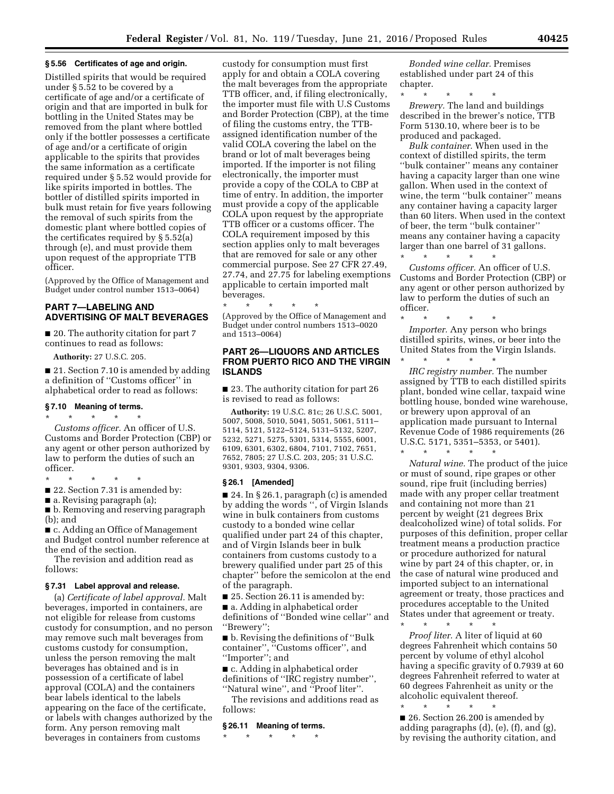#### **§ 5.56 Certificates of age and origin.**

Distilled spirits that would be required under § 5.52 to be covered by a certificate of age and/or a certificate of origin and that are imported in bulk for bottling in the United States may be removed from the plant where bottled only if the bottler possesses a certificate of age and/or a certificate of origin applicable to the spirits that provides the same information as a certificate required under § 5.52 would provide for like spirits imported in bottles. The bottler of distilled spirits imported in bulk must retain for five years following the removal of such spirits from the domestic plant where bottled copies of the certificates required by § 5.52(a) through (e), and must provide them upon request of the appropriate TTB officer.

(Approved by the Office of Management and Budget under control number 1513–0064)

# **PART 7—LABELING AND ADVERTISING OF MALT BEVERAGES**

■ 20. The authority citation for part 7 continues to read as follows:

**Authority:** 27 U.S.C. 205.

■ 21. Section 7.10 is amended by adding a definition of ''Customs officer'' in alphabetical order to read as follows:

# **§ 7.10 Meaning of terms.**

\* \* \* \* \* *Customs officer.* An officer of U.S. Customs and Border Protection (CBP) or any agent or other person authorized by law to perform the duties of such an officer.

\* \* \* \* \*

■ 22. Section 7.31 is amended by:

 $\blacksquare$  a. Revising paragraph (a);

■ b. Removing and reserving paragraph (b); and

■ c. Adding an Office of Management and Budget control number reference at the end of the section.

The revision and addition read as follows:

#### **§ 7.31 Label approval and release.**

(a) *Certificate of label approval.* Malt beverages, imported in containers, are not eligible for release from customs custody for consumption, and no person may remove such malt beverages from customs custody for consumption, unless the person removing the malt beverages has obtained and is in possession of a certificate of label approval (COLA) and the containers bear labels identical to the labels appearing on the face of the certificate, or labels with changes authorized by the form. Any person removing malt beverages in containers from customs

custody for consumption must first apply for and obtain a COLA covering the malt beverages from the appropriate TTB officer, and, if filing electronically, the importer must file with U.S Customs and Border Protection (CBP), at the time of filing the customs entry, the TTBassigned identification number of the valid COLA covering the label on the brand or lot of malt beverages being imported. If the importer is not filing electronically, the importer must provide a copy of the COLA to CBP at time of entry. In addition, the importer must provide a copy of the applicable COLA upon request by the appropriate TTB officer or a customs officer. The COLA requirement imposed by this section applies only to malt beverages that are removed for sale or any other commercial purpose. See 27 CFR 27.49, 27.74, and 27.75 for labeling exemptions applicable to certain imported malt beverages.

\* \* \* \* \* (Approved by the Office of Management and Budget under control numbers 1513–0020 and 1513–0064)

# **PART 26—LIQUORS AND ARTICLES FROM PUERTO RICO AND THE VIRGIN ISLANDS**

■ 23. The authority citation for part 26 is revised to read as follows:

**Authority:** 19 U.S.C. 81c; 26 U.S.C. 5001, 5007, 5008, 5010, 5041, 5051, 5061, 5111– 5114, 5121, 5122–5124, 5131–5132, 5207, 5232, 5271, 5275, 5301, 5314, 5555, 6001, 6109, 6301, 6302, 6804, 7101, 7102, 7651, 7652, 7805; 27 U.S.C. 203, 205; 31 U.S.C. 9301, 9303, 9304, 9306.

#### **§ 26.1 [Amended]**

■ 24. In § 26.1, paragraph (c) is amended by adding the words '', of Virgin Islands wine in bulk containers from customs custody to a bonded wine cellar qualified under part 24 of this chapter, and of Virgin Islands beer in bulk containers from customs custody to a brewery qualified under part 25 of this chapter'' before the semicolon at the end of the paragraph.

■ 25. Section 26.11 is amended by:

■ a. Adding in alphabetical order definitions of ''Bonded wine cellar'' and ''Brewery'';

■ b. Revising the definitions of "Bulk container'', ''Customs officer'', and ''Importer''; and

■ c. Adding in alphabetical order definitions of ''IRC registry number'', ''Natural wine'', and ''Proof liter''.

The revisions and additions read as follows:

#### **§ 26.11 Meaning of terms.**

\* \* \* \* \*

*Bonded wine cellar.* Premises established under part 24 of this chapter.

\* \* \* \* \* *Brewery.* The land and buildings

described in the brewer's notice, TTB Form 5130.10, where beer is to be produced and packaged.

*Bulk container.* When used in the context of distilled spirits, the term ''bulk container'' means any container having a capacity larger than one wine gallon. When used in the context of wine, the term "bulk container" means any container having a capacity larger than 60 liters. When used in the context of beer, the term ''bulk container'' means any container having a capacity larger than one barrel of 31 gallons.

\* \* \* \* \* *Customs officer.* An officer of U.S. Customs and Border Protection (CBP) or any agent or other person authorized by law to perform the duties of such an officer.

\* \* \* \* \* *Importer.* Any person who brings distilled spirits, wines, or beer into the United States from the Virgin Islands.

\* \* \* \* \* *IRC registry number.* The number assigned by TTB to each distilled spirits plant, bonded wine cellar, taxpaid wine bottling house, bonded wine warehouse, or brewery upon approval of an application made pursuant to Internal Revenue Code of 1986 requirements (26 U.S.C. 5171, 5351–5353, or 5401).

\* \* \* \* \*

*Natural wine.* The product of the juice or must of sound, ripe grapes or other sound, ripe fruit (including berries) made with any proper cellar treatment and containing not more than 21 percent by weight (21 degrees Brix dealcoholized wine) of total solids. For purposes of this definition, proper cellar treatment means a production practice or procedure authorized for natural wine by part 24 of this chapter, or, in the case of natural wine produced and imported subject to an international agreement or treaty, those practices and procedures acceptable to the United States under that agreement or treaty.

\* \* \* \* \*

*Proof liter.* A liter of liquid at 60 degrees Fahrenheit which contains 50 percent by volume of ethyl alcohol having a specific gravity of 0.7939 at 60 degrees Fahrenheit referred to water at 60 degrees Fahrenheit as unity or the alcoholic equivalent thereof.

\* \* \* \* \* ■ 26. Section 26.200 is amended by adding paragraphs (d), (e), (f), and (g), by revising the authority citation, and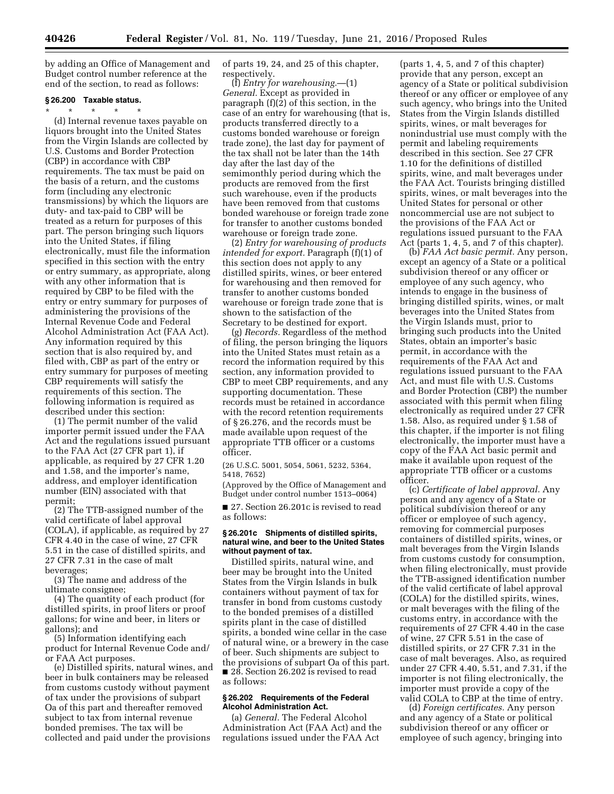by adding an Office of Management and Budget control number reference at the end of the section, to read as follows:

# **§ 26.200 Taxable status.**

\* \* \* \* \* (d) Internal revenue taxes payable on liquors brought into the United States from the Virgin Islands are collected by U.S. Customs and Border Protection (CBP) in accordance with CBP requirements. The tax must be paid on the basis of a return, and the customs form (including any electronic transmissions) by which the liquors are duty- and tax-paid to CBP will be treated as a return for purposes of this part. The person bringing such liquors into the United States, if filing electronically, must file the information specified in this section with the entry or entry summary, as appropriate, along with any other information that is required by CBP to be filed with the entry or entry summary for purposes of administering the provisions of the Internal Revenue Code and Federal Alcohol Administration Act (FAA Act). Any information required by this section that is also required by, and filed with, CBP as part of the entry or entry summary for purposes of meeting CBP requirements will satisfy the requirements of this section. The following information is required as described under this section:

(1) The permit number of the valid importer permit issued under the FAA Act and the regulations issued pursuant to the FAA Act (27 CFR part 1), if applicable, as required by 27 CFR 1.20 and 1.58, and the importer's name, address, and employer identification number (EIN) associated with that permit;

(2) The TTB-assigned number of the valid certificate of label approval (COLA), if applicable, as required by 27 CFR 4.40 in the case of wine, 27 CFR 5.51 in the case of distilled spirits, and 27 CFR 7.31 in the case of malt beverages;

(3) The name and address of the ultimate consignee;

(4) The quantity of each product (for distilled spirits, in proof liters or proof gallons; for wine and beer, in liters or gallons); and

(5) Information identifying each product for Internal Revenue Code and/ or FAA Act purposes.

(e) Distilled spirits, natural wines, and beer in bulk containers may be released from customs custody without payment of tax under the provisions of subpart Oa of this part and thereafter removed subject to tax from internal revenue bonded premises. The tax will be collected and paid under the provisions

of parts 19, 24, and 25 of this chapter, respectively.

(f) *Entry for warehousing.*—(1) *General.* Except as provided in paragraph (f)(2) of this section, in the case of an entry for warehousing (that is, products transferred directly to a customs bonded warehouse or foreign trade zone), the last day for payment of the tax shall not be later than the 14th day after the last day of the semimonthly period during which the products are removed from the first such warehouse, even if the products have been removed from that customs bonded warehouse or foreign trade zone for transfer to another customs bonded warehouse or foreign trade zone.

(2) *Entry for warehousing of products intended for export.* Paragraph (f)(1) of this section does not apply to any distilled spirits, wines, or beer entered for warehousing and then removed for transfer to another customs bonded warehouse or foreign trade zone that is shown to the satisfaction of the Secretary to be destined for export.

(g) *Records.* Regardless of the method of filing, the person bringing the liquors into the United States must retain as a record the information required by this section, any information provided to CBP to meet CBP requirements, and any supporting documentation. These records must be retained in accordance with the record retention requirements of § 26.276, and the records must be made available upon request of the appropriate TTB officer or a customs officer.

(26 U.S.C. 5001, 5054, 5061, 5232, 5364, 5418, 7652)

(Approved by the Office of Management and Budget under control number 1513–0064)

■ 27. Section 26.201c is revised to read as follows:

#### **§ 26.201c Shipments of distilled spirits, natural wine, and beer to the United States without payment of tax.**

Distilled spirits, natural wine, and beer may be brought into the United States from the Virgin Islands in bulk containers without payment of tax for transfer in bond from customs custody to the bonded premises of a distilled spirits plant in the case of distilled spirits, a bonded wine cellar in the case of natural wine, or a brewery in the case of beer. Such shipments are subject to the provisions of subpart Oa of this part. ■ 28. Section 26.202 is revised to read as follows:

#### **§ 26.202 Requirements of the Federal Alcohol Administration Act.**

(a) *General.* The Federal Alcohol Administration Act (FAA Act) and the regulations issued under the FAA Act

(parts 1, 4, 5, and 7 of this chapter) provide that any person, except an agency of a State or political subdivision thereof or any officer or employee of any such agency, who brings into the United States from the Virgin Islands distilled spirits, wines, or malt beverages for nonindustrial use must comply with the permit and labeling requirements described in this section. See 27 CFR 1.10 for the definitions of distilled spirits, wine, and malt beverages under the FAA Act. Tourists bringing distilled spirits, wines, or malt beverages into the United States for personal or other noncommercial use are not subject to the provisions of the FAA Act or regulations issued pursuant to the FAA Act (parts 1, 4, 5, and 7 of this chapter).

(b) *FAA Act basic permit.* Any person, except an agency of a State or a political subdivision thereof or any officer or employee of any such agency, who intends to engage in the business of bringing distilled spirits, wines, or malt beverages into the United States from the Virgin Islands must, prior to bringing such products into the United States, obtain an importer's basic permit, in accordance with the requirements of the FAA Act and regulations issued pursuant to the FAA Act, and must file with U.S. Customs and Border Protection (CBP) the number associated with this permit when filing electronically as required under 27 CFR 1.58. Also, as required under § 1.58 of this chapter, if the importer is not filing electronically, the importer must have a copy of the FAA Act basic permit and make it available upon request of the appropriate TTB officer or a customs officer.

(c) *Certificate of label approval.* Any person and any agency of a State or political subdivision thereof or any officer or employee of such agency, removing for commercial purposes containers of distilled spirits, wines, or malt beverages from the Virgin Islands from customs custody for consumption, when filing electronically, must provide the TTB-assigned identification number of the valid certificate of label approval (COLA) for the distilled spirits, wines, or malt beverages with the filing of the customs entry, in accordance with the requirements of 27 CFR 4.40 in the case of wine, 27 CFR 5.51 in the case of distilled spirits, or 27 CFR 7.31 in the case of malt beverages. Also, as required under 27 CFR 4.40, 5.51, and 7.31, if the importer is not filing electronically, the importer must provide a copy of the valid COLA to CBP at the time of entry.

(d) *Foreign certificates.* Any person and any agency of a State or political subdivision thereof or any officer or employee of such agency, bringing into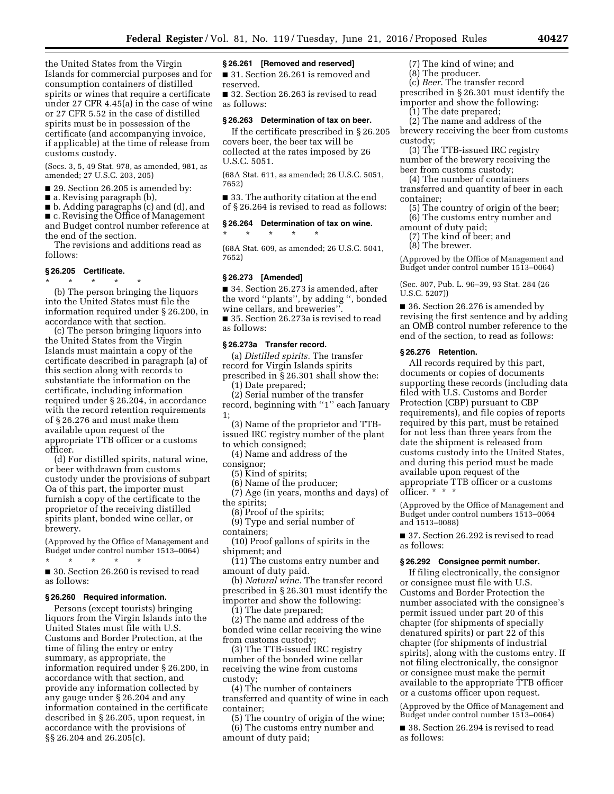the United States from the Virgin Islands for commercial purposes and for consumption containers of distilled spirits or wines that require a certificate under 27 CFR 4.45(a) in the case of wine or 27 CFR 5.52 in the case of distilled spirits must be in possession of the certificate (and accompanying invoice, if applicable) at the time of release from customs custody.

(Secs. 3, 5, 49 Stat. 978, as amended, 981, as amended; 27 U.S.C. 203, 205)

■ 29. Section 26.205 is amended by:

■ a. Revising paragraph (b),

■ b. Adding paragraphs (c) and (d), and

■ c. Revising the Office of Management and Budget control number reference at the end of the section.

The revisions and additions read as follows:

# **§ 26.205 Certificate.**

\* \* \* \* \* (b) The person bringing the liquors into the United States must file the information required under § 26.200, in accordance with that section.

(c) The person bringing liquors into the United States from the Virgin Islands must maintain a copy of the certificate described in paragraph (a) of this section along with records to substantiate the information on the certificate, including information required under § 26.204, in accordance with the record retention requirements of § 26.276 and must make them available upon request of the appropriate TTB officer or a customs officer.

(d) For distilled spirits, natural wine, or beer withdrawn from customs custody under the provisions of subpart Oa of this part, the importer must furnish a copy of the certificate to the proprietor of the receiving distilled spirits plant, bonded wine cellar, or brewery.

(Approved by the Office of Management and Budget under control number 1513–0064)

\* \* \* \* \* ■ 30. Section 26.260 is revised to read as follows:

#### **§ 26.260 Required information.**

Persons (except tourists) bringing liquors from the Virgin Islands into the United States must file with U.S. Customs and Border Protection, at the time of filing the entry or entry summary, as appropriate, the information required under § 26.200, in accordance with that section, and provide any information collected by any gauge under § 26.204 and any information contained in the certificate described in § 26.205, upon request, in accordance with the provisions of §§ 26.204 and 26.205(c).

#### **§ 26.261 [Removed and reserved]**

■ 31. Section 26.261 is removed and reserved.

■ 32. Section 26.263 is revised to read as follows:

#### **§ 26.263 Determination of tax on beer.**

If the certificate prescribed in § 26.205 covers beer, the beer tax will be collected at the rates imposed by 26 U.S.C. 5051.

(68A Stat. 611, as amended; 26 U.S.C. 5051, 7652)

■ 33. The authority citation at the end of § 26.264 is revised to read as follows:

**§ 26.264 Determination of tax on wine.** 

(68A Stat. 609, as amended; 26 U.S.C. 5041, 7652)

#### **§ 26.273 [Amended]**

\* \* \* \* \*

■ 34. Section 26.273 is amended, after the word ''plants'', by adding '', bonded wine cellars, and breweries''. ■ 35. Section 26.273a is revised to read as follows:

#### **§ 26.273a Transfer record.**

(a) *Distilled spirits.* The transfer record for Virgin Islands spirits prescribed in § 26.301 shall show the: (1) Date prepared;

(2) Serial number of the transfer

record, beginning with "1" each January 1;

(3) Name of the proprietor and TTBissued IRC registry number of the plant

to which consigned;

(4) Name and address of the

consignor;

(5) Kind of spirits;

(6) Name of the producer; (7) Age (in years, months and days) of the spirits;

(8) Proof of the spirits;

(9) Type and serial number of containers;

(10) Proof gallons of spirits in the shipment; and

(11) The customs entry number and amount of duty paid.

(b) *Natural wine.* The transfer record prescribed in § 26.301 must identify the importer and show the following:

(1) The date prepared;

(2) The name and address of the bonded wine cellar receiving the wine from customs custody;

(3) The TTB-issued IRC registry number of the bonded wine cellar receiving the wine from customs custody;

(4) The number of containers transferred and quantity of wine in each container;

(5) The country of origin of the wine; (6) The customs entry number and amount of duty paid;

(7) The kind of wine; and

(8) The producer.

(c) *Beer.* The transfer record prescribed in § 26.301 must identify the importer and show the following:

(1) The date prepared;

(2) The name and address of the brewery receiving the beer from customs custody;

(3) The TTB-issued IRC registry number of the brewery receiving the beer from customs custody;

(4) The number of containers

transferred and quantity of beer in each container;

- (5) The country of origin of the beer; (6) The customs entry number and
- amount of duty paid;
- (7) The kind of beer; and
- (8) The brewer.

(Approved by the Office of Management and Budget under control number 1513–0064)

(Sec. 807, Pub. L. 96–39, 93 Stat. 284 (26 U.S.C. 5207))

■ 36. Section 26.276 is amended by revising the first sentence and by adding an OMB control number reference to the end of the section, to read as follows:

#### **§ 26.276 Retention.**

All records required by this part, documents or copies of documents supporting these records (including data filed with U.S. Customs and Border Protection (CBP) pursuant to CBP requirements), and file copies of reports required by this part, must be retained for not less than three years from the date the shipment is released from customs custody into the United States, and during this period must be made available upon request of the appropriate TTB officer or a customs officer. \* \* \*

(Approved by the Office of Management and Budget under control numbers 1513–0064 and 1513–0088)

■ 37. Section 26.292 is revised to read as follows:

#### **§ 26.292 Consignee permit number.**

If filing electronically, the consignor or consignee must file with U.S. Customs and Border Protection the number associated with the consignee's permit issued under part 20 of this chapter (for shipments of specially denatured spirits) or part 22 of this chapter (for shipments of industrial spirits), along with the customs entry. If not filing electronically, the consignor or consignee must make the permit available to the appropriate TTB officer or a customs officer upon request.

(Approved by the Office of Management and Budget under control number 1513–0064)

■ 38. Section 26.294 is revised to read as follows: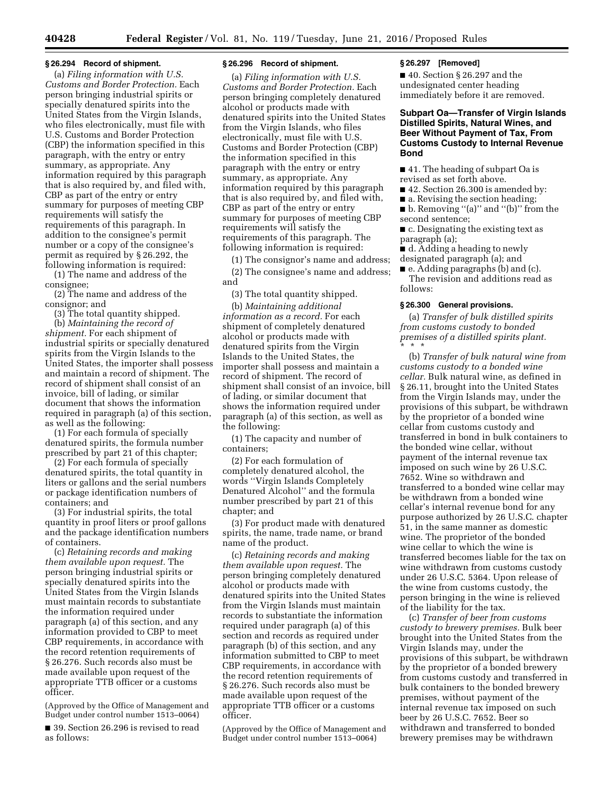#### **§ 26.294 Record of shipment.**

(a) *Filing information with U.S. Customs and Border Protection.* Each person bringing industrial spirits or specially denatured spirits into the United States from the Virgin Islands, who files electronically, must file with U.S. Customs and Border Protection (CBP) the information specified in this paragraph, with the entry or entry summary, as appropriate. Any information required by this paragraph that is also required by, and filed with, CBP as part of the entry or entry summary for purposes of meeting CBP requirements will satisfy the requirements of this paragraph. In addition to the consignee's permit number or a copy of the consignee's permit as required by § 26.292, the following information is required:

(1) The name and address of the consignee;

(2) The name and address of the consignor; and

(3) The total quantity shipped.

(b) *Maintaining the record of shipment.* For each shipment of industrial spirits or specially denatured spirits from the Virgin Islands to the United States, the importer shall possess and maintain a record of shipment. The record of shipment shall consist of an invoice, bill of lading, or similar document that shows the information required in paragraph (a) of this section, as well as the following:

(1) For each formula of specially denatured spirits, the formula number prescribed by part 21 of this chapter;

(2) For each formula of specially denatured spirits, the total quantity in liters or gallons and the serial numbers or package identification numbers of containers; and

(3) For industrial spirits, the total quantity in proof liters or proof gallons and the package identification numbers of containers.

(c) *Retaining records and making them available upon request.* The person bringing industrial spirits or specially denatured spirits into the United States from the Virgin Islands must maintain records to substantiate the information required under paragraph (a) of this section, and any information provided to CBP to meet CBP requirements, in accordance with the record retention requirements of § 26.276. Such records also must be made available upon request of the appropriate TTB officer or a customs officer.

(Approved by the Office of Management and Budget under control number 1513–0064)

■ 39. Section 26.296 is revised to read as follows:

#### **§ 26.296 Record of shipment.**

(a) *Filing information with U.S. Customs and Border Protection.* Each person bringing completely denatured alcohol or products made with denatured spirits into the United States from the Virgin Islands, who files electronically, must file with U.S. Customs and Border Protection (CBP) the information specified in this paragraph with the entry or entry summary, as appropriate. Any information required by this paragraph that is also required by, and filed with, CBP as part of the entry or entry summary for purposes of meeting CBP requirements will satisfy the requirements of this paragraph. The following information is required:

(1) The consignor's name and address;

(2) The consignee's name and address; and

(3) The total quantity shipped.

(b) *Maintaining additional information as a record.* For each shipment of completely denatured alcohol or products made with denatured spirits from the Virgin Islands to the United States, the importer shall possess and maintain a record of shipment. The record of shipment shall consist of an invoice, bill of lading, or similar document that shows the information required under paragraph (a) of this section, as well as the following:

(1) The capacity and number of containers;

(2) For each formulation of completely denatured alcohol, the words ''Virgin Islands Completely Denatured Alcohol'' and the formula number prescribed by part 21 of this chapter; and

(3) For product made with denatured spirits, the name, trade name, or brand name of the product.

(c) *Retaining records and making them available upon request.* The person bringing completely denatured alcohol or products made with denatured spirits into the United States from the Virgin Islands must maintain records to substantiate the information required under paragraph (a) of this section and records as required under paragraph (b) of this section, and any information submitted to CBP to meet CBP requirements, in accordance with the record retention requirements of § 26.276. Such records also must be made available upon request of the appropriate TTB officer or a customs officer.

(Approved by the Office of Management and Budget under control number 1513–0064)

#### **§ 26.297 [Removed]**

■ 40. Section § 26.297 and the undesignated center heading immediately before it are removed.

# **Subpart Oa—Transfer of Virgin Islands Distilled Spirits, Natural Wines, and Beer Without Payment of Tax, From Customs Custody to Internal Revenue Bond**

■ 41. The heading of subpart Oa is revised as set forth above.

■ 42. Section 26.300 is amended by:

■ a. Revising the section heading;

■ b. Removing "(a)" and "(b)" from the second sentence;

■ c. Designating the existing text as paragraph (a);

■ d. Adding a heading to newly designated paragraph (a); and

■ e. Adding paragraphs (b) and (c).

The revision and additions read as follows:

#### **§ 26.300 General provisions.**

(a) *Transfer of bulk distilled spirits from customs custody to bonded premises of a distilled spirits plant.*  \* \* \*

(b) *Transfer of bulk natural wine from customs custody to a bonded wine cellar.* Bulk natural wine, as defined in § 26.11, brought into the United States from the Virgin Islands may, under the provisions of this subpart, be withdrawn by the proprietor of a bonded wine cellar from customs custody and transferred in bond in bulk containers to the bonded wine cellar, without payment of the internal revenue tax imposed on such wine by 26 U.S.C. 7652. Wine so withdrawn and transferred to a bonded wine cellar may be withdrawn from a bonded wine cellar's internal revenue bond for any purpose authorized by 26 U.S.C. chapter 51, in the same manner as domestic wine. The proprietor of the bonded wine cellar to which the wine is transferred becomes liable for the tax on wine withdrawn from customs custody under 26 U.S.C. 5364. Upon release of the wine from customs custody, the person bringing in the wine is relieved of the liability for the tax.

(c) *Transfer of beer from customs custody to brewery premises.* Bulk beer brought into the United States from the Virgin Islands may, under the provisions of this subpart, be withdrawn by the proprietor of a bonded brewery from customs custody and transferred in bulk containers to the bonded brewery premises, without payment of the internal revenue tax imposed on such beer by 26 U.S.C. 7652. Beer so withdrawn and transferred to bonded brewery premises may be withdrawn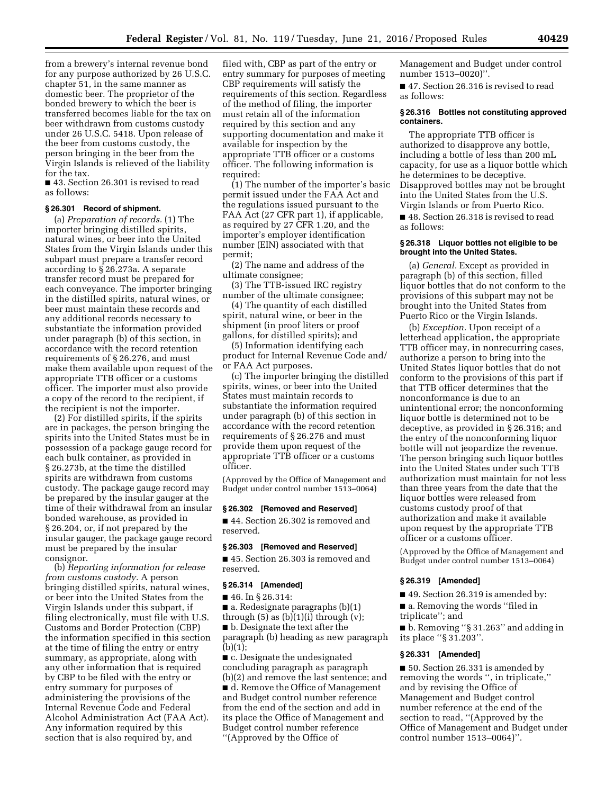from a brewery's internal revenue bond for any purpose authorized by 26 U.S.C. chapter 51, in the same manner as domestic beer. The proprietor of the bonded brewery to which the beer is transferred becomes liable for the tax on beer withdrawn from customs custody under 26 U.S.C. 5418. Upon release of the beer from customs custody, the person bringing in the beer from the Virgin Islands is relieved of the liability for the tax.

■ 43. Section 26.301 is revised to read as follows:

# **§ 26.301 Record of shipment.**

(a) *Preparation of records.* (1) The importer bringing distilled spirits, natural wines, or beer into the United States from the Virgin Islands under this subpart must prepare a transfer record according to § 26.273a. A separate transfer record must be prepared for each conveyance. The importer bringing in the distilled spirits, natural wines, or beer must maintain these records and any additional records necessary to substantiate the information provided under paragraph (b) of this section, in accordance with the record retention requirements of § 26.276, and must make them available upon request of the appropriate TTB officer or a customs officer. The importer must also provide a copy of the record to the recipient, if the recipient is not the importer.

(2) For distilled spirits, if the spirits are in packages, the person bringing the spirits into the United States must be in possession of a package gauge record for each bulk container, as provided in § 26.273b, at the time the distilled spirits are withdrawn from customs custody. The package gauge record may be prepared by the insular gauger at the time of their withdrawal from an insular bonded warehouse, as provided in § 26.204, or, if not prepared by the insular gauger, the package gauge record must be prepared by the insular consignor.

(b) *Reporting information for release from customs custody.* A person bringing distilled spirits, natural wines, or beer into the United States from the Virgin Islands under this subpart, if filing electronically, must file with U.S. Customs and Border Protection (CBP) the information specified in this section at the time of filing the entry or entry summary, as appropriate, along with any other information that is required by CBP to be filed with the entry or entry summary for purposes of administering the provisions of the Internal Revenue Code and Federal Alcohol Administration Act (FAA Act). Any information required by this section that is also required by, and

filed with, CBP as part of the entry or entry summary for purposes of meeting CBP requirements will satisfy the requirements of this section. Regardless of the method of filing, the importer must retain all of the information required by this section and any supporting documentation and make it available for inspection by the appropriate TTB officer or a customs officer. The following information is required:

(1) The number of the importer's basic permit issued under the FAA Act and the regulations issued pursuant to the FAA Act (27 CFR part 1), if applicable, as required by 27 CFR 1.20, and the importer's employer identification number (EIN) associated with that permit;

(2) The name and address of the ultimate consignee;

(3) The TTB-issued IRC registry number of the ultimate consignee;

(4) The quantity of each distilled spirit, natural wine, or beer in the shipment (in proof liters or proof gallons, for distilled spirits); and

(5) Information identifying each product for Internal Revenue Code and/ or FAA Act purposes.

(c) The importer bringing the distilled spirits, wines, or beer into the United States must maintain records to substantiate the information required under paragraph (b) of this section in accordance with the record retention requirements of § 26.276 and must provide them upon request of the appropriate TTB officer or a customs officer.

(Approved by the Office of Management and Budget under control number 1513–0064)

# **§ 26.302 [Removed and Reserved]**

■ 44. Section 26.302 is removed and reserved.

#### **§ 26.303 [Removed and Reserved]**

■ 45. Section 26.303 is removed and reserved.

#### **§ 26.314 [Amended]**

■ 46. In § 26.314:

■ a. Redesignate paragraphs (b)(1)

through  $(5)$  as  $(b)(1)(i)$  through  $(v)$ ;

■ b. Designate the text after the paragraph (b) heading as new paragraph  $(b)(1);$ 

■ c. Designate the undesignated concluding paragraph as paragraph (b)(2) and remove the last sentence; and ■ d. Remove the Office of Management and Budget control number reference from the end of the section and add in its place the Office of Management and Budget control number reference ''(Approved by the Office of

Management and Budget under control number 1513–0020)''.

■ 47. Section 26.316 is revised to read as follows:

#### **§ 26.316 Bottles not constituting approved containers.**

The appropriate TTB officer is authorized to disapprove any bottle, including a bottle of less than 200 mL capacity, for use as a liquor bottle which he determines to be deceptive. Disapproved bottles may not be brought into the United States from the U.S. Virgin Islands or from Puerto Rico.

■ 48. Section 26.318 is revised to read as follows:

#### **§ 26.318 Liquor bottles not eligible to be brought into the United States.**

(a) *General.* Except as provided in paragraph (b) of this section, filled liquor bottles that do not conform to the provisions of this subpart may not be brought into the United States from Puerto Rico or the Virgin Islands.

(b) *Exception.* Upon receipt of a letterhead application, the appropriate TTB officer may, in nonrecurring cases, authorize a person to bring into the United States liquor bottles that do not conform to the provisions of this part if that TTB officer determines that the nonconformance is due to an unintentional error; the nonconforming liquor bottle is determined not to be deceptive, as provided in § 26.316; and the entry of the nonconforming liquor bottle will not jeopardize the revenue. The person bringing such liquor bottles into the United States under such TTB authorization must maintain for not less than three years from the date that the liquor bottles were released from customs custody proof of that authorization and make it available upon request by the appropriate TTB officer or a customs officer.

(Approved by the Office of Management and Budget under control number 1513–0064)

#### **§ 26.319 [Amended]**

■ 49. Section 26.319 is amended by:

■ a. Removing the words "filed in triplicate''; and

■ b. Removing "§ 31.263" and adding in its place ''§ 31.203''.

#### **§ 26.331 [Amended]**

■ 50. Section 26.331 is amended by removing the words '', in triplicate,'' and by revising the Office of Management and Budget control number reference at the end of the section to read, ''(Approved by the Office of Management and Budget under control number 1513–0064)''.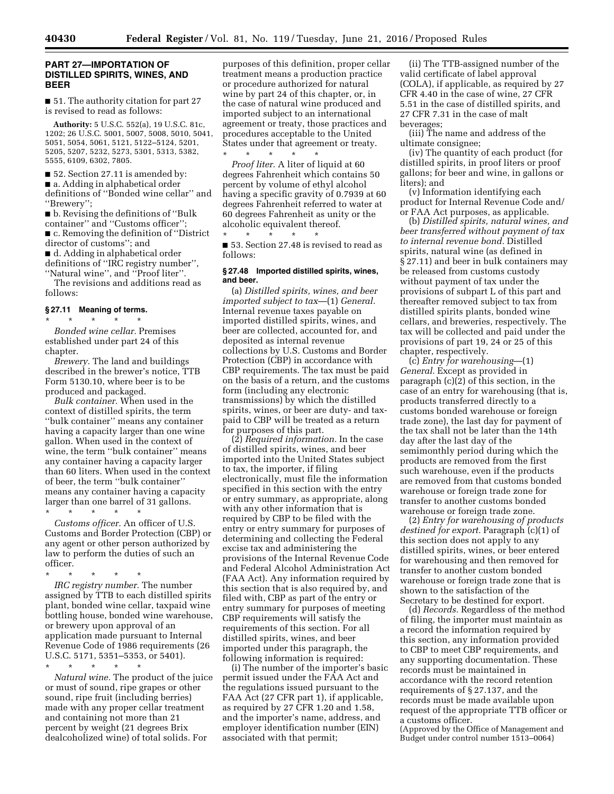# **PART 27—IMPORTATION OF DISTILLED SPIRITS, WINES, AND BEER**

■ 51. The authority citation for part 27 is revised to read as follows:

**Authority:** 5 U.S.C. 552(a), 19 U.S.C. 81c, 1202; 26 U.S.C. 5001, 5007, 5008, 5010, 5041, 5051, 5054, 5061, 5121, 5122–5124, 5201, 5205, 5207, 5232, 5273, 5301, 5313, 5382, 5555, 6109, 6302, 7805.

■ 52. Section 27.11 is amended by: ■ a. Adding in alphabetical order definitions of ''Bonded wine cellar'' and ''Brewery'';

■ b. Revising the definitions of "Bulk container'' and ''Customs officer''; ■ c. Removing the definition of "District" director of customs''; and

■ d. Adding in alphabetical order definitions of ''IRC registry number'', ''Natural wine'', and ''Proof liter''.

The revisions and additions read as follows:

#### **§ 27.11 Meaning of terms.**

\* \* \* \* \* *Bonded wine cellar.* Premises established under part 24 of this chapter.

*Brewery.* The land and buildings described in the brewer's notice, TTB Form 5130.10, where beer is to be produced and packaged.

*Bulk container.* When used in the context of distilled spirits, the term ''bulk container'' means any container having a capacity larger than one wine gallon. When used in the context of wine, the term ''bulk container'' means any container having a capacity larger than 60 liters. When used in the context of beer, the term ''bulk container'' means any container having a capacity larger than one barrel of 31 gallons.

\* \* \* \* \*

*Customs officer.* An officer of U.S. Customs and Border Protection (CBP) or any agent or other person authorized by law to perform the duties of such an officer.

\* \* \* \* \*

*IRC registry number.* The number assigned by TTB to each distilled spirits plant, bonded wine cellar, taxpaid wine bottling house, bonded wine warehouse, or brewery upon approval of an application made pursuant to Internal Revenue Code of 1986 requirements (26 U.S.C. 5171, 5351–5353, or 5401).

\* \* \* \* \*

*Natural wine.* The product of the juice or must of sound, ripe grapes or other sound, ripe fruit (including berries) made with any proper cellar treatment and containing not more than 21 percent by weight (21 degrees Brix dealcoholized wine) of total solids. For

purposes of this definition, proper cellar treatment means a production practice or procedure authorized for natural wine by part 24 of this chapter, or, in the case of natural wine produced and imported subject to an international agreement or treaty, those practices and procedures acceptable to the United States under that agreement or treaty.

\* \* \* \* \* *Proof liter.* A liter of liquid at 60 degrees Fahrenheit which contains 50 percent by volume of ethyl alcohol having a specific gravity of 0.7939 at 60 degrees Fahrenheit referred to water at 60 degrees Fahrenheit as unity or the alcoholic equivalent thereof. \* \* \* \* \*

■ 53. Section 27.48 is revised to read as follows:

#### **§ 27.48 Imported distilled spirits, wines, and beer.**

(a) *Distilled spirits, wines, and beer imported subject to tax*—(1) *General.*  Internal revenue taxes payable on imported distilled spirits, wines, and beer are collected, accounted for, and deposited as internal revenue collections by U.S. Customs and Border Protection (CBP) in accordance with CBP requirements. The tax must be paid on the basis of a return, and the customs form (including any electronic transmissions) by which the distilled spirits, wines, or beer are duty- and taxpaid to CBP will be treated as a return for purposes of this part.

(2) *Required information.* In the case of distilled spirits, wines, and beer imported into the United States subject to tax, the importer, if filing electronically, must file the information specified in this section with the entry or entry summary, as appropriate, along with any other information that is required by CBP to be filed with the entry or entry summary for purposes of determining and collecting the Federal excise tax and administering the provisions of the Internal Revenue Code and Federal Alcohol Administration Act (FAA Act). Any information required by this section that is also required by, and filed with, CBP as part of the entry or entry summary for purposes of meeting CBP requirements will satisfy the requirements of this section. For all distilled spirits, wines, and beer imported under this paragraph, the following information is required:

(i) The number of the importer's basic permit issued under the FAA Act and the regulations issued pursuant to the FAA Act (27 CFR part 1), if applicable, as required by 27 CFR 1.20 and 1.58, and the importer's name, address, and employer identification number (EIN) associated with that permit;

(ii) The TTB-assigned number of the valid certificate of label approval (COLA), if applicable, as required by 27 CFR 4.40 in the case of wine, 27 CFR 5.51 in the case of distilled spirits, and 27 CFR 7.31 in the case of malt beverages;

(iii) The name and address of the ultimate consignee;

(iv) The quantity of each product (for distilled spirits, in proof liters or proof gallons; for beer and wine, in gallons or liters); and

(v) Information identifying each product for Internal Revenue Code and/ or FAA Act purposes, as applicable.

(b) *Distilled spirits, natural wines, and beer transferred without payment of tax to internal revenue bond.* Distilled spirits, natural wine (as defined in § 27.11) and beer in bulk containers may be released from customs custody without payment of tax under the provisions of subpart L of this part and thereafter removed subject to tax from distilled spirits plants, bonded wine cellars, and breweries, respectively. The tax will be collected and paid under the provisions of part 19, 24 or 25 of this chapter, respectively.

(c) *Entry for warehousing*—(1) *General.* Except as provided in paragraph (c)(2) of this section, in the case of an entry for warehousing (that is, products transferred directly to a customs bonded warehouse or foreign trade zone), the last day for payment of the tax shall not be later than the 14th day after the last day of the semimonthly period during which the products are removed from the first such warehouse, even if the products are removed from that customs bonded warehouse or foreign trade zone for transfer to another customs bonded warehouse or foreign trade zone.

(2) *Entry for warehousing of products destined for export.* Paragraph (c)(1) of this section does not apply to any distilled spirits, wines, or beer entered for warehousing and then removed for transfer to another custom bonded warehouse or foreign trade zone that is shown to the satisfaction of the Secretary to be destined for export.

(d) *Records.* Regardless of the method of filing, the importer must maintain as a record the information required by this section, any information provided to CBP to meet CBP requirements, and any supporting documentation. These records must be maintained in accordance with the record retention requirements of § 27.137, and the records must be made available upon request of the appropriate TTB officer or a customs officer.

(Approved by the Office of Management and Budget under control number 1513–0064)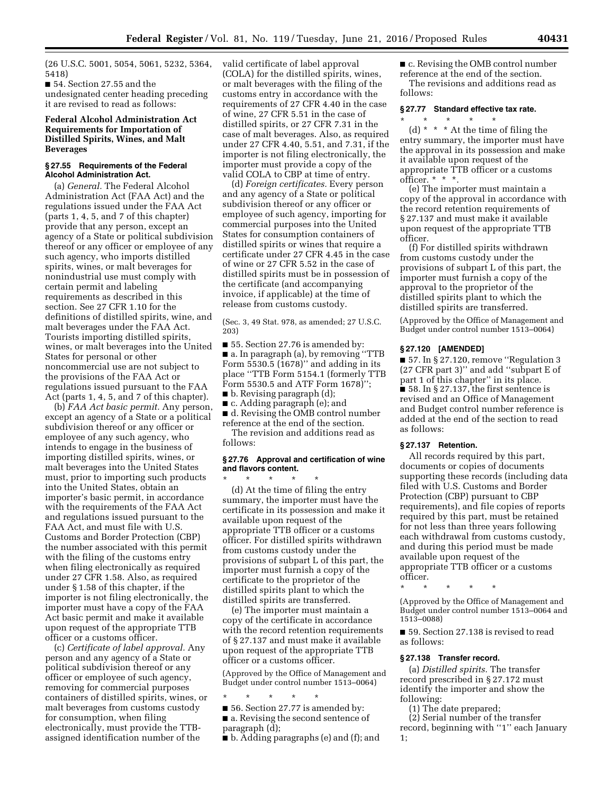(26 U.S.C. 5001, 5054, 5061, 5232, 5364, 5418)

■ 54. Section 27.55 and the undesignated center heading preceding it are revised to read as follows:

# **Federal Alcohol Administration Act Requirements for Importation of Distilled Spirits, Wines, and Malt Beverages**

#### **§ 27.55 Requirements of the Federal Alcohol Administration Act.**

(a) *General.* The Federal Alcohol Administration Act (FAA Act) and the regulations issued under the FAA Act (parts 1, 4, 5, and 7 of this chapter) provide that any person, except an agency of a State or political subdivision thereof or any officer or employee of any such agency, who imports distilled spirits, wines, or malt beverages for nonindustrial use must comply with certain permit and labeling requirements as described in this section. See 27 CFR 1.10 for the definitions of distilled spirits, wine, and malt beverages under the FAA Act. Tourists importing distilled spirits, wines, or malt beverages into the United States for personal or other noncommercial use are not subject to the provisions of the FAA Act or regulations issued pursuant to the FAA Act (parts 1, 4, 5, and 7 of this chapter).

(b) *FAA Act basic permit.* Any person, except an agency of a State or a political subdivision thereof or any officer or employee of any such agency, who intends to engage in the business of importing distilled spirits, wines, or malt beverages into the United States must, prior to importing such products into the United States, obtain an importer's basic permit, in accordance with the requirements of the FAA Act and regulations issued pursuant to the FAA Act, and must file with U.S. Customs and Border Protection (CBP) the number associated with this permit with the filing of the customs entry when filing electronically as required under 27 CFR 1.58. Also, as required under § 1.58 of this chapter, if the importer is not filing electronically, the importer must have a copy of the FAA Act basic permit and make it available upon request of the appropriate TTB officer or a customs officer.

(c) *Certificate of label approval.* Any person and any agency of a State or political subdivision thereof or any officer or employee of such agency, removing for commercial purposes containers of distilled spirits, wines, or malt beverages from customs custody for consumption, when filing electronically, must provide the TTBassigned identification number of the

valid certificate of label approval (COLA) for the distilled spirits, wines, or malt beverages with the filing of the customs entry in accordance with the requirements of 27 CFR 4.40 in the case of wine, 27 CFR 5.51 in the case of distilled spirits, or 27 CFR 7.31 in the case of malt beverages. Also, as required under 27 CFR 4.40, 5.51, and 7.31, if the importer is not filing electronically, the importer must provide a copy of the valid COLA to CBP at time of entry.

(d) *Foreign certificates.* Every person and any agency of a State or political subdivision thereof or any officer or employee of such agency, importing for commercial purposes into the United States for consumption containers of distilled spirits or wines that require a certificate under 27 CFR 4.45 in the case of wine or 27 CFR 5.52 in the case of distilled spirits must be in possession of the certificate (and accompanying invoice, if applicable) at the time of release from customs custody.

(Sec. 3, 49 Stat. 978, as amended; 27 U.S.C. 203)

■ 55. Section 27.76 is amended by: ■ a. In paragraph (a), by removing "TTB Form 5530.5 (1678)'' and adding in its place ''TTB Form 5154.1 (formerly TTB Form 5530.5 and ATF Form 1678)''; ■ b. Revising paragraph (d);

■ c. Adding paragraph (e); and

■ d. Revising the OMB control number reference at the end of the section.

The revision and additions read as follows:

#### **§ 27.76 Approval and certification of wine and flavors content.**

\* \* \* \* \* (d) At the time of filing the entry summary, the importer must have the certificate in its possession and make it available upon request of the appropriate TTB officer or a customs officer. For distilled spirits withdrawn from customs custody under the provisions of subpart L of this part, the importer must furnish a copy of the certificate to the proprietor of the distilled spirits plant to which the distilled spirits are transferred.

(e) The importer must maintain a copy of the certificate in accordance with the record retention requirements of § 27.137 and must make it available upon request of the appropriate TTB officer or a customs officer.

(Approved by the Office of Management and Budget under control number 1513–0064)

\* \* \* \* \*

■ 56. Section 27.77 is amended by: ■ a. Revising the second sentence of

paragraph (d); ■ b. Adding paragraphs (e) and (f); and ■ c. Revising the OMB control number reference at the end of the section. The revisions and additions read as follows:

# **§ 27.77 Standard effective tax rate.**

\* \* \* \* \* (d) \* \* \* At the time of filing the entry summary, the importer must have the approval in its possession and make it available upon request of the appropriate TTB officer or a customs officer. \* \* \*.

(e) The importer must maintain a copy of the approval in accordance with the record retention requirements of § 27.137 and must make it available upon request of the appropriate TTB officer.

(f) For distilled spirits withdrawn from customs custody under the provisions of subpart L of this part, the importer must furnish a copy of the approval to the proprietor of the distilled spirits plant to which the distilled spirits are transferred.

(Approved by the Office of Management and Budget under control number 1513–0064)

#### **§ 27.120 [AMENDED]**

■ 57. In § 27.120, remove "Regulation 3 (27 CFR part 3)'' and add ''subpart E of part 1 of this chapter'' in its place. ■ 58. In § 27.137, the first sentence is revised and an Office of Management and Budget control number reference is added at the end of the section to read as follows:

# **§ 27.137 Retention.**

All records required by this part, documents or copies of documents supporting these records (including data filed with U.S. Customs and Border Protection (CBP) pursuant to CBP requirements), and file copies of reports required by this part, must be retained for not less than three years following each withdrawal from customs custody, and during this period must be made available upon request of the appropriate TTB officer or a customs officer.

\* \* \* \* \*

(Approved by the Office of Management and Budget under control number 1513–0064 and 1513–0088)

■ 59. Section 27.138 is revised to read as follows:

#### **§ 27.138 Transfer record.**

(a) *Distilled spirits.* The transfer record prescribed in § 27.172 must identify the importer and show the following:

(1) The date prepared;

(2) Serial number of the transfer record, beginning with "1" each January 1;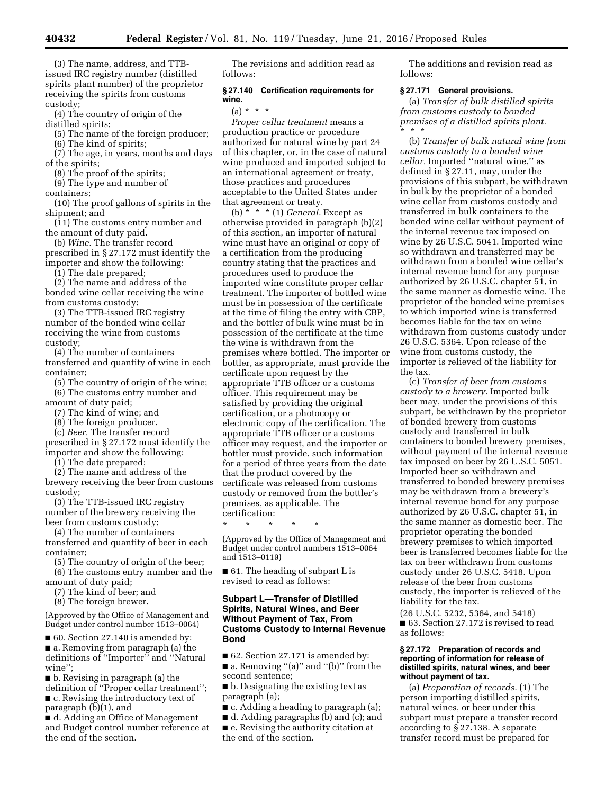(3) The name, address, and TTBissued IRC registry number (distilled spirits plant number) of the proprietor receiving the spirits from customs custody;

(4) The country of origin of the distilled spirits;

(5) The name of the foreign producer;

(6) The kind of spirits;

(7) The age, in years, months and days of the spirits;

(8) The proof of the spirits;

(9) The type and number of

containers;

(10) The proof gallons of spirits in the shipment; and

(11) The customs entry number and the amount of duty paid.

(b) *Wine.* The transfer record

prescribed in § 27.172 must identify the importer and show the following:

(1) The date prepared;

(2) The name and address of the bonded wine cellar receiving the wine from customs custody;

(3) The TTB-issued IRC registry number of the bonded wine cellar receiving the wine from customs custody;

(4) The number of containers transferred and quantity of wine in each container;

(5) The country of origin of the wine; (6) The customs entry number and amount of duty paid;

(7) The kind of wine; and

(8) The foreign producer.

(c) *Beer.* The transfer record

prescribed in § 27.172 must identify the importer and show the following:

(1) The date prepared;

(2) The name and address of the brewery receiving the beer from customs custody;

(3) The TTB-issued IRC registry number of the brewery receiving the beer from customs custody;

(4) The number of containers transferred and quantity of beer in each container;

(5) The country of origin of the beer;

(6) The customs entry number and the amount of duty paid;

(7) The kind of beer; and

(8) The foreign brewer.

(Approved by the Office of Management and Budget under control number 1513–0064)

■ 60. Section 27.140 is amended by: ■ a. Removing from paragraph (a) the definitions of ''Importer'' and ''Natural wine'';

■ b. Revising in paragraph (a) the definition of ''Proper cellar treatment''; ■ c. Revising the introductory text of paragraph (b)(1), and

■ d. Adding an Office of Management and Budget control number reference at the end of the section.

The revisions and addition read as follows:

### **§ 27.140 Certification requirements for wine.**

# $(a) * * * *$

*Proper cellar treatment* means a production practice or procedure authorized for natural wine by part 24 of this chapter, or, in the case of natural wine produced and imported subject to an international agreement or treaty, those practices and procedures acceptable to the United States under that agreement or treaty.

(b) \* \* \* (1) *General.* Except as otherwise provided in paragraph (b)(2) of this section, an importer of natural wine must have an original or copy of a certification from the producing country stating that the practices and procedures used to produce the imported wine constitute proper cellar treatment. The importer of bottled wine must be in possession of the certificate at the time of filing the entry with CBP, and the bottler of bulk wine must be in possession of the certificate at the time the wine is withdrawn from the premises where bottled. The importer or bottler, as appropriate, must provide the certificate upon request by the appropriate TTB officer or a customs officer. This requirement may be satisfied by providing the original certification, or a photocopy or electronic copy of the certification. The appropriate TTB officer or a customs officer may request, and the importer or bottler must provide, such information for a period of three years from the date that the product covered by the certificate was released from customs custody or removed from the bottler's premises, as applicable. The certification:

\* \* \* \* \* (Approved by the Office of Management and Budget under control numbers 1513–0064 and 1513–0119)

■ 61. The heading of subpart L is revised to read as follows:

# **Subpart L—Transfer of Distilled Spirits, Natural Wines, and Beer Without Payment of Tax, From Customs Custody to Internal Revenue Bond**

■ 62. Section 27.171 is amended by: ■ a. Removing "(a)" and "(b)" from the second sentence;

■ b. Designating the existing text as paragraph (a);

■ c. Adding a heading to paragraph (a);

■ d. Adding paragraphs (b) and (c); and

■ e. Revising the authority citation at the end of the section.

The additions and revision read as follows:

#### **§ 27.171 General provisions.**

(a) *Transfer of bulk distilled spirits from customs custody to bonded premises of a distilled spirits plant.*  \* \* \*

(b) *Transfer of bulk natural wine from customs custody to a bonded wine cellar.* Imported ''natural wine,'' as defined in § 27.11, may, under the provisions of this subpart, be withdrawn in bulk by the proprietor of a bonded wine cellar from customs custody and transferred in bulk containers to the bonded wine cellar without payment of the internal revenue tax imposed on wine by 26 U.S.C. 5041. Imported wine so withdrawn and transferred may be withdrawn from a bonded wine cellar's internal revenue bond for any purpose authorized by 26 U.S.C. chapter 51, in the same manner as domestic wine. The proprietor of the bonded wine premises to which imported wine is transferred becomes liable for the tax on wine withdrawn from customs custody under 26 U.S.C. 5364. Upon release of the wine from customs custody, the importer is relieved of the liability for the tax.

(c) *Transfer of beer from customs custody to a brewery.* Imported bulk beer may, under the provisions of this subpart, be withdrawn by the proprietor of bonded brewery from customs custody and transferred in bulk containers to bonded brewery premises, without payment of the internal revenue tax imposed on beer by 26 U.S.C. 5051. Imported beer so withdrawn and transferred to bonded brewery premises may be withdrawn from a brewery's internal revenue bond for any purpose authorized by 26 U.S.C. chapter 51, in the same manner as domestic beer. The proprietor operating the bonded brewery premises to which imported beer is transferred becomes liable for the tax on beer withdrawn from customs custody under 26 U.S.C. 5418. Upon release of the beer from customs custody, the importer is relieved of the liability for the tax.

(26 U.S.C. 5232, 5364, and 5418) ■ 63. Section 27.172 is revised to read as follows:

#### **§ 27.172 Preparation of records and reporting of information for release of distilled spirits, natural wines, and beer without payment of tax.**

(a) *Preparation of records.* (1) The person importing distilled spirits, natural wines, or beer under this subpart must prepare a transfer record according to § 27.138. A separate transfer record must be prepared for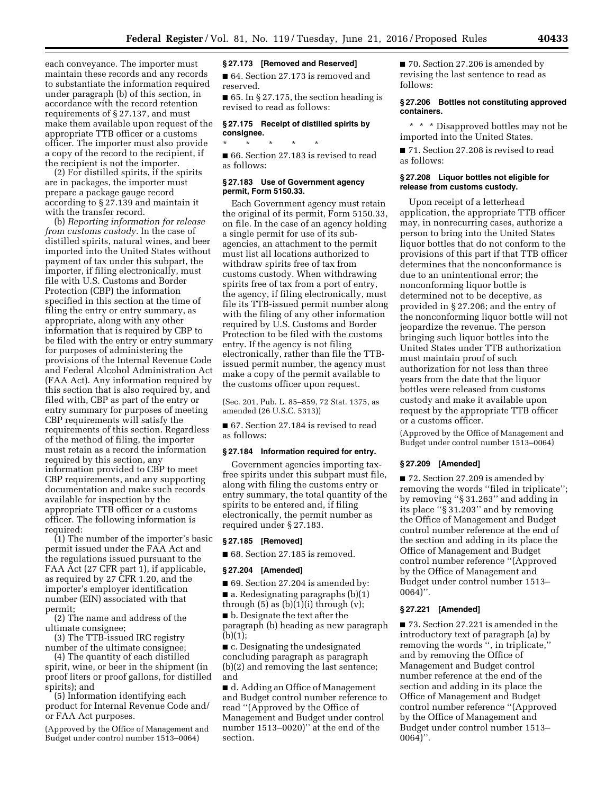each conveyance. The importer must maintain these records and any records to substantiate the information required under paragraph (b) of this section, in accordance with the record retention requirements of § 27.137, and must make them available upon request of the appropriate TTB officer or a customs officer. The importer must also provide a copy of the record to the recipient, if the recipient is not the importer.

(2) For distilled spirits, if the spirits are in packages, the importer must prepare a package gauge record according to § 27.139 and maintain it with the transfer record.

(b) *Reporting information for release from customs custody.* In the case of distilled spirits, natural wines, and beer imported into the United States without payment of tax under this subpart, the importer, if filing electronically, must file with U.S. Customs and Border Protection (CBP) the information specified in this section at the time of filing the entry or entry summary, as appropriate, along with any other information that is required by CBP to be filed with the entry or entry summary for purposes of administering the provisions of the Internal Revenue Code and Federal Alcohol Administration Act (FAA Act). Any information required by this section that is also required by, and filed with, CBP as part of the entry or entry summary for purposes of meeting CBP requirements will satisfy the requirements of this section. Regardless of the method of filing, the importer must retain as a record the information required by this section, any information provided to CBP to meet CBP requirements, and any supporting documentation and make such records available for inspection by the appropriate TTB officer or a customs officer. The following information is required:

(1) The number of the importer's basic permit issued under the FAA Act and the regulations issued pursuant to the FAA Act (27 CFR part 1), if applicable, as required by 27 CFR 1.20, and the importer's employer identification number (EIN) associated with that permit;

(2) The name and address of the ultimate consignee;

(3) The TTB-issued IRC registry number of the ultimate consignee;

(4) The quantity of each distilled spirit, wine, or beer in the shipment (in proof liters or proof gallons, for distilled spirits); and

(5) Information identifying each product for Internal Revenue Code and/ or FAA Act purposes.

(Approved by the Office of Management and Budget under control number 1513–0064)

# **§ 27.173 [Removed and Reserved]**

■ 64. Section 27.173 is removed and reserved.

 $\blacksquare$  65. In § 27.175, the section heading is revised to read as follows:

#### **§ 27.175 Receipt of distilled spirits by consignee.**

\* \* \* \* \* ■ 66. Section 27.183 is revised to read as follows:

#### **§ 27.183 Use of Government agency permit, Form 5150.33.**

Each Government agency must retain the original of its permit, Form 5150.33, on file. In the case of an agency holding a single permit for use of its subagencies, an attachment to the permit must list all locations authorized to withdraw spirits free of tax from customs custody. When withdrawing spirits free of tax from a port of entry, the agency, if filing electronically, must file its TTB-issued permit number along with the filing of any other information required by U.S. Customs and Border Protection to be filed with the customs entry. If the agency is not filing electronically, rather than file the TTBissued permit number, the agency must make a copy of the permit available to the customs officer upon request.

(Sec. 201, Pub. L. 85–859, 72 Stat. 1375, as amended (26 U.S.C. 5313))

■ 67. Section 27.184 is revised to read as follows:

#### **§ 27.184 Information required for entry.**

Government agencies importing taxfree spirits under this subpart must file, along with filing the customs entry or entry summary, the total quantity of the spirits to be entered and, if filing electronically, the permit number as required under § 27.183.

# **§ 27.185 [Removed]**

■ 68. Section 27.185 is removed.

#### **§ 27.204 [Amended]**

■ 69. Section 27.204 is amended by:

■ a. Redesignating paragraphs (b)(1) through  $(5)$  as  $(b)(1)(i)$  through  $(v)$ ;

■ b. Designate the text after the

paragraph (b) heading as new paragraph (b)(1);

■ c. Designating the undesignated concluding paragraph as paragraph (b)(2) and removing the last sentence; and

■ d. Adding an Office of Management and Budget control number reference to read ''(Approved by the Office of Management and Budget under control number 1513–0020)'' at the end of the section.

■ 70. Section 27.206 is amended by revising the last sentence to read as follows:

# **§ 27.206 Bottles not constituting approved containers.**

\* \* \* Disapproved bottles may not be imported into the United States.

■ 71. Section 27.208 is revised to read as follows:

#### **§ 27.208 Liquor bottles not eligible for release from customs custody.**

Upon receipt of a letterhead application, the appropriate TTB officer may, in nonrecurring cases, authorize a person to bring into the United States liquor bottles that do not conform to the provisions of this part if that TTB officer determines that the nonconformance is due to an unintentional error; the nonconforming liquor bottle is determined not to be deceptive, as provided in § 27.206; and the entry of the nonconforming liquor bottle will not jeopardize the revenue. The person bringing such liquor bottles into the United States under TTB authorization must maintain proof of such authorization for not less than three years from the date that the liquor bottles were released from customs custody and make it available upon request by the appropriate TTB officer or a customs officer.

(Approved by the Office of Management and Budget under control number 1513–0064)

#### **§ 27.209 [Amended]**

■ 72. Section 27.209 is amended by removing the words "filed in triplicate"; by removing ''§ 31.263'' and adding in its place ''§ 31.203'' and by removing the Office of Management and Budget control number reference at the end of the section and adding in its place the Office of Management and Budget control number reference ''(Approved by the Office of Management and Budget under control number 1513– 0064)''.

# **§ 27.221 [Amended]**

■ 73. Section 27.221 is amended in the introductory text of paragraph (a) by removing the words '', in triplicate,'' and by removing the Office of Management and Budget control number reference at the end of the section and adding in its place the Office of Management and Budget control number reference ''(Approved by the Office of Management and Budget under control number 1513– 0064)''.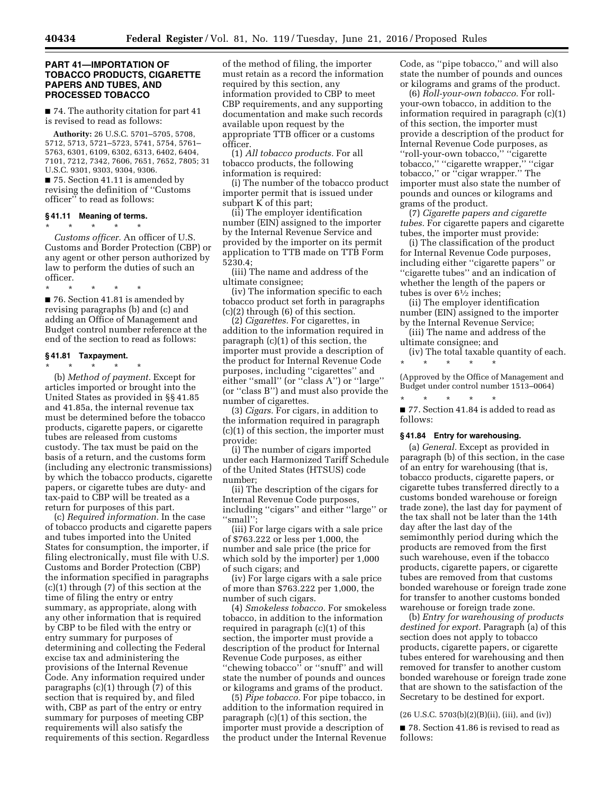# **PART 41—IMPORTATION OF TOBACCO PRODUCTS, CIGARETTE PAPERS AND TUBES, AND PROCESSED TOBACCO**

■ 74. The authority citation for part 41 is revised to read as follows:

**Authority:** 26 U.S.C. 5701–5705, 5708, 5712, 5713, 5721–5723, 5741, 5754, 5761– 5763, 6301, 6109, 6302, 6313, 6402, 6404, 7101, 7212, 7342, 7606, 7651, 7652, 7805; 31 U.S.C. 9301, 9303, 9304, 9306. ■ 75. Section 41.11 is amended by

revising the definition of ''Customs officer'' to read as follows:

# **§ 41.11 Meaning of terms.**

\* \* \* \* \* *Customs officer.* An officer of U.S. Customs and Border Protection (CBP) or any agent or other person authorized by law to perform the duties of such an officer.

\* \* \* \* \* ■ 76. Section 41.81 is amended by revising paragraphs (b) and (c) and adding an Office of Management and Budget control number reference at the end of the section to read as follows:

#### **§ 41.81 Taxpayment.**

\* \* \* \* \* (b) *Method of payment.* Except for articles imported or brought into the United States as provided in §§ 41.85 and 41.85a, the internal revenue tax must be determined before the tobacco products, cigarette papers, or cigarette tubes are released from customs custody. The tax must be paid on the basis of a return, and the customs form (including any electronic transmissions) by which the tobacco products, cigarette papers, or cigarette tubes are duty- and tax-paid to CBP will be treated as a return for purposes of this part.

(c) *Required information.* In the case of tobacco products and cigarette papers and tubes imported into the United States for consumption, the importer, if filing electronically, must file with U.S. Customs and Border Protection (CBP) the information specified in paragraphs (c)(1) through (7) of this section at the time of filing the entry or entry summary, as appropriate, along with any other information that is required by CBP to be filed with the entry or entry summary for purposes of determining and collecting the Federal excise tax and administering the provisions of the Internal Revenue Code. Any information required under paragraphs  $(c)(1)$  through  $(7)$  of this section that is required by, and filed with, CBP as part of the entry or entry summary for purposes of meeting CBP requirements will also satisfy the requirements of this section. Regardless

of the method of filing, the importer must retain as a record the information required by this section, any information provided to CBP to meet CBP requirements, and any supporting documentation and make such records available upon request by the appropriate TTB officer or a customs officer.

(1) *All tobacco products.* For all tobacco products, the following information is required:

(i) The number of the tobacco product importer permit that is issued under subpart K of this part;

(ii) The employer identification number (EIN) assigned to the importer by the Internal Revenue Service and provided by the importer on its permit application to TTB made on TTB Form 5230.4;

(iii) The name and address of the ultimate consignee;

(iv) The information specific to each tobacco product set forth in paragraphs (c)(2) through (6) of this section.

(2) *Cigarettes.* For cigarettes, in addition to the information required in paragraph (c)(1) of this section, the importer must provide a description of the product for Internal Revenue Code purposes, including ''cigarettes'' and either ''small'' (or ''class A'') or ''large'' (or ''class B'') and must also provide the number of cigarettes.

(3) *Cigars.* For cigars, in addition to the information required in paragraph (c)(1) of this section, the importer must provide:

(i) The number of cigars imported under each Harmonized Tariff Schedule of the United States (HTSUS) code number;

(ii) The description of the cigars for Internal Revenue Code purposes, including ''cigars'' and either ''large'' or ''small'';

(iii) For large cigars with a sale price of \$763.222 or less per 1,000, the number and sale price (the price for which sold by the importer) per 1,000 of such cigars; and

(iv) For large cigars with a sale price of more than \$763.222 per 1,000, the number of such cigars.

(4) *Smokeless tobacco.* For smokeless tobacco, in addition to the information required in paragraph (c)(1) of this section, the importer must provide a description of the product for Internal Revenue Code purposes, as either ''chewing tobacco'' or ''snuff'' and will state the number of pounds and ounces or kilograms and grams of the product.

(5) *Pipe tobacco.* For pipe tobacco, in addition to the information required in paragraph (c)(1) of this section, the importer must provide a description of the product under the Internal Revenue Code, as ''pipe tobacco,'' and will also state the number of pounds and ounces or kilograms and grams of the product.

(6) *Roll-your-own tobacco.* For rollyour-own tobacco, in addition to the information required in paragraph (c)(1) of this section, the importer must provide a description of the product for Internal Revenue Code purposes, as ''roll-your-own tobacco,'' ''cigarette tobacco,'' ''cigarette wrapper,'' ''cigar tobacco,'' or ''cigar wrapper.'' The importer must also state the number of pounds and ounces or kilograms and grams of the product.

(7) *Cigarette papers and cigarette tubes.* For cigarette papers and cigarette tubes, the importer must provide:

(i) The classification of the product for Internal Revenue Code purposes, including either ''cigarette papers'' or ''cigarette tubes'' and an indication of whether the length of the papers or tubes is over  $6\frac{1}{2}$  inches;

(ii) The employer identification number (EIN) assigned to the importer by the Internal Revenue Service;

(iii) The name and address of the ultimate consignee; and

(iv) The total taxable quantity of each. \* \* \* \* \*

(Approved by the Office of Management and Budget under control number 1513–0064)

\* \* \* \* \* ■ 77. Section 41.84 is added to read as follows:

#### **§ 41.84 Entry for warehousing.**

(a) *General.* Except as provided in paragraph (b) of this section, in the case of an entry for warehousing (that is, tobacco products, cigarette papers, or cigarette tubes transferred directly to a customs bonded warehouse or foreign trade zone), the last day for payment of the tax shall not be later than the 14th day after the last day of the semimonthly period during which the products are removed from the first such warehouse, even if the tobacco products, cigarette papers, or cigarette tubes are removed from that customs bonded warehouse or foreign trade zone for transfer to another customs bonded warehouse or foreign trade zone.

(b) *Entry for warehousing of products destined for export.* Paragraph (a) of this section does not apply to tobacco products, cigarette papers, or cigarette tubes entered for warehousing and then removed for transfer to another custom bonded warehouse or foreign trade zone that are shown to the satisfaction of the Secretary to be destined for export.

(26 U.S.C. 5703(b)(2)(B)(ii), (iii), and (iv))

■ 78. Section 41.86 is revised to read as follows: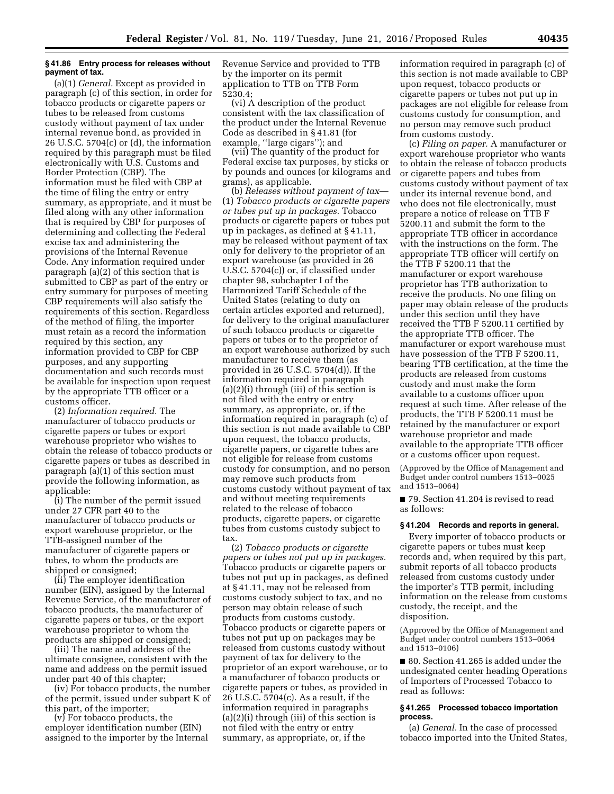#### **§ 41.86 Entry process for releases without payment of tax.**

(a)(1) *General.* Except as provided in paragraph (c) of this section, in order for tobacco products or cigarette papers or tubes to be released from customs custody without payment of tax under internal revenue bond, as provided in 26 U.S.C. 5704(c) or (d), the information required by this paragraph must be filed electronically with U.S. Customs and Border Protection (CBP). The information must be filed with CBP at the time of filing the entry or entry summary, as appropriate, and it must be filed along with any other information that is required by CBP for purposes of determining and collecting the Federal excise tax and administering the provisions of the Internal Revenue Code. Any information required under paragraph (a)(2) of this section that is submitted to CBP as part of the entry or entry summary for purposes of meeting CBP requirements will also satisfy the requirements of this section. Regardless of the method of filing, the importer must retain as a record the information required by this section, any information provided to CBP for CBP purposes, and any supporting documentation and such records must be available for inspection upon request by the appropriate TTB officer or a customs officer.

(2) *Information required.* The manufacturer of tobacco products or cigarette papers or tubes or export warehouse proprietor who wishes to obtain the release of tobacco products or cigarette papers or tubes as described in paragraph (a)(1) of this section must provide the following information, as applicable:

(i) The number of the permit issued under 27 CFR part 40 to the manufacturer of tobacco products or export warehouse proprietor, or the TTB-assigned number of the manufacturer of cigarette papers or tubes, to whom the products are shipped or consigned;

(ii) The employer identification number (EIN), assigned by the Internal Revenue Service, of the manufacturer of tobacco products, the manufacturer of cigarette papers or tubes, or the export warehouse proprietor to whom the products are shipped or consigned;

(iii) The name and address of the ultimate consignee, consistent with the name and address on the permit issued under part 40 of this chapter;

(iv) For tobacco products, the number of the permit, issued under subpart K of this part, of the importer;

(v) For tobacco products, the employer identification number (EIN) assigned to the importer by the Internal Revenue Service and provided to TTB by the importer on its permit application to TTB on TTB Form 5230.4;

(vi) A description of the product consistent with the tax classification of the product under the Internal Revenue Code as described in § 41.81 (for example, "large cigars"); and

(vii) The quantity of the product for Federal excise tax purposes, by sticks or by pounds and ounces (or kilograms and grams), as applicable.

(b) *Releases without payment of tax*— (1) *Tobacco products or cigarette papers or tubes put up in packages.* Tobacco products or cigarette papers or tubes put up in packages, as defined at § 41.11, may be released without payment of tax only for delivery to the proprietor of an export warehouse (as provided in 26 U.S.C. 5704(c)) or, if classified under chapter 98, subchapter I of the Harmonized Tariff Schedule of the United States (relating to duty on certain articles exported and returned), for delivery to the original manufacturer of such tobacco products or cigarette papers or tubes or to the proprietor of an export warehouse authorized by such manufacturer to receive them (as provided in 26 U.S.C. 5704(d)). If the information required in paragraph (a)(2)(i) through (iii) of this section is not filed with the entry or entry summary, as appropriate, or, if the information required in paragraph (c) of this section is not made available to CBP upon request, the tobacco products, cigarette papers, or cigarette tubes are not eligible for release from customs custody for consumption, and no person may remove such products from customs custody without payment of tax and without meeting requirements related to the release of tobacco products, cigarette papers, or cigarette tubes from customs custody subject to tax.

(2) *Tobacco products or cigarette papers or tubes not put up in packages.*  Tobacco products or cigarette papers or tubes not put up in packages, as defined at § 41.11, may not be released from customs custody subject to tax, and no person may obtain release of such products from customs custody. Tobacco products or cigarette papers or tubes not put up on packages may be released from customs custody without payment of tax for delivery to the proprietor of an export warehouse, or to a manufacturer of tobacco products or cigarette papers or tubes, as provided in 26 U.S.C. 5704(c). As a result, if the information required in paragraphs (a)(2)(i) through (iii) of this section is not filed with the entry or entry summary, as appropriate, or, if the

information required in paragraph (c) of this section is not made available to CBP upon request, tobacco products or cigarette papers or tubes not put up in packages are not eligible for release from customs custody for consumption, and no person may remove such product from customs custody.

(c) *Filing on paper.* A manufacturer or export warehouse proprietor who wants to obtain the release of tobacco products or cigarette papers and tubes from customs custody without payment of tax under its internal revenue bond, and who does not file electronically, must prepare a notice of release on TTB F 5200.11 and submit the form to the appropriate TTB officer in accordance with the instructions on the form. The appropriate TTB officer will certify on the TTB F 5200.11 that the manufacturer or export warehouse proprietor has TTB authorization to receive the products. No one filing on paper may obtain release of the products under this section until they have received the TTB F 5200.11 certified by the appropriate TTB officer. The manufacturer or export warehouse must have possession of the TTB F 5200.11, bearing TTB certification, at the time the products are released from customs custody and must make the form available to a customs officer upon request at such time. After release of the products, the TTB F 5200.11 must be retained by the manufacturer or export warehouse proprietor and made available to the appropriate TTB officer or a customs officer upon request.

(Approved by the Office of Management and Budget under control numbers 1513–0025 and 1513–0064)

■ 79. Section 41.204 is revised to read as follows:

#### **§ 41.204 Records and reports in general.**

Every importer of tobacco products or cigarette papers or tubes must keep records and, when required by this part, submit reports of all tobacco products released from customs custody under the importer's TTB permit, including information on the release from customs custody, the receipt, and the disposition.

(Approved by the Office of Management and Budget under control numbers 1513–0064 and 1513–0106)

■ 80. Section 41.265 is added under the undesignated center heading Operations of Importers of Processed Tobacco to read as follows:

#### **§ 41.265 Processed tobacco importation process.**

(a) *General.* In the case of processed tobacco imported into the United States,